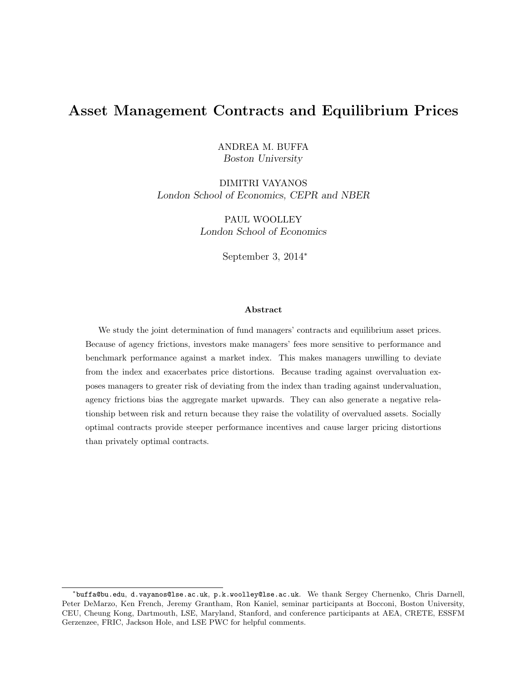# Asset Management Contracts and Equilibrium Prices

ANDREA M. BUFFA Boston University

DIMITRI VAYANOS London School of Economics, CEPR and NBER

> PAUL WOOLLEY London School of Economics

> > September 3, 2014<sup>∗</sup>

#### Abstract

We study the joint determination of fund managers' contracts and equilibrium asset prices. Because of agency frictions, investors make managers' fees more sensitive to performance and benchmark performance against a market index. This makes managers unwilling to deviate from the index and exacerbates price distortions. Because trading against overvaluation exposes managers to greater risk of deviating from the index than trading against undervaluation, agency frictions bias the aggregate market upwards. They can also generate a negative relationship between risk and return because they raise the volatility of overvalued assets. Socially optimal contracts provide steeper performance incentives and cause larger pricing distortions than privately optimal contracts.

<sup>∗</sup> buffa@bu.edu, d.vayanos@lse.ac.uk, p.k.woolley@lse.ac.uk. We thank Sergey Chernenko, Chris Darnell, Peter DeMarzo, Ken French, Jeremy Grantham, Ron Kaniel, seminar participants at Bocconi, Boston University, CEU, Cheung Kong, Dartmouth, LSE, Maryland, Stanford, and conference participants at AEA, CRETE, ESSFM Gerzenzee, FRIC, Jackson Hole, and LSE PWC for helpful comments.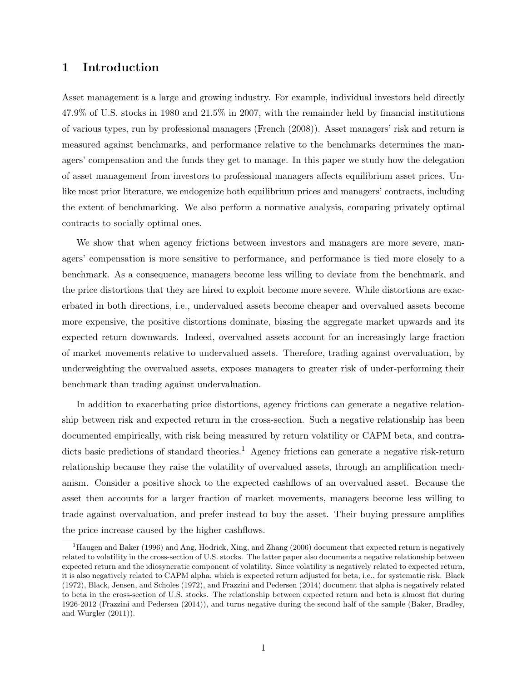## 1 Introduction

Asset management is a large and growing industry. For example, individual investors held directly 47.9% of U.S. stocks in 1980 and 21.5% in 2007, with the remainder held by financial institutions of various types, run by professional managers (French (2008)). Asset managers' risk and return is measured against benchmarks, and performance relative to the benchmarks determines the managers' compensation and the funds they get to manage. In this paper we study how the delegation of asset management from investors to professional managers affects equilibrium asset prices. Unlike most prior literature, we endogenize both equilibrium prices and managers' contracts, including the extent of benchmarking. We also perform a normative analysis, comparing privately optimal contracts to socially optimal ones.

We show that when agency frictions between investors and managers are more severe, managers' compensation is more sensitive to performance, and performance is tied more closely to a benchmark. As a consequence, managers become less willing to deviate from the benchmark, and the price distortions that they are hired to exploit become more severe. While distortions are exacerbated in both directions, i.e., undervalued assets become cheaper and overvalued assets become more expensive, the positive distortions dominate, biasing the aggregate market upwards and its expected return downwards. Indeed, overvalued assets account for an increasingly large fraction of market movements relative to undervalued assets. Therefore, trading against overvaluation, by underweighting the overvalued assets, exposes managers to greater risk of under-performing their benchmark than trading against undervaluation.

In addition to exacerbating price distortions, agency frictions can generate a negative relationship between risk and expected return in the cross-section. Such a negative relationship has been documented empirically, with risk being measured by return volatility or CAPM beta, and contradicts basic predictions of standard theories.<sup>1</sup> Agency frictions can generate a negative risk-return relationship because they raise the volatility of overvalued assets, through an amplification mechanism. Consider a positive shock to the expected cashflows of an overvalued asset. Because the asset then accounts for a larger fraction of market movements, managers become less willing to trade against overvaluation, and prefer instead to buy the asset. Their buying pressure amplifies the price increase caused by the higher cashflows.

<sup>1</sup>Haugen and Baker (1996) and Ang, Hodrick, Xing, and Zhang (2006) document that expected return is negatively related to volatility in the cross-section of U.S. stocks. The latter paper also documents a negative relationship between expected return and the idiosyncratic component of volatility. Since volatility is negatively related to expected return, it is also negatively related to CAPM alpha, which is expected return adjusted for beta, i.e., for systematic risk. Black (1972), Black, Jensen, and Scholes (1972), and Frazzini and Pedersen (2014) document that alpha is negatively related to beta in the cross-section of U.S. stocks. The relationship between expected return and beta is almost flat during 1926-2012 (Frazzini and Pedersen (2014)), and turns negative during the second half of the sample (Baker, Bradley, and Wurgler (2011)).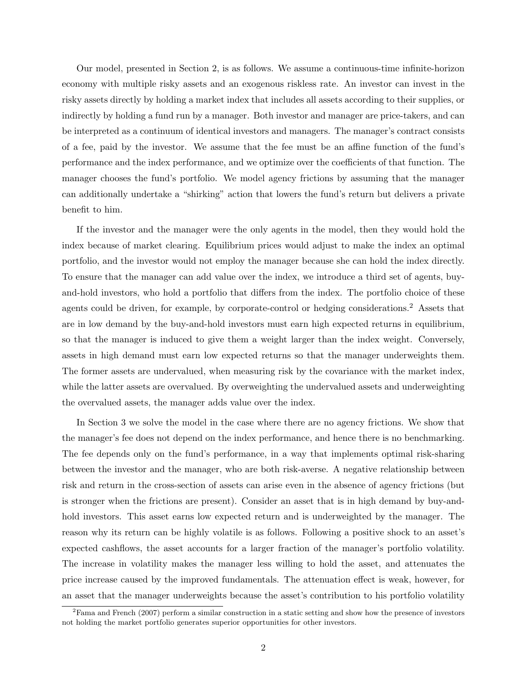Our model, presented in Section 2, is as follows. We assume a continuous-time infinite-horizon economy with multiple risky assets and an exogenous riskless rate. An investor can invest in the risky assets directly by holding a market index that includes all assets according to their supplies, or indirectly by holding a fund run by a manager. Both investor and manager are price-takers, and can be interpreted as a continuum of identical investors and managers. The manager's contract consists of a fee, paid by the investor. We assume that the fee must be an affine function of the fund's performance and the index performance, and we optimize over the coefficients of that function. The manager chooses the fund's portfolio. We model agency frictions by assuming that the manager can additionally undertake a "shirking" action that lowers the fund's return but delivers a private benefit to him.

If the investor and the manager were the only agents in the model, then they would hold the index because of market clearing. Equilibrium prices would adjust to make the index an optimal portfolio, and the investor would not employ the manager because she can hold the index directly. To ensure that the manager can add value over the index, we introduce a third set of agents, buyand-hold investors, who hold a portfolio that differs from the index. The portfolio choice of these agents could be driven, for example, by corporate-control or hedging considerations.<sup>2</sup> Assets that are in low demand by the buy-and-hold investors must earn high expected returns in equilibrium, so that the manager is induced to give them a weight larger than the index weight. Conversely, assets in high demand must earn low expected returns so that the manager underweights them. The former assets are undervalued, when measuring risk by the covariance with the market index, while the latter assets are overvalued. By overweighting the undervalued assets and underweighting the overvalued assets, the manager adds value over the index.

In Section 3 we solve the model in the case where there are no agency frictions. We show that the manager's fee does not depend on the index performance, and hence there is no benchmarking. The fee depends only on the fund's performance, in a way that implements optimal risk-sharing between the investor and the manager, who are both risk-averse. A negative relationship between risk and return in the cross-section of assets can arise even in the absence of agency frictions (but is stronger when the frictions are present). Consider an asset that is in high demand by buy-andhold investors. This asset earns low expected return and is underweighted by the manager. The reason why its return can be highly volatile is as follows. Following a positive shock to an asset's expected cashflows, the asset accounts for a larger fraction of the manager's portfolio volatility. The increase in volatility makes the manager less willing to hold the asset, and attenuates the price increase caused by the improved fundamentals. The attenuation effect is weak, however, for an asset that the manager underweights because the asset's contribution to his portfolio volatility

 $2F$ ama and French (2007) perform a similar construction in a static setting and show how the presence of investors not holding the market portfolio generates superior opportunities for other investors.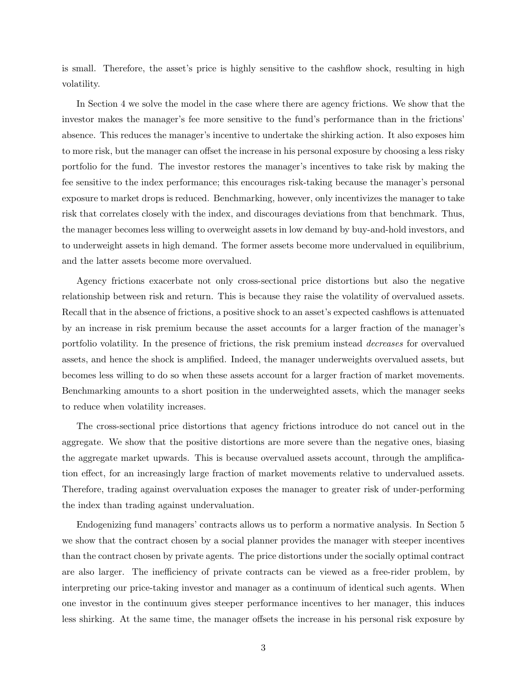is small. Therefore, the asset's price is highly sensitive to the cashflow shock, resulting in high volatility.

In Section 4 we solve the model in the case where there are agency frictions. We show that the investor makes the manager's fee more sensitive to the fund's performance than in the frictions' absence. This reduces the manager's incentive to undertake the shirking action. It also exposes him to more risk, but the manager can offset the increase in his personal exposure by choosing a less risky portfolio for the fund. The investor restores the manager's incentives to take risk by making the fee sensitive to the index performance; this encourages risk-taking because the manager's personal exposure to market drops is reduced. Benchmarking, however, only incentivizes the manager to take risk that correlates closely with the index, and discourages deviations from that benchmark. Thus, the manager becomes less willing to overweight assets in low demand by buy-and-hold investors, and to underweight assets in high demand. The former assets become more undervalued in equilibrium, and the latter assets become more overvalued.

Agency frictions exacerbate not only cross-sectional price distortions but also the negative relationship between risk and return. This is because they raise the volatility of overvalued assets. Recall that in the absence of frictions, a positive shock to an asset's expected cashflows is attenuated by an increase in risk premium because the asset accounts for a larger fraction of the manager's portfolio volatility. In the presence of frictions, the risk premium instead decreases for overvalued assets, and hence the shock is amplified. Indeed, the manager underweights overvalued assets, but becomes less willing to do so when these assets account for a larger fraction of market movements. Benchmarking amounts to a short position in the underweighted assets, which the manager seeks to reduce when volatility increases.

The cross-sectional price distortions that agency frictions introduce do not cancel out in the aggregate. We show that the positive distortions are more severe than the negative ones, biasing the aggregate market upwards. This is because overvalued assets account, through the amplification effect, for an increasingly large fraction of market movements relative to undervalued assets. Therefore, trading against overvaluation exposes the manager to greater risk of under-performing the index than trading against undervaluation.

Endogenizing fund managers' contracts allows us to perform a normative analysis. In Section 5 we show that the contract chosen by a social planner provides the manager with steeper incentives than the contract chosen by private agents. The price distortions under the socially optimal contract are also larger. The inefficiency of private contracts can be viewed as a free-rider problem, by interpreting our price-taking investor and manager as a continuum of identical such agents. When one investor in the continuum gives steeper performance incentives to her manager, this induces less shirking. At the same time, the manager offsets the increase in his personal risk exposure by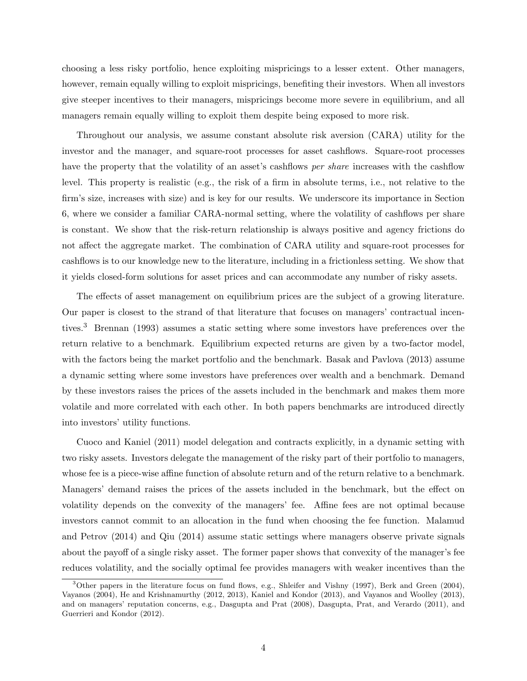choosing a less risky portfolio, hence exploiting mispricings to a lesser extent. Other managers, however, remain equally willing to exploit mispricings, benefiting their investors. When all investors give steeper incentives to their managers, mispricings become more severe in equilibrium, and all managers remain equally willing to exploit them despite being exposed to more risk.

Throughout our analysis, we assume constant absolute risk aversion (CARA) utility for the investor and the manager, and square-root processes for asset cashflows. Square-root processes have the property that the volatility of an asset's cashflows *per share* increases with the cashflow level. This property is realistic (e.g., the risk of a firm in absolute terms, i.e., not relative to the firm's size, increases with size) and is key for our results. We underscore its importance in Section 6, where we consider a familiar CARA-normal setting, where the volatility of cashflows per share is constant. We show that the risk-return relationship is always positive and agency frictions do not affect the aggregate market. The combination of CARA utility and square-root processes for cashflows is to our knowledge new to the literature, including in a frictionless setting. We show that it yields closed-form solutions for asset prices and can accommodate any number of risky assets.

The effects of asset management on equilibrium prices are the subject of a growing literature. Our paper is closest to the strand of that literature that focuses on managers' contractual incentives.<sup>3</sup> Brennan (1993) assumes a static setting where some investors have preferences over the return relative to a benchmark. Equilibrium expected returns are given by a two-factor model, with the factors being the market portfolio and the benchmark. Basak and Pavlova (2013) assume a dynamic setting where some investors have preferences over wealth and a benchmark. Demand by these investors raises the prices of the assets included in the benchmark and makes them more volatile and more correlated with each other. In both papers benchmarks are introduced directly into investors' utility functions.

Cuoco and Kaniel (2011) model delegation and contracts explicitly, in a dynamic setting with two risky assets. Investors delegate the management of the risky part of their portfolio to managers, whose fee is a piece-wise affine function of absolute return and of the return relative to a benchmark. Managers' demand raises the prices of the assets included in the benchmark, but the effect on volatility depends on the convexity of the managers' fee. Affine fees are not optimal because investors cannot commit to an allocation in the fund when choosing the fee function. Malamud and Petrov (2014) and Qiu (2014) assume static settings where managers observe private signals about the payoff of a single risky asset. The former paper shows that convexity of the manager's fee reduces volatility, and the socially optimal fee provides managers with weaker incentives than the

<sup>3</sup>Other papers in the literature focus on fund flows, e.g., Shleifer and Vishny (1997), Berk and Green (2004), Vayanos (2004), He and Krishnamurthy (2012, 2013), Kaniel and Kondor (2013), and Vayanos and Woolley (2013), and on managers' reputation concerns, e.g., Dasgupta and Prat (2008), Dasgupta, Prat, and Verardo (2011), and Guerrieri and Kondor (2012).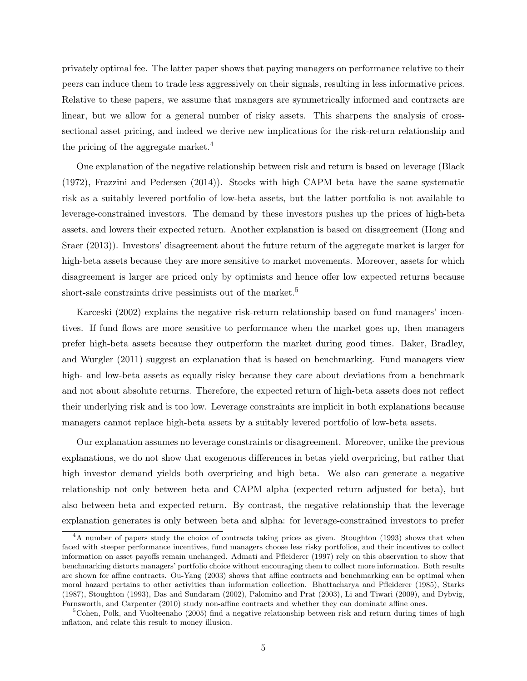privately optimal fee. The latter paper shows that paying managers on performance relative to their peers can induce them to trade less aggressively on their signals, resulting in less informative prices. Relative to these papers, we assume that managers are symmetrically informed and contracts are linear, but we allow for a general number of risky assets. This sharpens the analysis of crosssectional asset pricing, and indeed we derive new implications for the risk-return relationship and the pricing of the aggregate market.<sup>4</sup>

One explanation of the negative relationship between risk and return is based on leverage (Black (1972), Frazzini and Pedersen (2014)). Stocks with high CAPM beta have the same systematic risk as a suitably levered portfolio of low-beta assets, but the latter portfolio is not available to leverage-constrained investors. The demand by these investors pushes up the prices of high-beta assets, and lowers their expected return. Another explanation is based on disagreement (Hong and Sraer (2013)). Investors' disagreement about the future return of the aggregate market is larger for high-beta assets because they are more sensitive to market movements. Moreover, assets for which disagreement is larger are priced only by optimists and hence offer low expected returns because short-sale constraints drive pessimists out of the market.<sup>5</sup>

Karceski (2002) explains the negative risk-return relationship based on fund managers' incentives. If fund flows are more sensitive to performance when the market goes up, then managers prefer high-beta assets because they outperform the market during good times. Baker, Bradley, and Wurgler (2011) suggest an explanation that is based on benchmarking. Fund managers view high- and low-beta assets as equally risky because they care about deviations from a benchmark and not about absolute returns. Therefore, the expected return of high-beta assets does not reflect their underlying risk and is too low. Leverage constraints are implicit in both explanations because managers cannot replace high-beta assets by a suitably levered portfolio of low-beta assets.

Our explanation assumes no leverage constraints or disagreement. Moreover, unlike the previous explanations, we do not show that exogenous differences in betas yield overpricing, but rather that high investor demand yields both overpricing and high beta. We also can generate a negative relationship not only between beta and CAPM alpha (expected return adjusted for beta), but also between beta and expected return. By contrast, the negative relationship that the leverage explanation generates is only between beta and alpha: for leverage-constrained investors to prefer

<sup>&</sup>lt;sup>4</sup>A number of papers study the choice of contracts taking prices as given. Stoughton (1993) shows that when faced with steeper performance incentives, fund managers choose less risky portfolios, and their incentives to collect information on asset payoffs remain unchanged. Admati and Pfleiderer (1997) rely on this observation to show that benchmarking distorts managers' portfolio choice without encouraging them to collect more information. Both results are shown for affine contracts. Ou-Yang (2003) shows that affine contracts and benchmarking can be optimal when moral hazard pertains to other activities than information collection. Bhattacharya and Pfleiderer (1985), Starks (1987), Stoughton (1993), Das and Sundaram (2002), Palomino and Prat (2003), Li and Tiwari (2009), and Dybvig, Farnsworth, and Carpenter (2010) study non-affine contracts and whether they can dominate affine ones.

<sup>&</sup>lt;sup>5</sup>Cohen, Polk, and Vuolteenaho (2005) find a negative relationship between risk and return during times of high inflation, and relate this result to money illusion.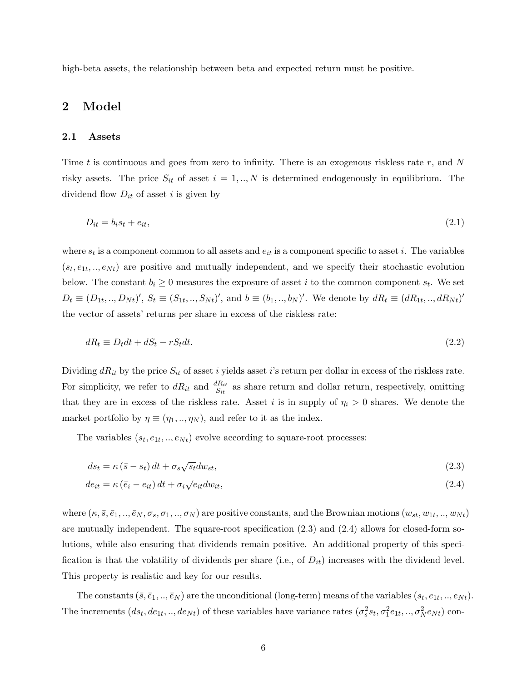high-beta assets, the relationship between beta and expected return must be positive.

# 2 Model

### 2.1 Assets

Time t is continuous and goes from zero to infinity. There is an exogenous riskless rate  $r$ , and  $N$ risky assets. The price  $S_{it}$  of asset  $i = 1, ..., N$  is determined endogenously in equilibrium. The dividend flow  $D_{it}$  of asset i is given by

$$
D_{it} = b_i s_t + e_{it},\tag{2.1}
$$

where  $s_t$  is a component common to all assets and  $e_{it}$  is a component specific to asset i. The variables  $(s_t, e_{1t}, ..., e_{Nt})$  are positive and mutually independent, and we specify their stochastic evolution below. The constant  $b_i \geq 0$  measures the exposure of asset i to the common component  $s_t$ . We set  $D_t \equiv (D_{1t},...,D_{Nt})'$ ,  $S_t \equiv (S_{1t},...,S_{Nt})'$ , and  $b \equiv (b_1,...,b_N)'$ . We denote by  $dR_t \equiv (dR_{1t},...,dR_{Nt})'$ the vector of assets' returns per share in excess of the riskless rate:

$$
dR_t \equiv D_t dt + dS_t - rS_t dt. \tag{2.2}
$$

Dividing  $dR_{it}$  by the price  $S_{it}$  of asset i yields asset i's return per dollar in excess of the riskless rate. For simplicity, we refer to  $dR_{it}$  and  $\frac{dR_{it}}{S_{it}}$  as share return and dollar return, respectively, omitting that they are in excess of the riskless rate. Asset i is in supply of  $\eta_i > 0$  shares. We denote the market portfolio by  $\eta \equiv (\eta_1, ..., \eta_N)$ , and refer to it as the index.

The variables  $(s_t, e_{1t}, \ldots, e_{Nt})$  evolve according to square-root processes:

$$
ds_t = \kappa \left(\bar{s} - s_t\right)dt + \sigma_s \sqrt{s_t} dw_{st},\tag{2.3}
$$

$$
de_{it} = \kappa \left(\bar{e}_i - e_{it}\right)dt + \sigma_i \sqrt{e_{it}} dw_{it},\tag{2.4}
$$

where  $(\kappa,\bar{s},\bar{e}_1,..,\bar{e}_N,\sigma_s,\sigma_1,..,\sigma_N)$  are positive constants, and the Brownian motions  $(w_{st},w_{1t},..,w_{Nt})$ are mutually independent. The square-root specification (2.3) and (2.4) allows for closed-form solutions, while also ensuring that dividends remain positive. An additional property of this specification is that the volatility of dividends per share (i.e., of  $D_{it}$ ) increases with the dividend level. This property is realistic and key for our results.

The constants  $(\bar{s}, \bar{e}_1, ..., \bar{e}_N)$  are the unconditional (long-term) means of the variables  $(s_t, e_{1t}, ..., e_{Nt})$ . The increments  $(ds_t, de_{1t}, ..., de_{Nt})$  of these variables have variance rates  $(\sigma_s^2 s_t, \sigma_1^2 e_{1t}, ..., \sigma_N^2 e_{Nt})$  con-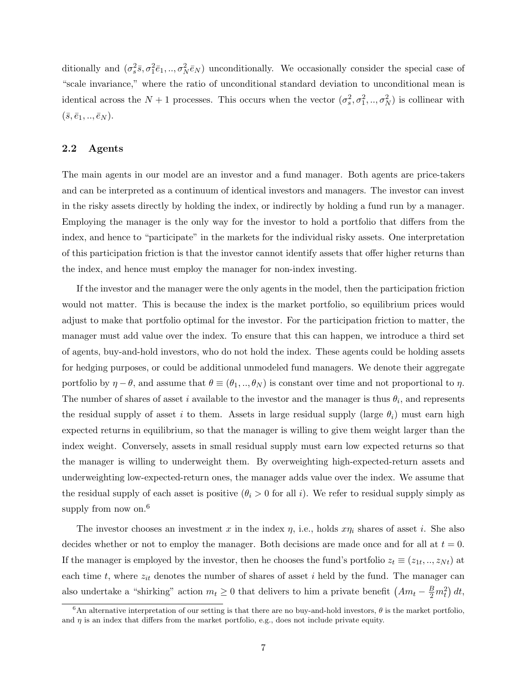ditionally and  $(\sigma_s^2 \bar{s}, \sigma_1^2 \bar{e}_1, ..., \sigma_N^2 \bar{e}_N)$  unconditionally. We occasionally consider the special case of "scale invariance," where the ratio of unconditional standard deviation to unconditional mean is identical across the  $N+1$  processes. This occurs when the vector  $(\sigma_s^2, \sigma_1^2, ..., \sigma_N^2)$  is collinear with  $(\bar{s}, \bar{e}_1, ..., \bar{e}_N).$ 

### 2.2 Agents

The main agents in our model are an investor and a fund manager. Both agents are price-takers and can be interpreted as a continuum of identical investors and managers. The investor can invest in the risky assets directly by holding the index, or indirectly by holding a fund run by a manager. Employing the manager is the only way for the investor to hold a portfolio that differs from the index, and hence to "participate" in the markets for the individual risky assets. One interpretation of this participation friction is that the investor cannot identify assets that offer higher returns than the index, and hence must employ the manager for non-index investing.

If the investor and the manager were the only agents in the model, then the participation friction would not matter. This is because the index is the market portfolio, so equilibrium prices would adjust to make that portfolio optimal for the investor. For the participation friction to matter, the manager must add value over the index. To ensure that this can happen, we introduce a third set of agents, buy-and-hold investors, who do not hold the index. These agents could be holding assets for hedging purposes, or could be additional unmodeled fund managers. We denote their aggregate portfolio by  $\eta - \theta$ , and assume that  $\theta \equiv (\theta_1, ..., \theta_N)$  is constant over time and not proportional to  $\eta$ . The number of shares of asset i available to the investor and the manager is thus  $\theta_i$ , and represents the residual supply of asset i to them. Assets in large residual supply (large  $\theta_i$ ) must earn high expected returns in equilibrium, so that the manager is willing to give them weight larger than the index weight. Conversely, assets in small residual supply must earn low expected returns so that the manager is willing to underweight them. By overweighting high-expected-return assets and underweighting low-expected-return ones, the manager adds value over the index. We assume that the residual supply of each asset is positive  $(\theta_i > 0$  for all i). We refer to residual supply simply as supply from now on. $6$ 

The investor chooses an investment x in the index  $\eta$ , i.e., holds  $x\eta_i$  shares of asset i. She also decides whether or not to employ the manager. Both decisions are made once and for all at  $t = 0$ . If the manager is employed by the investor, then he chooses the fund's portfolio  $z_t \equiv (z_{1t},..,z_{Nt})$  at each time  $t$ , where  $z_{it}$  denotes the number of shares of asset i held by the fund. The manager can also undertake a "shirking" action  $m_t \ge 0$  that delivers to him a private benefit  $(Am_t - \frac{B}{2}m_t^2) dt$ ,

<sup>&</sup>lt;sup>6</sup>An alternative interpretation of our setting is that there are no buy-and-hold investors,  $\theta$  is the market portfolio, and  $\eta$  is an index that differs from the market portfolio, e.g., does not include private equity.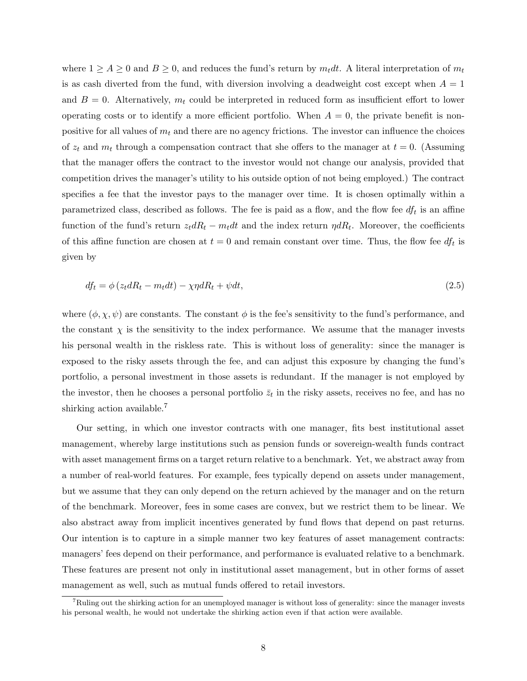where  $1 \ge A \ge 0$  and  $B \ge 0$ , and reduces the fund's return by  $m_t dt$ . A literal interpretation of  $m_t$ is as cash diverted from the fund, with diversion involving a deadweight cost except when  $A = 1$ and  $B = 0$ . Alternatively,  $m_t$  could be interpreted in reduced form as insufficient effort to lower operating costs or to identify a more efficient portfolio. When  $A = 0$ , the private benefit is nonpositive for all values of  $m_t$  and there are no agency frictions. The investor can influence the choices of  $z_t$  and  $m_t$  through a compensation contract that she offers to the manager at  $t = 0$ . (Assuming that the manager offers the contract to the investor would not change our analysis, provided that competition drives the manager's utility to his outside option of not being employed.) The contract specifies a fee that the investor pays to the manager over time. It is chosen optimally within a parametrized class, described as follows. The fee is paid as a flow, and the flow fee  $df_t$  is an affine function of the fund's return  $z_t dR_t - m_t dt$  and the index return  $\eta dR_t$ . Moreover, the coefficients of this affine function are chosen at  $t = 0$  and remain constant over time. Thus, the flow fee  $df_t$  is given by

$$
df_t = \phi (z_t dR_t - m_t dt) - \chi \eta dR_t + \psi dt, \qquad (2.5)
$$

where  $(\phi, \chi, \psi)$  are constants. The constant  $\phi$  is the fee's sensitivity to the fund's performance, and the constant  $\chi$  is the sensitivity to the index performance. We assume that the manager invests his personal wealth in the riskless rate. This is without loss of generality: since the manager is exposed to the risky assets through the fee, and can adjust this exposure by changing the fund's portfolio, a personal investment in those assets is redundant. If the manager is not employed by the investor, then he chooses a personal portfolio  $\bar{z}_t$  in the risky assets, receives no fee, and has no shirking action available.<sup>7</sup>

Our setting, in which one investor contracts with one manager, fits best institutional asset management, whereby large institutions such as pension funds or sovereign-wealth funds contract with asset management firms on a target return relative to a benchmark. Yet, we abstract away from a number of real-world features. For example, fees typically depend on assets under management, but we assume that they can only depend on the return achieved by the manager and on the return of the benchmark. Moreover, fees in some cases are convex, but we restrict them to be linear. We also abstract away from implicit incentives generated by fund flows that depend on past returns. Our intention is to capture in a simple manner two key features of asset management contracts: managers' fees depend on their performance, and performance is evaluated relative to a benchmark. These features are present not only in institutional asset management, but in other forms of asset management as well, such as mutual funds offered to retail investors.

<sup>7</sup>Ruling out the shirking action for an unemployed manager is without loss of generality: since the manager invests his personal wealth, he would not undertake the shirking action even if that action were available.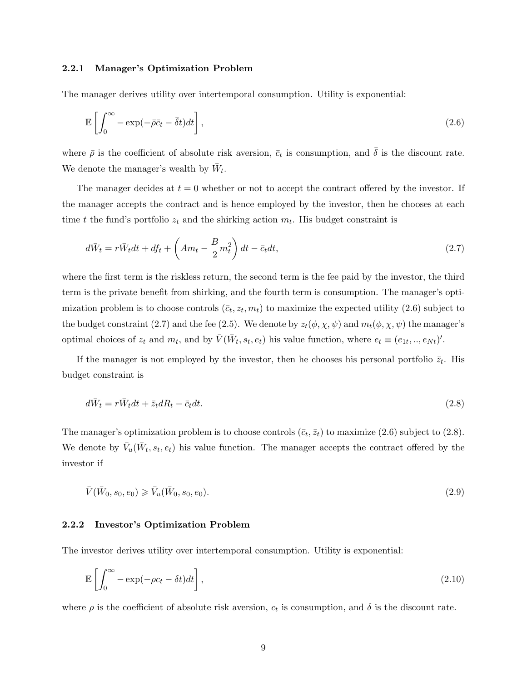#### 2.2.1 Manager's Optimization Problem

The manager derives utility over intertemporal consumption. Utility is exponential:

$$
\mathbb{E}\left[\int_0^\infty -\exp(-\bar{\rho}\bar{c}_t - \bar{\delta}t)dt\right],\tag{2.6}
$$

where  $\bar{\rho}$  is the coefficient of absolute risk aversion,  $\bar{c}_t$  is consumption, and  $\bar{\delta}$  is the discount rate. We denote the manager's wealth by  $\bar{W}_t$ .

The manager decides at  $t = 0$  whether or not to accept the contract offered by the investor. If the manager accepts the contract and is hence employed by the investor, then he chooses at each time t the fund's portfolio  $z_t$  and the shirking action  $m_t$ . His budget constraint is

$$
d\bar{W}_t = r\bar{W}_t dt + df_t + \left(Am_t - \frac{B}{2}m_t^2\right)dt - \bar{c}_t dt,\tag{2.7}
$$

where the first term is the riskless return, the second term is the fee paid by the investor, the third term is the private benefit from shirking, and the fourth term is consumption. The manager's optimization problem is to choose controls  $(\bar{c}_t, z_t, m_t)$  to maximize the expected utility  $(2.6)$  subject to the budget constraint (2.7) and the fee (2.5). We denote by  $z_t(\phi, \chi, \psi)$  and  $m_t(\phi, \chi, \psi)$  the manager's optimal choices of  $z_t$  and  $m_t$ , and by  $\overline{V}(\overline{W}_t, s_t, e_t)$  his value function, where  $e_t \equiv (e_{1t},..,e_{Nt})'$ .

If the manager is not employed by the investor, then he chooses his personal portfolio  $\bar{z}_t$ . His budget constraint is

$$
d\bar{W}_t = r\bar{W}_t dt + \bar{z}_t dR_t - \bar{c}_t dt.
$$
\n(2.8)

The manager's optimization problem is to choose controls  $(\bar{c}_t, \bar{z}_t)$  to maximize (2.6) subject to (2.8). We denote by  $\bar{V}_u(\bar{W}_t, s_t, e_t)$  his value function. The manager accepts the contract offered by the investor if

$$
\bar{V}(\bar{W}_0, s_0, e_0) \ge \bar{V}_u(\bar{W}_0, s_0, e_0).
$$
\n(2.9)

#### 2.2.2 Investor's Optimization Problem

The investor derives utility over intertemporal consumption. Utility is exponential:

$$
\mathbb{E}\left[\int_0^\infty -\exp(-\rho c_t - \delta t)dt\right],\tag{2.10}
$$

where  $\rho$  is the coefficient of absolute risk aversion,  $c_t$  is consumption, and  $\delta$  is the discount rate.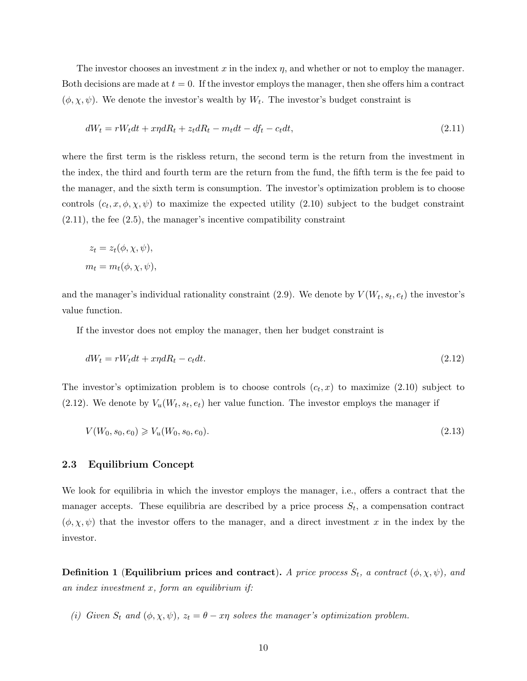The investor chooses an investment  $x$  in the index  $\eta$ , and whether or not to employ the manager. Both decisions are made at  $t = 0$ . If the investor employs the manager, then she offers him a contract  $(\phi, \chi, \psi)$ . We denote the investor's wealth by  $W_t$ . The investor's budget constraint is

$$
dW_t = rW_t dt + x\eta dR_t + z_t dR_t - m_t dt - df_t - c_t dt, \qquad (2.11)
$$

where the first term is the riskless return, the second term is the return from the investment in the index, the third and fourth term are the return from the fund, the fifth term is the fee paid to the manager, and the sixth term is consumption. The investor's optimization problem is to choose controls  $(c_t, x, \phi, \chi, \psi)$  to maximize the expected utility (2.10) subject to the budget constraint  $(2.11)$ , the fee  $(2.5)$ , the manager's incentive compatibility constraint

$$
z_t = z_t(\phi, \chi, \psi),
$$
  

$$
m_t = m_t(\phi, \chi, \psi),
$$

and the manager's individual rationality constraint (2.9). We denote by  $V(W_t, s_t, e_t)$  the investor's value function.

If the investor does not employ the manager, then her budget constraint is

$$
dW_t = rW_t dt + x\eta dR_t - c_t dt. \tag{2.12}
$$

The investor's optimization problem is to choose controls  $(c_t, x)$  to maximize  $(2.10)$  subject to  $(2.12)$ . We denote by  $V_u(W_t, s_t, e_t)$  her value function. The investor employs the manager if

$$
V(W_0, s_0, e_0) \geq V_u(W_0, s_0, e_0). \tag{2.13}
$$

### 2.3 Equilibrium Concept

We look for equilibria in which the investor employs the manager, i.e., offers a contract that the manager accepts. These equilibria are described by a price process  $S_t$ , a compensation contract  $(\phi, \chi, \psi)$  that the investor offers to the manager, and a direct investment x in the index by the investor.

**Definition 1 (Equilibrium prices and contract).** A price process  $S_t$ , a contract  $(\phi, \chi, \psi)$ , and an index investment  $x$ , form an equilibrium if:

(i) Given  $S_t$  and  $(\phi, \chi, \psi)$ ,  $z_t = \theta - x\eta$  solves the manager's optimization problem.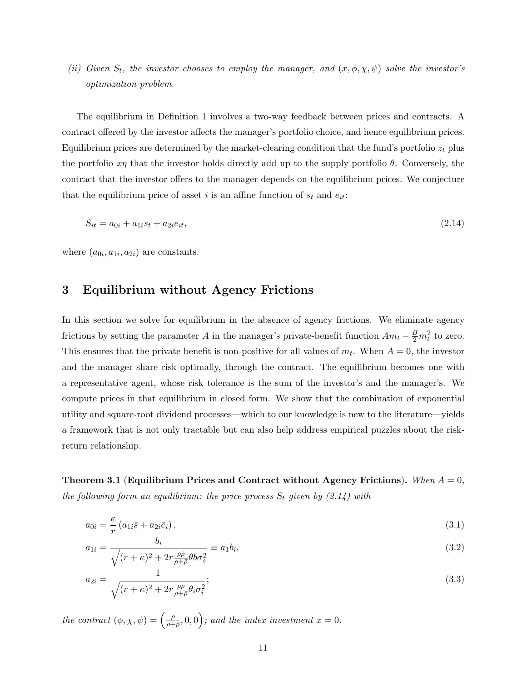(ii) Given  $S_t$ , the investor chooses to employ the manager, and  $(x, \phi, \chi, \psi)$  solve the investor's optimization problem.

The equilibrium in Definition 1 involves a two-way feedback between prices and contracts. A contract offered by the investor affects the manager's portfolio choice, and hence equilibrium prices. Equilibrium prices are determined by the market-clearing condition that the fund's portfolio  $z_t$  plus the portfolio  $x\eta$  that the investor holds directly add up to the supply portfolio  $\theta$ . Conversely, the contract that the investor offers to the manager depends on the equilibrium prices. We conjecture that the equilibrium price of asset i is an affine function of  $s_t$  and  $e_{it}$ :

$$
S_{it} = a_{0i} + a_{1i}s_t + a_{2i}e_{it},\tag{2.14}
$$

where  $(a_{0i}, a_{1i}, a_{2i})$  are constants.

### 3 Equilibrium without Agency Frictions

In this section we solve for equilibrium in the absence of agency frictions. We eliminate agency frictions by setting the parameter A in the manager's private-benefit function  $Am_t - \frac{B}{2}m_t^2$  to zero. This ensures that the private benefit is non-positive for all values of  $m_t$ . When  $A = 0$ , the investor and the manager share risk optimally, through the contract. The equilibrium becomes one with a representative agent, whose risk tolerance is the sum of the investor's and the manager's. We compute prices in that equilibrium in closed form. We show that the combination of exponential utility and square-root dividend processes—which to our knowledge is new to the literature—yields a framework that is not only tractable but can also help address empirical puzzles about the riskreturn relationship.

Theorem 3.1 (Equilibrium Prices and Contract without Agency Frictions). When  $A = 0$ , the following form an equilibrium: the price process  $S_t$  given by  $(2.14)$  with

$$
a_{0i} = \frac{\kappa}{r} \left( a_{1i} \bar{s} + a_{2i} \bar{e}_i \right), \tag{3.1}
$$

$$
a_{1i} = \frac{b_i}{\sqrt{(r+\kappa)^2 + 2r\frac{\rho\bar{\rho}}{\rho+\bar{\rho}}\theta b\sigma_s^2}} \equiv a_1b_i,
$$
\n(3.2)

$$
a_{2i} = \frac{1}{\sqrt{(r+\kappa)^2 + 2r\frac{\rho\bar{\rho}}{\rho+\bar{\rho}}\theta_i\sigma_i^2}};
$$
\n(3.3)

the contract  $(\phi, \chi, \psi) = \begin{pmatrix} \frac{\rho}{\rho + \chi} \\ \frac{\rho}{\rho + \chi} \end{pmatrix}$  $\left(\frac{\rho}{\rho+\bar{\rho}},0,0\right)$ ; and the index investment  $x=0$ .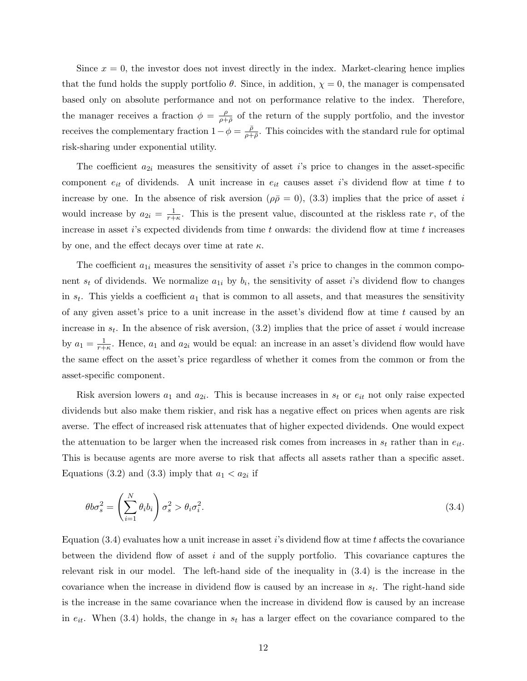Since  $x = 0$ , the investor does not invest directly in the index. Market-clearing hence implies that the fund holds the supply portfolio  $\theta$ . Since, in addition,  $\chi = 0$ , the manager is compensated based only on absolute performance and not on performance relative to the index. Therefore, the manager receives a fraction  $\phi = \frac{\rho}{\rho + \rho}$  $\frac{\rho}{\rho+\bar{\rho}}$  of the return of the supply portfolio, and the investor receives the complementary fraction  $1 - \phi = \frac{\bar{\rho}}{2\pi}$  $\frac{\rho}{\rho+\bar{\rho}}$ . This coincides with the standard rule for optimal risk-sharing under exponential utility.

The coefficient  $a_{2i}$  measures the sensitivity of asset i's price to changes in the asset-specific component  $e_{it}$  of dividends. A unit increase in  $e_{it}$  causes asset i's dividend flow at time t to increase by one. In the absence of risk aversion ( $\rho \bar{\rho} = 0$ ), (3.3) implies that the price of asset i would increase by  $a_{2i} = \frac{1}{r+1}$  $\frac{1}{r+k}$ . This is the present value, discounted at the riskless rate r, of the increase in asset  $i$ 's expected dividends from time t onwards: the dividend flow at time t increases by one, and the effect decays over time at rate  $\kappa$ .

The coefficient  $a_{1i}$  measures the sensitivity of asset i's price to changes in the common component  $s_t$  of dividends. We normalize  $a_{1i}$  by  $b_i$ , the sensitivity of asset *i*'s dividend flow to changes in  $s_t$ . This yields a coefficient  $a_1$  that is common to all assets, and that measures the sensitivity of any given asset's price to a unit increase in the asset's dividend flow at time  $t$  caused by an increase in  $s_t$ . In the absence of risk aversion, (3.2) implies that the price of asset i would increase by  $a_1 = \frac{1}{r+1}$  $\frac{1}{r+k}$ . Hence,  $a_1$  and  $a_{2i}$  would be equal: an increase in an asset's dividend flow would have the same effect on the asset's price regardless of whether it comes from the common or from the asset-specific component.

Risk aversion lowers  $a_1$  and  $a_{2i}$ . This is because increases in  $s_t$  or  $e_{it}$  not only raise expected dividends but also make them riskier, and risk has a negative effect on prices when agents are risk averse. The effect of increased risk attenuates that of higher expected dividends. One would expect the attenuation to be larger when the increased risk comes from increases in  $s_t$  rather than in  $e_{it}$ . This is because agents are more averse to risk that affects all assets rather than a specific asset. Equations (3.2) and (3.3) imply that  $a_1 < a_{2i}$  if

$$
\theta b \sigma_s^2 = \left(\sum_{i=1}^N \theta_i b_i\right) \sigma_s^2 > \theta_i \sigma_i^2. \tag{3.4}
$$

Equation  $(3.4)$  evaluates how a unit increase in asset i's dividend flow at time t affects the covariance between the dividend flow of asset i and of the supply portfolio. This covariance captures the relevant risk in our model. The left-hand side of the inequality in (3.4) is the increase in the covariance when the increase in dividend flow is caused by an increase in  $s_t$ . The right-hand side is the increase in the same covariance when the increase in dividend flow is caused by an increase in  $e_{it}$ . When (3.4) holds, the change in  $s_t$  has a larger effect on the covariance compared to the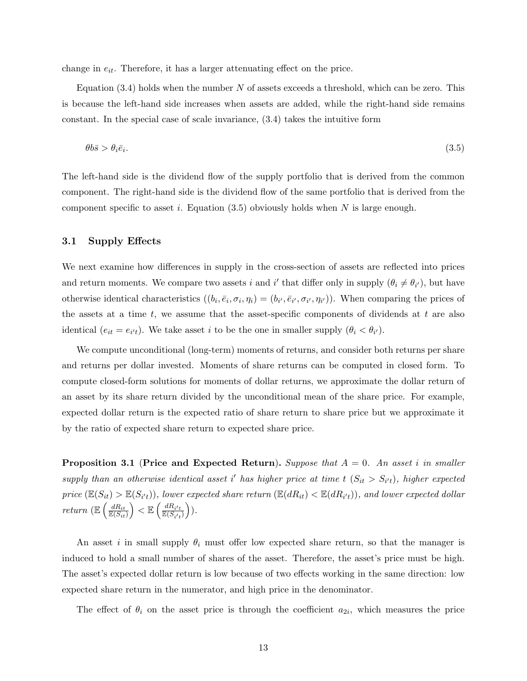change in  $e_{it}$ . Therefore, it has a larger attenuating effect on the price.

Equation  $(3.4)$  holds when the number N of assets exceeds a threshold, which can be zero. This is because the left-hand side increases when assets are added, while the right-hand side remains constant. In the special case of scale invariance, (3.4) takes the intuitive form

$$
\theta b\bar{s} > \theta_i \bar{e}_i. \tag{3.5}
$$

The left-hand side is the dividend flow of the supply portfolio that is derived from the common component. The right-hand side is the dividend flow of the same portfolio that is derived from the component specific to asset i. Equation  $(3.5)$  obviously holds when N is large enough.

### 3.1 Supply Effects

We next examine how differences in supply in the cross-section of assets are reflected into prices and return moments. We compare two assets i and i' that differ only in supply  $(\theta_i \neq \theta_{i'})$ , but have otherwise identical characteristics  $((b_i, \bar{e}_i, \sigma_i, \eta_i) = (b_{i'}, \bar{e}_{i'}, \sigma_{i'}, \eta_{i'}))$ . When comparing the prices of the assets at a time t, we assume that the asset-specific components of dividends at t are also identical  $(e_{it} = e_{i't})$ . We take asset *i* to be the one in smaller supply  $(\theta_i < \theta_{i'})$ .

We compute unconditional (long-term) moments of returns, and consider both returns per share and returns per dollar invested. Moments of share returns can be computed in closed form. To compute closed-form solutions for moments of dollar returns, we approximate the dollar return of an asset by its share return divided by the unconditional mean of the share price. For example, expected dollar return is the expected ratio of share return to share price but we approximate it by the ratio of expected share return to expected share price.

**Proposition 3.1 (Price and Expected Return).** Suppose that  $A = 0$ . An asset i in smaller supply than an otherwise identical asset i' has higher price at time  $t$   $(S_{it} > S_{i't})$ , higher expected  $price (\mathbb{E}(S_{it}) > \mathbb{E}(S_{i't}))$ , lower expected share return  $(\mathbb{E}(dR_{it}) < \mathbb{E}(dR_{i't}))$ , and lower expected dollar return ( $\mathbb{E}\left(\frac{dR_{it}}{\mathbb{E}(S_{it})}\right)$  $\Big) < \mathbb{E} \left( \frac{d R_{i't}}{\mathbb{E} (S_{i't})} \right)$ ).

An asset i in small supply  $\theta_i$  must offer low expected share return, so that the manager is induced to hold a small number of shares of the asset. Therefore, the asset's price must be high. The asset's expected dollar return is low because of two effects working in the same direction: low expected share return in the numerator, and high price in the denominator.

The effect of  $\theta_i$  on the asset price is through the coefficient  $a_{2i}$ , which measures the price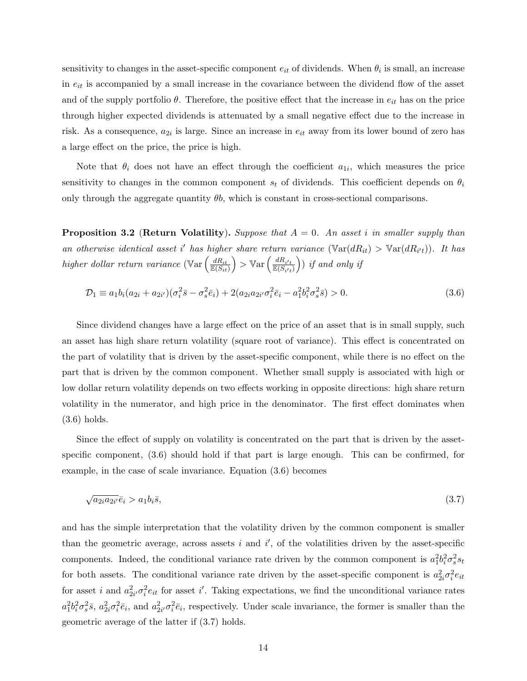sensitivity to changes in the asset-specific component  $e_{it}$  of dividends. When  $\theta_i$  is small, an increase in  $e_{it}$  is accompanied by a small increase in the covariance between the dividend flow of the asset and of the supply portfolio  $\theta$ . Therefore, the positive effect that the increase in  $e_{it}$  has on the price through higher expected dividends is attenuated by a small negative effect due to the increase in risk. As a consequence,  $a_{2i}$  is large. Since an increase in  $e_{it}$  away from its lower bound of zero has a large effect on the price, the price is high.

Note that  $\theta_i$  does not have an effect through the coefficient  $a_{1i}$ , which measures the price sensitivity to changes in the common component  $s_t$  of dividends. This coefficient depends on  $\theta_i$ only through the aggregate quantity  $\theta b$ , which is constant in cross-sectional comparisons.

**Proposition 3.2 (Return Volatility).** Suppose that  $A = 0$ . An asset i in smaller supply than an otherwise identical asset i' has higher share return variance  $(\text{Var}(dR_{it}) > \text{Var}(dR_{i't}))$ . It has higher dollar return variance ( $\mathbb{V}\text{ar} \left( \frac{dR_{it}}{\mathbb{E}(S_{it})} \right)$  $\Big)$  >  $\mathbb{V}\text{ar}\left(\frac{dR_{i't}}{\mathbb{E}(S_{i't})}\right)$  if and only if

$$
\mathcal{D}_1 \equiv a_1 b_i (a_{2i} + a_{2i'}) (\sigma_i^2 \bar{s} - \sigma_s^2 \bar{e}_i) + 2(a_{2i} a_{2i'} \sigma_i^2 \bar{e}_i - a_1^2 b_i^2 \sigma_s^2 \bar{s}) > 0.
$$
\n(3.6)

Since dividend changes have a large effect on the price of an asset that is in small supply, such an asset has high share return volatility (square root of variance). This effect is concentrated on the part of volatility that is driven by the asset-specific component, while there is no effect on the part that is driven by the common component. Whether small supply is associated with high or low dollar return volatility depends on two effects working in opposite directions: high share return volatility in the numerator, and high price in the denominator. The first effect dominates when (3.6) holds.

Since the effect of supply on volatility is concentrated on the part that is driven by the assetspecific component, (3.6) should hold if that part is large enough. This can be confirmed, for example, in the case of scale invariance. Equation (3.6) becomes

$$
\sqrt{a_{2i}a_{2i'}}\bar{e}_i > a_1b_i\bar{s},\tag{3.7}
$$

and has the simple interpretation that the volatility driven by the common component is smaller than the geometric average, across assets i and  $i'$ , of the volatilities driven by the asset-specific components. Indeed, the conditional variance rate driven by the common component is  $a_1^2b_i^2\sigma_s^2s_t$ for both assets. The conditional variance rate driven by the asset-specific component is  $a_{2i}^2 \sigma_i^2 e_{it}$ for asset *i* and  $a_{2i}^2 \sigma_i^2 e_{it}$  for asset *i'*. Taking expectations, we find the unconditional variance rates  $a_1^2b_i^2\sigma_s^2\bar{s}$ ,  $a_{2i}^2\sigma_i^2\bar{e}_i$ , and  $a_{2i'}^2\sigma_i^2\bar{e}_i$ , respectively. Under scale invariance, the former is smaller than the geometric average of the latter if (3.7) holds.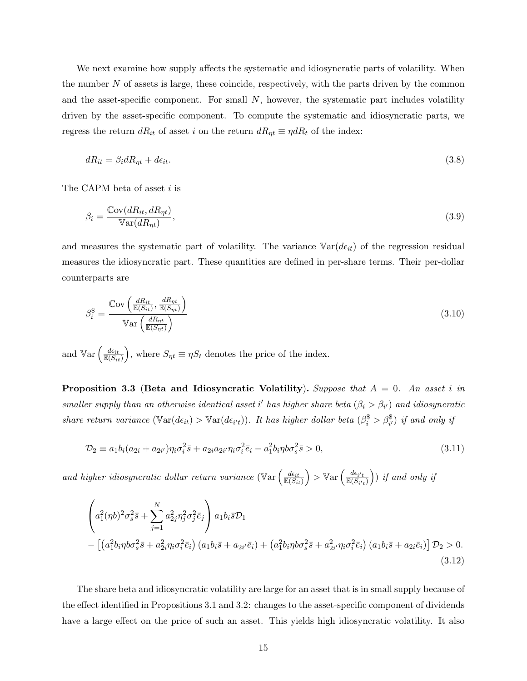We next examine how supply affects the systematic and idiosyncratic parts of volatility. When the number  $N$  of assets is large, these coincide, respectively, with the parts driven by the common and the asset-specific component. For small  $N$ , however, the systematic part includes volatility driven by the asset-specific component. To compute the systematic and idiosyncratic parts, we regress the return  $dR_{it}$  of asset i on the return  $dR_{\eta t} \equiv \eta dR_t$  of the index:

$$
dR_{it} = \beta_i dR_{\eta t} + d\epsilon_{it}.\tag{3.8}
$$

The CAPM beta of asset i is

$$
\beta_i = \frac{\text{Cov}(dR_{it}, dR_{\eta t})}{\text{Var}(dR_{\eta t})},\tag{3.9}
$$

and measures the systematic part of volatility. The variance  $\mathbb{V}\text{ar}(d\epsilon_{it})$  of the regression residual measures the idiosyncratic part. These quantities are defined in per-share terms. Their per-dollar counterparts are

$$
\beta_i^{\$} = \frac{\mathbb{C}\text{ov}\left(\frac{dR_{it}}{\mathbb{E}(S_{it})}, \frac{dR_{\eta t}}{\mathbb{E}(S_{\eta t})}\right)}{\mathbb{V}\text{ar}\left(\frac{dR_{\eta t}}{\mathbb{E}(S_{\eta t})}\right)}\tag{3.10}
$$

and  $\mathbb{V}\text{ar}\left(\frac{d\epsilon_{it}}{\mathbb{E}(S_{it})}\right)$ ), where  $S_{\eta t} \equiv \eta S_t$  denotes the price of the index.

**Proposition 3.3 (Beta and Idiosyncratic Volatility).** Suppose that  $A = 0$ . An asset i in smaller supply than an otherwise identical asset i' has higher share beta  $(\beta_i > \beta_{i'})$  and idiosyncratic share return variance  $(\mathbb{V}\text{ar}(d\epsilon_{it}) > \mathbb{V}\text{ar}(d\epsilon_{i't}))$ . It has higher dollar beta  $(\beta_i^{\$} > \beta_{i'}^{\$})$  if and only if

$$
\mathcal{D}_2 \equiv a_1 b_i (a_{2i} + a_{2i'}) \eta_i \sigma_i^2 \bar{s} + a_{2i} a_{2i'} \eta_i \sigma_i^2 \bar{e}_i - a_1^2 b_i \eta b \sigma_s^2 \bar{s} > 0,
$$
\n(3.11)

and higher idiosyncratic dollar return variance  $(\mathbb{V}\text{ar} \left( \frac{d\epsilon_{it}}{\mathbb{E}(S_{it})} \right))$  $\Big)$  >  $\mathbb{V}\text{ar}\left(\frac{d\epsilon_{i't}}{\mathbb{E}(S_{i't})}\right)$  if and only if

$$
\left(a_1^2(\eta b)^2 \sigma_s^2 \bar{s} + \sum_{j=1}^N a_{2j}^2 \eta_j^2 \sigma_j^2 \bar{e}_j\right) a_1 b_i \bar{s} \mathcal{D}_1
$$
\n
$$
- \left[ \left(a_1^2 b_i \eta b \sigma_s^2 \bar{s} + a_{2i}^2 \eta_i \sigma_i^2 \bar{e}_i \right) \left(a_1 b_i \bar{s} + a_{2i'} \bar{e}_i\right) + \left(a_1^2 b_i \eta b \sigma_s^2 \bar{s} + a_{2i'}^2 \eta_i \sigma_i^2 \bar{e}_i \right) \left(a_1 b_i \bar{s} + a_{2i} \bar{e}_i\right) \right] \mathcal{D}_2 > 0. \tag{3.12}
$$

The share beta and idiosyncratic volatility are large for an asset that is in small supply because of the effect identified in Propositions 3.1 and 3.2: changes to the asset-specific component of dividends have a large effect on the price of such an asset. This yields high idiosyncratic volatility. It also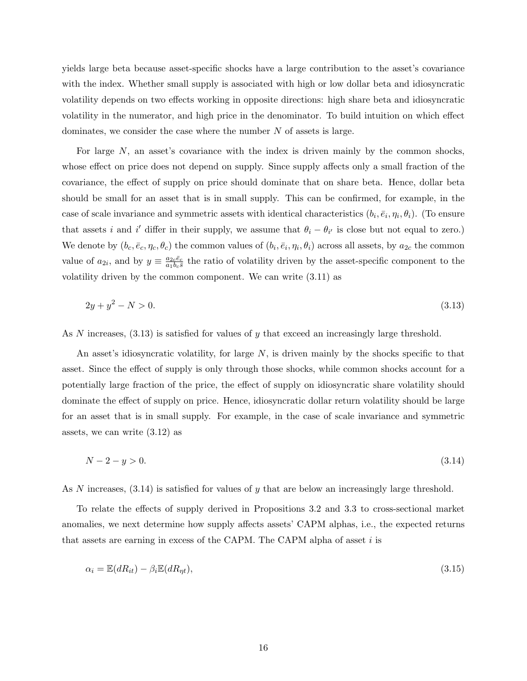yields large beta because asset-specific shocks have a large contribution to the asset's covariance with the index. Whether small supply is associated with high or low dollar beta and idiosyncratic volatility depends on two effects working in opposite directions: high share beta and idiosyncratic volatility in the numerator, and high price in the denominator. To build intuition on which effect dominates, we consider the case where the number  $N$  of assets is large.

For large  $N$ , an asset's covariance with the index is driven mainly by the common shocks, whose effect on price does not depend on supply. Since supply affects only a small fraction of the covariance, the effect of supply on price should dominate that on share beta. Hence, dollar beta should be small for an asset that is in small supply. This can be confirmed, for example, in the case of scale invariance and symmetric assets with identical characteristics  $(b_i, \bar{e}_i, \eta_i, \theta_i)$ . (To ensure that assets i and i' differ in their supply, we assume that  $\theta_i - \theta_{i'}$  is close but not equal to zero.) We denote by  $(b_c, \bar{e}_c, \eta_c, \theta_c)$  the common values of  $(b_i, \bar{e}_i, \eta_i, \theta_i)$  across all assets, by  $a_{2c}$  the common value of  $a_{2i}$ , and by  $y \equiv \frac{a_{2c}\bar{e}_c}{a_1b_c\bar{s}}$  $\frac{a_{2c}e_c}{a_1b_c\overline{s}}$  the ratio of volatility driven by the asset-specific component to the volatility driven by the common component. We can write (3.11) as

$$
2y + y^2 - N > 0.\tag{3.13}
$$

As N increases,  $(3.13)$  is satisfied for values of y that exceed an increasingly large threshold.

An asset's idiosyncratic volatility, for large  $N$ , is driven mainly by the shocks specific to that asset. Since the effect of supply is only through those shocks, while common shocks account for a potentially large fraction of the price, the effect of supply on idiosyncratic share volatility should dominate the effect of supply on price. Hence, idiosyncratic dollar return volatility should be large for an asset that is in small supply. For example, in the case of scale invariance and symmetric assets, we can write (3.12) as

$$
N - 2 - y > 0. \tag{3.14}
$$

As N increases,  $(3.14)$  is satisfied for values of y that are below an increasingly large threshold.

To relate the effects of supply derived in Propositions 3.2 and 3.3 to cross-sectional market anomalies, we next determine how supply affects assets' CAPM alphas, i.e., the expected returns that assets are earning in excess of the CAPM. The CAPM alpha of asset  $i$  is

$$
\alpha_i = \mathbb{E}(dR_{it}) - \beta_i \mathbb{E}(dR_{\eta t}),\tag{3.15}
$$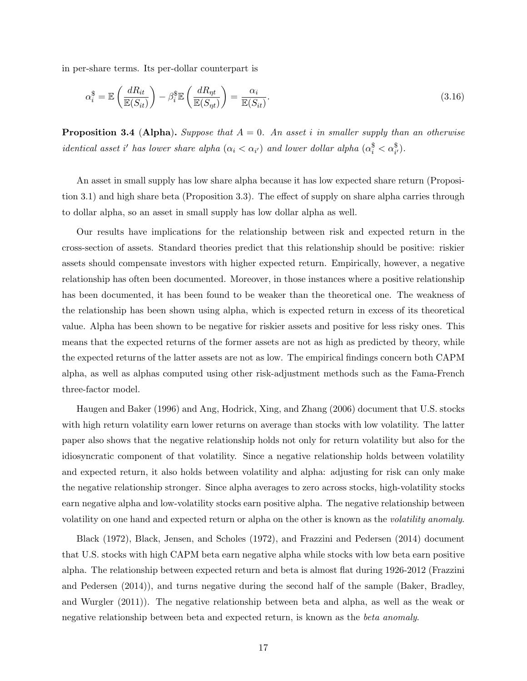in per-share terms. Its per-dollar counterpart is

$$
\alpha_i^{\$} = \mathbb{E}\left(\frac{dR_{it}}{\mathbb{E}(S_{it})}\right) - \beta_i^{\$}\mathbb{E}\left(\frac{dR_{\eta t}}{\mathbb{E}(S_{\eta t})}\right) = \frac{\alpha_i}{\mathbb{E}(S_{it})}.
$$
\n(3.16)

**Proposition 3.4 (Alpha).** Suppose that  $A = 0$ . An asset i in smaller supply than an otherwise identical asset i' has lower share alpha  $(\alpha_i < \alpha_{i'})$  and lower dollar alpha  $(\alpha_i^{\$} < \alpha_{i'}^{\$})$ .

An asset in small supply has low share alpha because it has low expected share return (Proposition 3.1) and high share beta (Proposition 3.3). The effect of supply on share alpha carries through to dollar alpha, so an asset in small supply has low dollar alpha as well.

Our results have implications for the relationship between risk and expected return in the cross-section of assets. Standard theories predict that this relationship should be positive: riskier assets should compensate investors with higher expected return. Empirically, however, a negative relationship has often been documented. Moreover, in those instances where a positive relationship has been documented, it has been found to be weaker than the theoretical one. The weakness of the relationship has been shown using alpha, which is expected return in excess of its theoretical value. Alpha has been shown to be negative for riskier assets and positive for less risky ones. This means that the expected returns of the former assets are not as high as predicted by theory, while the expected returns of the latter assets are not as low. The empirical findings concern both CAPM alpha, as well as alphas computed using other risk-adjustment methods such as the Fama-French three-factor model.

Haugen and Baker (1996) and Ang, Hodrick, Xing, and Zhang (2006) document that U.S. stocks with high return volatility earn lower returns on average than stocks with low volatility. The latter paper also shows that the negative relationship holds not only for return volatility but also for the idiosyncratic component of that volatility. Since a negative relationship holds between volatility and expected return, it also holds between volatility and alpha: adjusting for risk can only make the negative relationship stronger. Since alpha averages to zero across stocks, high-volatility stocks earn negative alpha and low-volatility stocks earn positive alpha. The negative relationship between volatility on one hand and expected return or alpha on the other is known as the volatility anomaly.

Black (1972), Black, Jensen, and Scholes (1972), and Frazzini and Pedersen (2014) document that U.S. stocks with high CAPM beta earn negative alpha while stocks with low beta earn positive alpha. The relationship between expected return and beta is almost flat during 1926-2012 (Frazzini and Pedersen (2014)), and turns negative during the second half of the sample (Baker, Bradley, and Wurgler (2011)). The negative relationship between beta and alpha, as well as the weak or negative relationship between beta and expected return, is known as the beta anomaly.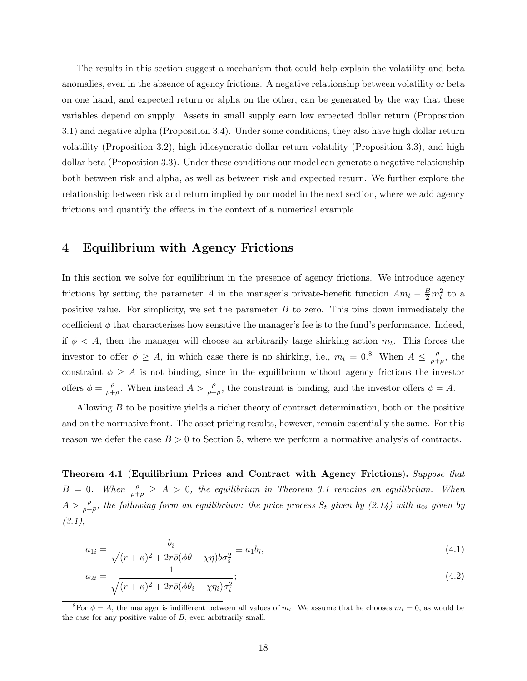The results in this section suggest a mechanism that could help explain the volatility and beta anomalies, even in the absence of agency frictions. A negative relationship between volatility or beta on one hand, and expected return or alpha on the other, can be generated by the way that these variables depend on supply. Assets in small supply earn low expected dollar return (Proposition 3.1) and negative alpha (Proposition 3.4). Under some conditions, they also have high dollar return volatility (Proposition 3.2), high idiosyncratic dollar return volatility (Proposition 3.3), and high dollar beta (Proposition 3.3). Under these conditions our model can generate a negative relationship both between risk and alpha, as well as between risk and expected return. We further explore the relationship between risk and return implied by our model in the next section, where we add agency frictions and quantify the effects in the context of a numerical example.

### 4 Equilibrium with Agency Frictions

In this section we solve for equilibrium in the presence of agency frictions. We introduce agency frictions by setting the parameter A in the manager's private-benefit function  $Am_t - \frac{B}{2}m_t^2$  to a positive value. For simplicity, we set the parameter  $B$  to zero. This pins down immediately the coefficient  $\phi$  that characterizes how sensitive the manager's fee is to the fund's performance. Indeed, if  $\phi < A$ , then the manager will choose an arbitrarily large shirking action  $m_t$ . This forces the investor to offer  $\phi \geq A$ , in which case there is no shirking, i.e.,  $m_t = 0.8$  When  $A \leq \frac{\rho}{\rho + 1}$  $\frac{\rho}{\rho+\bar{\rho}},$  the constraint  $\phi \geq A$  is not binding, since in the equilibrium without agency frictions the investor offers  $\phi = \frac{\rho}{\rho + \rho}$  $\frac{\rho}{\rho+\bar{\rho}}$ . When instead  $A > \frac{\rho}{\rho+\bar{\rho}}$ , the constraint is binding, and the investor offers  $\phi = A$ .

Allowing  $B$  to be positive yields a richer theory of contract determination, both on the positive and on the normative front. The asset pricing results, however, remain essentially the same. For this reason we defer the case  $B > 0$  to Section 5, where we perform a normative analysis of contracts.

Theorem 4.1 (Equilibrium Prices and Contract with Agency Frictions). Suppose that  $B = 0$ . When  $\frac{\rho}{\rho + \bar{\rho}} \geq A > 0$ , the equilibrium in Theorem 3.1 remains an equilibrium. When  $A > \frac{\rho}{\rho+\bar{\rho}}$ , the following form an equilibrium: the price process  $S_t$  given by  $(2.14)$  with  $a_{0i}$  given by  $(3.1),$ 

$$
a_{1i} = \frac{b_i}{\sqrt{(r+\kappa)^2 + 2r\bar{\rho}(\phi\theta - \chi\eta)b\sigma_s^2}} \equiv a_1b_i,
$$
\n(4.1)

$$
a_{2i} = \frac{1}{\sqrt{(r+\kappa)^2 + 2r\bar{\rho}(\phi\theta_i - \chi\eta_i)\sigma_i^2}};
$$
\n(4.2)

<sup>&</sup>lt;sup>8</sup>For  $\phi = A$ , the manager is indifferent between all values of  $m_t$ . We assume that he chooses  $m_t = 0$ , as would be the case for any positive value of B, even arbitrarily small.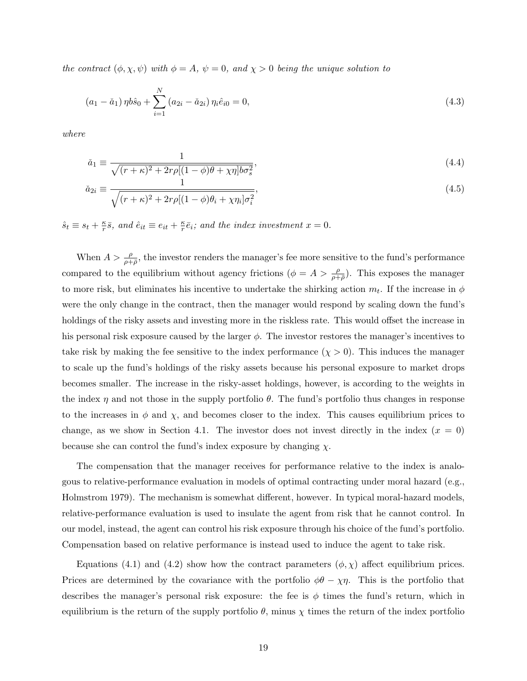the contract  $(\phi, \chi, \psi)$  with  $\phi = A$ ,  $\psi = 0$ , and  $\chi > 0$  being the unique solution to

$$
(a_1 - \check{a}_1) \eta b \hat{s}_0 + \sum_{i=1}^{N} (a_{2i} - \check{a}_{2i}) \eta_i \hat{e}_{i0} = 0,
$$
\n(4.3)

where

$$
\check{a}_1 \equiv \frac{1}{\sqrt{(r+\kappa)^2 + 2r\rho[(1-\phi)\theta + \chi\eta]b\sigma_s^2}},\tag{4.4}
$$

$$
\check{a}_{2i} \equiv \frac{1}{\sqrt{(r+\kappa)^2 + 2r\rho[(1-\phi)\theta_i + \chi\eta_i]\sigma_i^2}},\tag{4.5}
$$

 $\hat{s}_t \equiv s_t + \frac{\kappa}{r}$  $\frac{\kappa}{r}\bar{s}$ , and  $\hat{e}_{it} \equiv e_{it} + \frac{\kappa}{r}$  $\frac{\kappa}{r}\bar{e}_i$ ; and the index investment  $x=0$ .

When  $A > \frac{\rho}{\rho+\bar{\rho}}$ , the investor renders the manager's fee more sensitive to the fund's performance compared to the equilibrium without agency frictions  $(\phi = A > \frac{\rho}{\rho + \bar{\rho}})$ . This exposes the manager to more risk, but eliminates his incentive to undertake the shirking action  $m_t$ . If the increase in  $\phi$ were the only change in the contract, then the manager would respond by scaling down the fund's holdings of the risky assets and investing more in the riskless rate. This would offset the increase in his personal risk exposure caused by the larger  $\phi$ . The investor restores the manager's incentives to take risk by making the fee sensitive to the index performance  $(\chi > 0)$ . This induces the manager to scale up the fund's holdings of the risky assets because his personal exposure to market drops becomes smaller. The increase in the risky-asset holdings, however, is according to the weights in the index  $\eta$  and not those in the supply portfolio  $\theta$ . The fund's portfolio thus changes in response to the increases in  $\phi$  and  $\chi$ , and becomes closer to the index. This causes equilibrium prices to change, as we show in Section 4.1. The investor does not invest directly in the index  $(x = 0)$ because she can control the fund's index exposure by changing  $\chi$ .

The compensation that the manager receives for performance relative to the index is analogous to relative-performance evaluation in models of optimal contracting under moral hazard (e.g., Holmstrom 1979). The mechanism is somewhat different, however. In typical moral-hazard models, relative-performance evaluation is used to insulate the agent from risk that he cannot control. In our model, instead, the agent can control his risk exposure through his choice of the fund's portfolio. Compensation based on relative performance is instead used to induce the agent to take risk.

Equations (4.1) and (4.2) show how the contract parameters  $(\phi, \chi)$  affect equilibrium prices. Prices are determined by the covariance with the portfolio  $\phi\theta - \chi\eta$ . This is the portfolio that describes the manager's personal risk exposure: the fee is  $\phi$  times the fund's return, which in equilibrium is the return of the supply portfolio  $\theta$ , minus  $\chi$  times the return of the index portfolio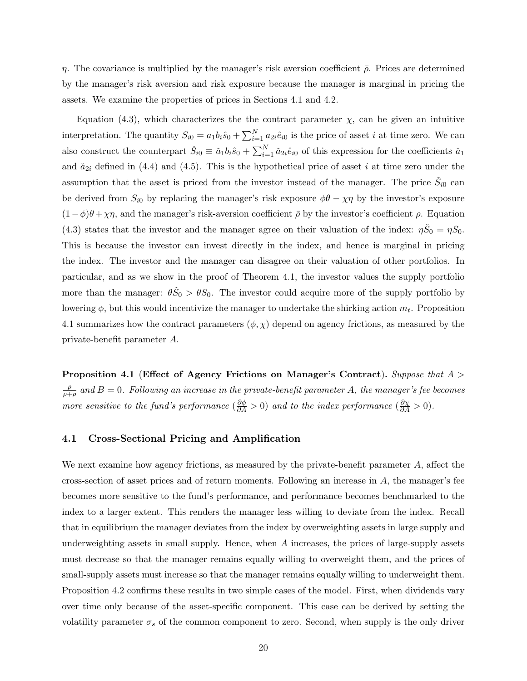η. The covariance is multiplied by the manager's risk aversion coefficient  $\bar{\rho}$ . Prices are determined by the manager's risk aversion and risk exposure because the manager is marginal in pricing the assets. We examine the properties of prices in Sections 4.1 and 4.2.

Equation (4.3), which characterizes the the contract parameter  $\chi$ , can be given an intuitive interpretation. The quantity  $S_{i0} = a_1 b_i \hat{s}_0 + \sum_{i=1}^{N} a_{2i} \hat{e}_{i0}$  is the price of asset *i* at time zero. We can also construct the counterpart  $\check{S}_{i0} \equiv \check{a}_1 b_i \hat{s}_0 + \sum_{i=1}^N \check{a}_{2i} \hat{e}_{i0}$  of this expression for the coefficients  $\check{a}_1$ and  $\check{a}_{2i}$  defined in (4.4) and (4.5). This is the hypothetical price of asset i at time zero under the assumption that the asset is priced from the investor instead of the manager. The price  $\check{S}_{i0}$  can be derived from  $S_{i0}$  by replacing the manager's risk exposure  $\phi\theta - \chi\eta$  by the investor's exposure  $(1-\phi)\theta + \chi\eta$ , and the manager's risk-aversion coefficient  $\bar{\rho}$  by the investor's coefficient  $\rho$ . Equation (4.3) states that the investor and the manager agree on their valuation of the index:  $\eta \check{S}_0 = \eta S_0$ . This is because the investor can invest directly in the index, and hence is marginal in pricing the index. The investor and the manager can disagree on their valuation of other portfolios. In particular, and as we show in the proof of Theorem 4.1, the investor values the supply portfolio more than the manager:  $\theta \check{S}_0 > \theta S_0$ . The investor could acquire more of the supply portfolio by lowering  $\phi$ , but this would incentivize the manager to undertake the shirking action  $m_t$ . Proposition 4.1 summarizes how the contract parameters  $(\phi, \chi)$  depend on agency frictions, as measured by the private-benefit parameter A.

Proposition 4.1 (Effect of Agency Frictions on Manager's Contract). Suppose that  $A >$ ρ  $\frac{\rho}{\rho+\bar{\rho}}$  and  $B=0$ . Following an increase in the private-benefit parameter A, the manager's fee becomes more sensitive to the fund's performance  $\left(\frac{\partial \phi}{\partial A} > 0\right)$  and to the index performance  $\left(\frac{\partial \chi}{\partial A} > 0\right)$ .

### 4.1 Cross-Sectional Pricing and Amplification

We next examine how agency frictions, as measured by the private-benefit parameter A, affect the cross-section of asset prices and of return moments. Following an increase in A, the manager's fee becomes more sensitive to the fund's performance, and performance becomes benchmarked to the index to a larger extent. This renders the manager less willing to deviate from the index. Recall that in equilibrium the manager deviates from the index by overweighting assets in large supply and underweighting assets in small supply. Hence, when A increases, the prices of large-supply assets must decrease so that the manager remains equally willing to overweight them, and the prices of small-supply assets must increase so that the manager remains equally willing to underweight them. Proposition 4.2 confirms these results in two simple cases of the model. First, when dividends vary over time only because of the asset-specific component. This case can be derived by setting the volatility parameter  $\sigma_s$  of the common component to zero. Second, when supply is the only driver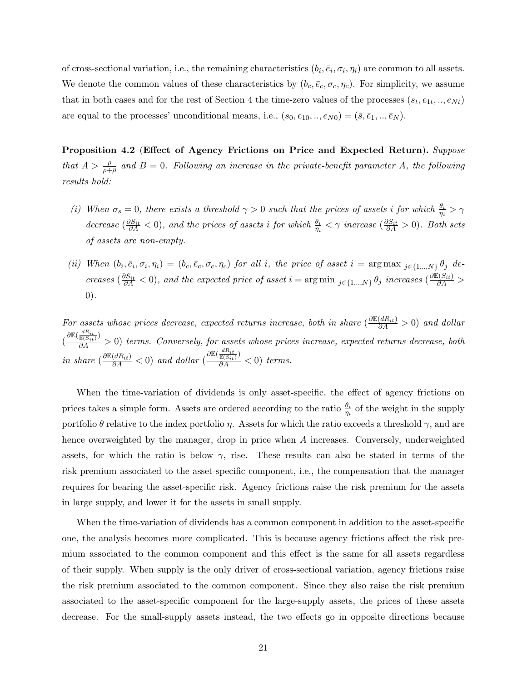of cross-sectional variation, i.e., the remaining characteristics  $(b_i, \bar{e}_i, \sigma_i, \eta_i)$  are common to all assets. We denote the common values of these characteristics by  $(b_c, \bar{e}_c, \sigma_c, \eta_c)$ . For simplicity, we assume that in both cases and for the rest of Section 4 the time-zero values of the processes  $(s_t, e_{1t}, ..., e_{Nt})$ are equal to the processes' unconditional means, i.e.,  $(s_0, e_{10}, ..., e_{N0}) = (\bar{s}, \bar{e}_1, ..., \bar{e}_N)$ .

Proposition 4.2 (Effect of Agency Frictions on Price and Expected Return). Suppose that  $A > \frac{\rho}{\rho + \bar{\rho}}$  and  $B = 0$ . Following an increase in the private-benefit parameter A, the following results hold:

- (i) When  $\sigma_s = 0$ , there exists a threshold  $\gamma > 0$  such that the prices of assets i for which  $\frac{\theta_i}{\eta_i} > \gamma$ decrease  $(\frac{\partial S_{it}}{\partial A} < 0)$ , and the prices of assets i for which  $\frac{\theta_i}{\eta_i} < \gamma$  increase  $(\frac{\partial S_{it}}{\partial A} > 0)$ . Both sets of assets are non-empty.
- (ii) When  $(b_i, \bar{e}_i, \sigma_i, \eta_i) = (b_c, \bar{e}_c, \sigma_c, \eta_c)$  for all i, the price of asset  $i = \arg \max_{j \in \{1, ..., N\}} \theta_j$  decreases  $(\frac{\partial S_{it}}{\partial A} < 0)$ , and the expected price of asset  $i = \arg \min_{j \in \{1,..,N\}} \theta_j$  increases  $(\frac{\partial \mathbb{E}(S_{it})}{\partial A} >$ 0).

For assets whose prices decrease, expected returns increase, both in share  $\left(\frac{\partial \mathbb{E}(dR_{it})}{\partial A} > 0\right)$  and dollar  $\left(\frac{\partial \mathbb{E}(\frac{dR_{it}}{\mathbb{E}(S_{it})})}{\partial A}\right)$  terms. Conversely, for assets whose prices increase, expected returns decrease, both in share  $\left(\frac{\partial \mathbb{E}(dR_{it})}{\partial A} < 0\right)$  and dollar  $\left(\frac{\partial \mathbb{E}(\frac{dR_{it}}{\mathbb{E}(S_{it})})}{\partial A} < 0\right)$  terms.

When the time-variation of dividends is only asset-specific, the effect of agency frictions on prices takes a simple form. Assets are ordered according to the ratio  $\frac{\theta_i}{\eta_i}$  of the weight in the supply portfolio  $\theta$  relative to the index portfolio  $\eta$ . Assets for which the ratio exceeds a threshold  $\gamma$ , and are hence overweighted by the manager, drop in price when A increases. Conversely, underweighted assets, for which the ratio is below  $\gamma$ , rise. These results can also be stated in terms of the risk premium associated to the asset-specific component, i.e., the compensation that the manager requires for bearing the asset-specific risk. Agency frictions raise the risk premium for the assets in large supply, and lower it for the assets in small supply.

When the time-variation of dividends has a common component in addition to the asset-specific one, the analysis becomes more complicated. This is because agency frictions affect the risk premium associated to the common component and this effect is the same for all assets regardless of their supply. When supply is the only driver of cross-sectional variation, agency frictions raise the risk premium associated to the common component. Since they also raise the risk premium associated to the asset-specific component for the large-supply assets, the prices of these assets decrease. For the small-supply assets instead, the two effects go in opposite directions because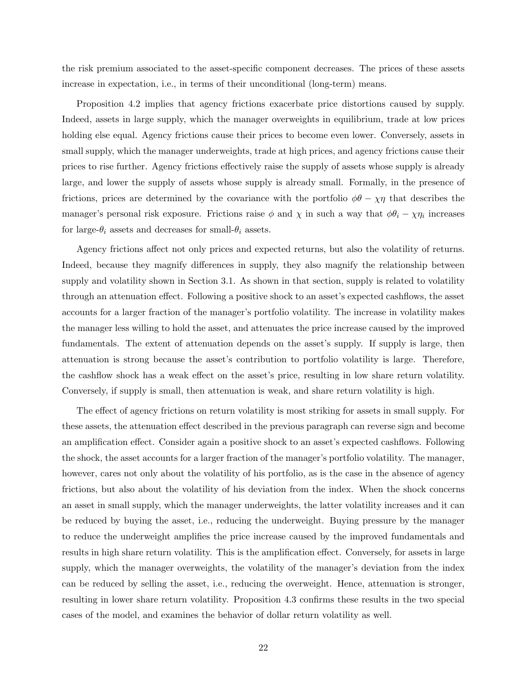the risk premium associated to the asset-specific component decreases. The prices of these assets increase in expectation, i.e., in terms of their unconditional (long-term) means.

Proposition 4.2 implies that agency frictions exacerbate price distortions caused by supply. Indeed, assets in large supply, which the manager overweights in equilibrium, trade at low prices holding else equal. Agency frictions cause their prices to become even lower. Conversely, assets in small supply, which the manager underweights, trade at high prices, and agency frictions cause their prices to rise further. Agency frictions effectively raise the supply of assets whose supply is already large, and lower the supply of assets whose supply is already small. Formally, in the presence of frictions, prices are determined by the covariance with the portfolio  $\phi\theta - \chi\eta$  that describes the manager's personal risk exposure. Frictions raise  $\phi$  and  $\chi$  in such a way that  $\phi \theta_i - \chi \eta_i$  increases for large- $\theta_i$  assets and decreases for small- $\theta_i$  assets.

Agency frictions affect not only prices and expected returns, but also the volatility of returns. Indeed, because they magnify differences in supply, they also magnify the relationship between supply and volatility shown in Section 3.1. As shown in that section, supply is related to volatility through an attenuation effect. Following a positive shock to an asset's expected cashflows, the asset accounts for a larger fraction of the manager's portfolio volatility. The increase in volatility makes the manager less willing to hold the asset, and attenuates the price increase caused by the improved fundamentals. The extent of attenuation depends on the asset's supply. If supply is large, then attenuation is strong because the asset's contribution to portfolio volatility is large. Therefore, the cashflow shock has a weak effect on the asset's price, resulting in low share return volatility. Conversely, if supply is small, then attenuation is weak, and share return volatility is high.

The effect of agency frictions on return volatility is most striking for assets in small supply. For these assets, the attenuation effect described in the previous paragraph can reverse sign and become an amplification effect. Consider again a positive shock to an asset's expected cashflows. Following the shock, the asset accounts for a larger fraction of the manager's portfolio volatility. The manager, however, cares not only about the volatility of his portfolio, as is the case in the absence of agency frictions, but also about the volatility of his deviation from the index. When the shock concerns an asset in small supply, which the manager underweights, the latter volatility increases and it can be reduced by buying the asset, i.e., reducing the underweight. Buying pressure by the manager to reduce the underweight amplifies the price increase caused by the improved fundamentals and results in high share return volatility. This is the amplification effect. Conversely, for assets in large supply, which the manager overweights, the volatility of the manager's deviation from the index can be reduced by selling the asset, i.e., reducing the overweight. Hence, attenuation is stronger, resulting in lower share return volatility. Proposition 4.3 confirms these results in the two special cases of the model, and examines the behavior of dollar return volatility as well.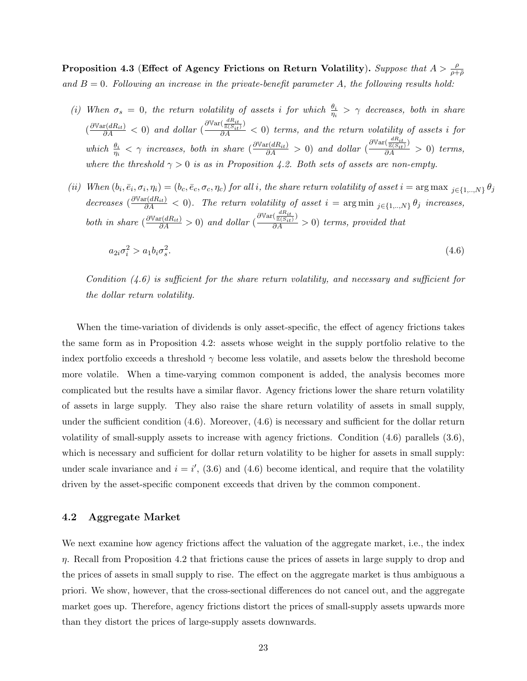Proposition 4.3 (Effect of Agency Frictions on Return Volatility). Suppose that  $A > \frac{\rho}{\rho + \bar{\rho}}$ and  $B = 0$ . Following an increase in the private-benefit parameter A, the following results hold:

- (i) When  $\sigma_s = 0$ , the return volatility of assets i for which  $\frac{\theta_i}{\eta_i} > \gamma$  decreases, both in share  $\left(\frac{\partial \mathbb{V}\mathrm{ar}(dR_{it})}{\partial A} \right)$  and dollar (  $\frac{\partial \mathbb{V}\mathrm{ar}(\frac{dR_{it}}{\mathbb{E}(S_{it})})}{\partial A} < 0$ ) terms, and the return volatility of assets i for which  $\frac{\theta_i}{\eta_i} < \gamma$  increases, both in share  $\left(\frac{\partial \text{Var}(dR_{it})}{\partial A} > 0\right)$  and dollar (  $\frac{\partial \mathbb{V}\mathrm{ar}(\frac{dR_{it}}{\mathbb{E}(S_{it})})}{\partial A} > 0$ ) terms, where the threshold  $\gamma > 0$  is as in Proposition 4.2. Both sets of assets are non-empty.
- (ii) When  $(b_i, \bar{e}_i, \sigma_i, \eta_i) = (b_c, \bar{e}_c, \sigma_c, \eta_c)$  for all i, the share return volatility of asset  $i = \arg \max_{j \in \{1, ..., N\}} \theta_j$ decreases  $\left(\frac{\partial \text{Var}(dR_{it})}{\partial A} < 0\right)$ . The return volatility of asset  $i = \arg \min_{j \in \{1, ..., N\}} \theta_j$  increases, both in share  $\left(\frac{\partial \text{Var}(dR_{it})}{\partial A} > 0\right)$  and dollar (  $\frac{\partial \mathbb{V}\text{ar}(\frac{dR_{it}}{\mathbb{E}(S_{it})})}{\partial A} > 0$ ) terms, provided that

$$
a_{2i}\sigma_i^2 > a_1b_i\sigma_s^2. \tag{4.6}
$$

Condition  $(4.6)$  is sufficient for the share return volatility, and necessary and sufficient for the dollar return volatility.

When the time-variation of dividends is only asset-specific, the effect of agency frictions takes the same form as in Proposition 4.2: assets whose weight in the supply portfolio relative to the index portfolio exceeds a threshold  $\gamma$  become less volatile, and assets below the threshold become more volatile. When a time-varying common component is added, the analysis becomes more complicated but the results have a similar flavor. Agency frictions lower the share return volatility of assets in large supply. They also raise the share return volatility of assets in small supply, under the sufficient condition (4.6). Moreover, (4.6) is necessary and sufficient for the dollar return volatility of small-supply assets to increase with agency frictions. Condition (4.6) parallels (3.6), which is necessary and sufficient for dollar return volatility to be higher for assets in small supply: under scale invariance and  $i = i'$ , (3.6) and (4.6) become identical, and require that the volatility driven by the asset-specific component exceeds that driven by the common component.

### 4.2 Aggregate Market

We next examine how agency frictions affect the valuation of the aggregate market, i.e., the index  $\eta$ . Recall from Proposition 4.2 that frictions cause the prices of assets in large supply to drop and the prices of assets in small supply to rise. The effect on the aggregate market is thus ambiguous a priori. We show, however, that the cross-sectional differences do not cancel out, and the aggregate market goes up. Therefore, agency frictions distort the prices of small-supply assets upwards more than they distort the prices of large-supply assets downwards.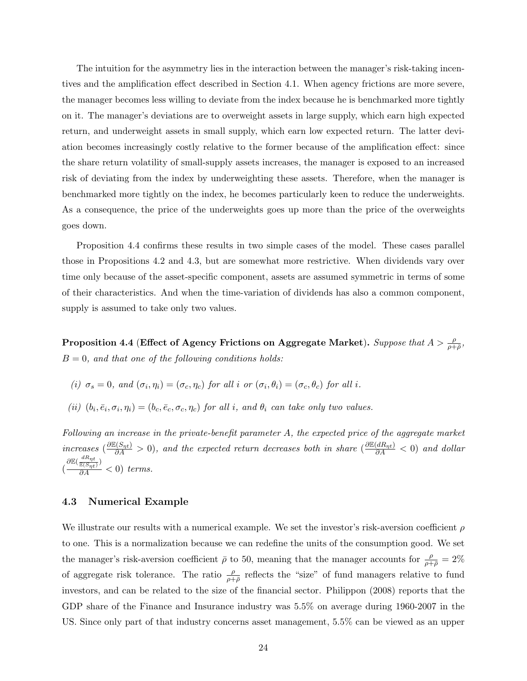The intuition for the asymmetry lies in the interaction between the manager's risk-taking incentives and the amplification effect described in Section 4.1. When agency frictions are more severe, the manager becomes less willing to deviate from the index because he is benchmarked more tightly on it. The manager's deviations are to overweight assets in large supply, which earn high expected return, and underweight assets in small supply, which earn low expected return. The latter deviation becomes increasingly costly relative to the former because of the amplification effect: since the share return volatility of small-supply assets increases, the manager is exposed to an increased risk of deviating from the index by underweighting these assets. Therefore, when the manager is benchmarked more tightly on the index, he becomes particularly keen to reduce the underweights. As a consequence, the price of the underweights goes up more than the price of the overweights goes down.

Proposition 4.4 confirms these results in two simple cases of the model. These cases parallel those in Propositions 4.2 and 4.3, but are somewhat more restrictive. When dividends vary over time only because of the asset-specific component, assets are assumed symmetric in terms of some of their characteristics. And when the time-variation of dividends has also a common component, supply is assumed to take only two values.

Proposition 4.4 (Effect of Agency Frictions on Aggregate Market). Suppose that  $A > \frac{\rho}{\rho + \bar{\rho}},$  $B = 0$ , and that one of the following conditions holds:

(i) 
$$
\sigma_s = 0
$$
, and  $(\sigma_i, \eta_i) = (\sigma_c, \eta_c)$  for all i or  $(\sigma_i, \theta_i) = (\sigma_c, \theta_c)$  for all i.

(ii)  $(b_i, \bar{e}_i, \sigma_i, \eta_i) = (b_c, \bar{e}_c, \sigma_c, \eta_c)$  for all i, and  $\theta_i$  can take only two values.

Following an increase in the private-benefit parameter A, the expected price of the aggregate market increases  $\left(\frac{\partial \mathbb{E}(S_{\eta t})}{\partial A}\right) > 0$ , and the expected return decreases both in share  $\left(\frac{\partial \mathbb{E}(dR_{\eta t})}{\partial A}\right) < 0$  and dollar (  $\frac{\partial \mathbb{E}(\frac{dR_{\eta t}}{\mathbb{E}(S_{\eta t})})}{\partial A}<0)$  terms.

### 4.3 Numerical Example

We illustrate our results with a numerical example. We set the investor's risk-aversion coefficient  $\rho$ to one. This is a normalization because we can redefine the units of the consumption good. We set the manager's risk-aversion coefficient  $\bar{\rho}$  to 50, meaning that the manager accounts for  $\frac{\rho}{\rho+\bar{\rho}}=2\%$ of aggregate risk tolerance. The ratio  $\frac{\rho}{\rho+\bar{\rho}}$  reflects the "size" of fund managers relative to fund investors, and can be related to the size of the financial sector. Philippon (2008) reports that the GDP share of the Finance and Insurance industry was 5.5% on average during 1960-2007 in the US. Since only part of that industry concerns asset management, 5.5% can be viewed as an upper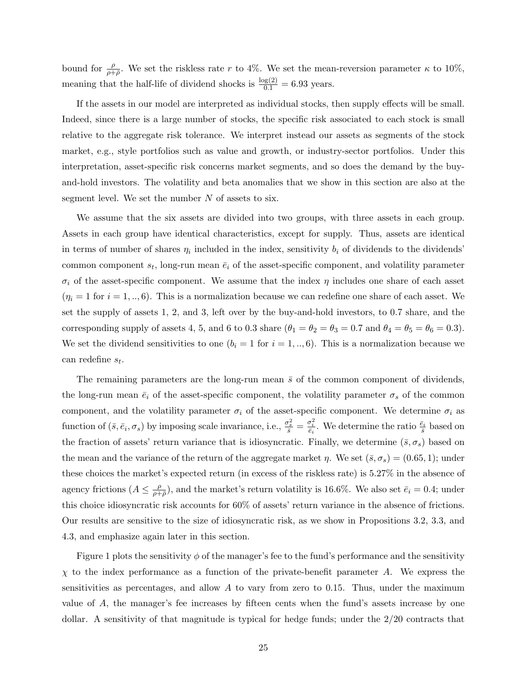bound for  $\frac{\rho}{\rho+\bar{\rho}}$ . We set the riskless rate r to 4%. We set the mean-reversion parameter  $\kappa$  to 10%, meaning that the half-life of dividend shocks is  $\frac{\log(2)}{0.1} = 6.93$  years.

If the assets in our model are interpreted as individual stocks, then supply effects will be small. Indeed, since there is a large number of stocks, the specific risk associated to each stock is small relative to the aggregate risk tolerance. We interpret instead our assets as segments of the stock market, e.g., style portfolios such as value and growth, or industry-sector portfolios. Under this interpretation, asset-specific risk concerns market segments, and so does the demand by the buyand-hold investors. The volatility and beta anomalies that we show in this section are also at the segment level. We set the number  $N$  of assets to six.

We assume that the six assets are divided into two groups, with three assets in each group. Assets in each group have identical characteristics, except for supply. Thus, assets are identical in terms of number of shares  $\eta_i$  included in the index, sensitivity  $b_i$  of dividends to the dividends' common component  $s_t$ , long-run mean  $\bar{e}_i$  of the asset-specific component, and volatility parameter  $\sigma_i$  of the asset-specific component. We assume that the index  $\eta$  includes one share of each asset  $(\eta_i = 1 \text{ for } i = 1, ..., 6)$ . This is a normalization because we can redefine one share of each asset. We set the supply of assets 1, 2, and 3, left over by the buy-and-hold investors, to 0.7 share, and the corresponding supply of assets 4, 5, and 6 to 0.3 share  $(\theta_1 = \theta_2 = \theta_3 = 0.7$  and  $\theta_4 = \theta_5 = \theta_6 = 0.3)$ . We set the dividend sensitivities to one  $(b_i = 1 \text{ for } i = 1, ..., 6)$ . This is a normalization because we can redefine  $s_t$ .

The remaining parameters are the long-run mean  $\bar{s}$  of the common component of dividends, the long-run mean  $\bar{e}_i$  of the asset-specific component, the volatility parameter  $\sigma_s$  of the common component, and the volatility parameter  $\sigma_i$  of the asset-specific component. We determine  $\sigma_i$  as function of  $(\bar{s}, \bar{e}_i, \sigma_s)$  by imposing scale invariance, i.e.,  $\frac{\sigma_s^2}{\bar{s}} = \frac{\sigma_i^2}{\bar{e}_i}$ . We determine the ratio  $\frac{\bar{e}_i}{\bar{s}}$  based on the fraction of assets' return variance that is idiosyncratic. Finally, we determine  $(\bar{s}, \sigma_s)$  based on the mean and the variance of the return of the aggregate market  $\eta$ . We set  $(\bar{s}, \sigma_s) = (0.65, 1)$ ; under these choices the market's expected return (in excess of the riskless rate) is 5.27% in the absence of agency frictions  $(A \leq \frac{\rho}{\rho+1})$  $\frac{\rho}{\rho+\bar{\rho}}$ ), and the market's return volatility is 16.6%. We also set  $\bar{e}_i = 0.4$ ; under this choice idiosyncratic risk accounts for 60% of assets' return variance in the absence of frictions. Our results are sensitive to the size of idiosyncratic risk, as we show in Propositions 3.2, 3.3, and 4.3, and emphasize again later in this section.

Figure 1 plots the sensitivity  $\phi$  of the manager's fee to the fund's performance and the sensitivity  $\chi$  to the index performance as a function of the private-benefit parameter A. We express the sensitivities as percentages, and allow  $A$  to vary from zero to 0.15. Thus, under the maximum value of A, the manager's fee increases by fifteen cents when the fund's assets increase by one dollar. A sensitivity of that magnitude is typical for hedge funds; under the 2/20 contracts that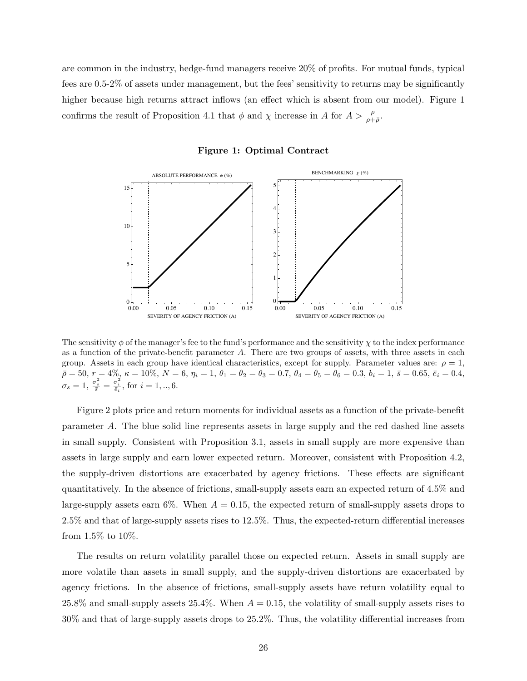are common in the industry, hedge-fund managers receive 20% of profits. For mutual funds, typical fees are 0.5-2% of assets under management, but the fees' sensitivity to returns may be significantly higher because high returns attract inflows (an effect which is absent from our model). Figure 1 confirms the result of Proposition 4.1 that  $\phi$  and  $\chi$  increase in A for  $A > \frac{\rho}{\rho + \bar{\rho}}$ .



### Figure 1: Optimal Contract

The sensitivity  $\phi$  of the manager's fee to the fund's performance and the sensitivity  $\chi$  to the index performance as a function of the private-benefit parameter A. There are two groups of assets, with three assets in each group. Assets in each group have identical characteristics, except for supply. Parameter values are:  $\rho = 1$ ,  $\bar{\rho}=50,\,r=4\%,\,\kappa=10\%,\,N=6,\,\eta_i=1,\,\theta_1=\theta_2=\theta_3=0.7,\,\theta_4=\theta_5=\theta_6=0.3,\,b_i=1,\,\bar{s}=0.65,\,\bar{e}_i=0.4,$  $\sigma_s = 1, \frac{\sigma_s^2}{\bar{s}} = \frac{\sigma_i^2}{\bar{e}_i}, \text{ for } i = 1, ..., 6.$ 

Figure 2 plots price and return moments for individual assets as a function of the private-benefit parameter A. The blue solid line represents assets in large supply and the red dashed line assets in small supply. Consistent with Proposition 3.1, assets in small supply are more expensive than assets in large supply and earn lower expected return. Moreover, consistent with Proposition 4.2, the supply-driven distortions are exacerbated by agency frictions. These effects are significant quantitatively. In the absence of frictions, small-supply assets earn an expected return of 4.5% and large-supply assets earn 6%. When  $A = 0.15$ , the expected return of small-supply assets drops to 2.5% and that of large-supply assets rises to 12.5%. Thus, the expected-return differential increases from 1.5% to 10%.

The results on return volatility parallel those on expected return. Assets in small supply are more volatile than assets in small supply, and the supply-driven distortions are exacerbated by agency frictions. In the absence of frictions, small-supply assets have return volatility equal to 25.8% and small-supply assets 25.4%. When  $A = 0.15$ , the volatility of small-supply assets rises to 30% and that of large-supply assets drops to 25.2%. Thus, the volatility differential increases from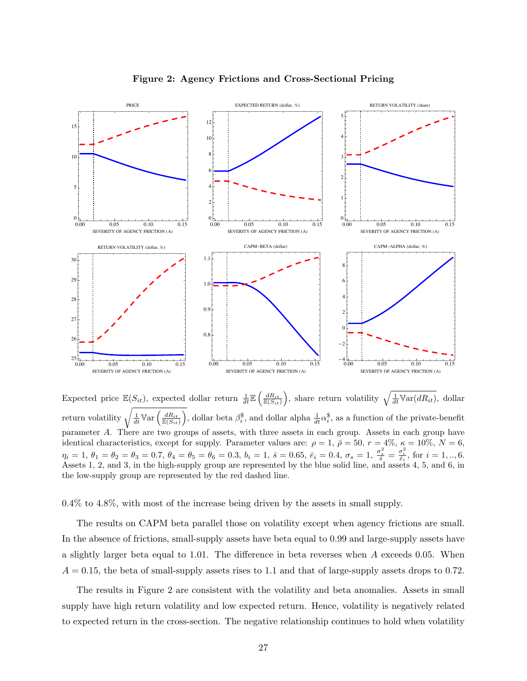

Figure 2: Agency Frictions and Cross-Sectional Pricing

Expected price  $\mathbb{E}(S_{it})$ , expected dollar return  $\frac{1}{dt} \mathbb{E}\left(\frac{dR_{it}}{\mathbb{E}(S_{it})}\right)$ , share return volatility  $\sqrt{\frac{1}{dt} \mathbb{V}\text{ar}(dR_{it})}$ , dollar return volatility  $\sqrt{\frac{1}{dt}\mathbb{V}\text{ar} \left(\frac{dR_{it}}{\mathbb{E}(S_{it})}\right)}$ , dollar beta  $\beta_i^{\$}$ , and dollar alpha  $\frac{1}{dt}\alpha_i^{\$}$ , as a function of the private-benefit parameter A. There are two groups of assets, with three assets in each group. Assets in each group have identical characteristics, except for supply. Parameter values are:  $\rho = 1$ ,  $\bar{\rho} = 50$ ,  $r = 4\%$ ,  $\kappa = 10\%$ ,  $N = 6$ ,  $\eta_i = 1, \ \theta_1 = \theta_2 = \theta_3 = 0.7, \ \theta_4 = \theta_5 = \theta_6 = 0.3, \ b_i = 1, \ \bar{s} = 0.65, \ \bar{e}_i = 0.4, \ \sigma_s = 1, \ \frac{\sigma_s^2}{\bar{s}} = \frac{\sigma_i^2}{\bar{e}_i}, \text{ for } i = 1, ..., 6.$ Assets 1, 2, and 3, in the high-supply group are represented by the blue solid line, and assets 4, 5, and 6, in the low-supply group are represented by the red dashed line.

0.4% to 4.8%, with most of the increase being driven by the assets in small supply.

The results on CAPM beta parallel those on volatility except when agency frictions are small. In the absence of frictions, small-supply assets have beta equal to 0.99 and large-supply assets have a slightly larger beta equal to 1.01. The difference in beta reverses when A exceeds 0.05. When  $A = 0.15$ , the beta of small-supply assets rises to 1.1 and that of large-supply assets drops to 0.72.

The results in Figure 2 are consistent with the volatility and beta anomalies. Assets in small supply have high return volatility and low expected return. Hence, volatility is negatively related to expected return in the cross-section. The negative relationship continues to hold when volatility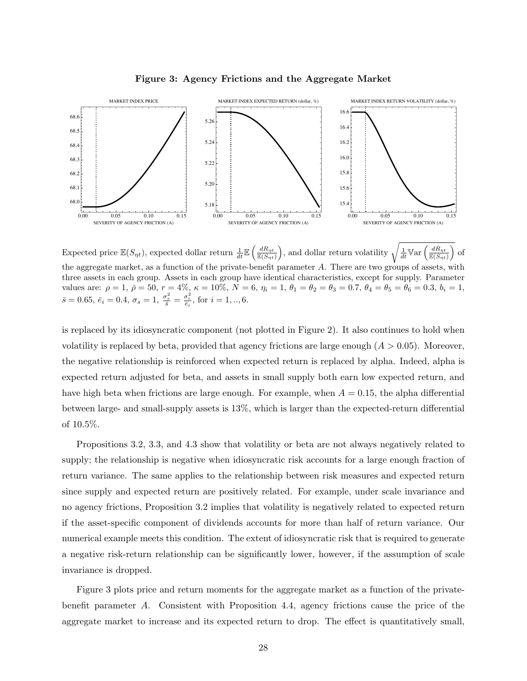

Figure 3: Agency Frictions and the Aggregate Market

Expected price  $\mathbb{E}(S_{\eta t})$ , expected dollar return  $\frac{1}{dt} \mathbb{E}\left(\frac{dR_{\eta t}}{\mathbb{E}(S_{\eta t})}\right)$ , and dollar return volatility  $\sqrt{\frac{dR_{\eta t}}{dR}}$  $\frac{1}{dt}$ Var $\Big($  $\frac{dR_{\eta t}}{\mathbb{E}(S_{\eta t})}$  $\setminus$ of the aggregate market, as a function of the private-benefit parameter A. There are two groups of assets, with three assets in each group. Assets in each group have identical characteristics, except for supply. Parameter values are:  $\rho = 1$ ,  $\bar{\rho} = 50$ ,  $r = 4\%, \kappa = 10\%, N = 6$ ,  $\eta_i = 1$ ,  $\theta_1 = \theta_2 = \theta_3 = 0.7$ ,  $\theta_4 = \theta_5 = \theta_6 = 0.3$ ,  $b_i = 1$ ,  $\bar{s}=0.65, \ \bar{e}_i=0.4, \ \sigma_s=1, \ \frac{\sigma_s^2}{\bar{s}}=\frac{\sigma_i^2}{\bar{e}_i}, \ \text{for} \ \, i=1,..,6.$ 

is replaced by its idiosyncratic component (not plotted in Figure 2). It also continues to hold when volatility is replaced by beta, provided that agency frictions are large enough  $(A > 0.05)$ . Moreover, the negative relationship is reinforced when expected return is replaced by alpha. Indeed, alpha is expected return adjusted for beta, and assets in small supply both earn low expected return, and have high beta when frictions are large enough. For example, when  $A = 0.15$ , the alpha differential between large- and small-supply assets is 13%, which is larger than the expected-return differential of 10.5%.

Propositions 3.2, 3.3, and 4.3 show that volatility or beta are not always negatively related to supply; the relationship is negative when idiosyncratic risk accounts for a large enough fraction of return variance. The same applies to the relationship between risk measures and expected return since supply and expected return are positively related. For example, under scale invariance and no agency frictions, Proposition 3.2 implies that volatility is negatively related to expected return if the asset-specific component of dividends accounts for more than half of return variance. Our numerical example meets this condition. The extent of idiosyncratic risk that is required to generate a negative risk-return relationship can be significantly lower, however, if the assumption of scale invariance is dropped.

Figure 3 plots price and return moments for the aggregate market as a function of the privatebenefit parameter A. Consistent with Proposition 4.4, agency frictions cause the price of the aggregate market to increase and its expected return to drop. The effect is quantitatively small,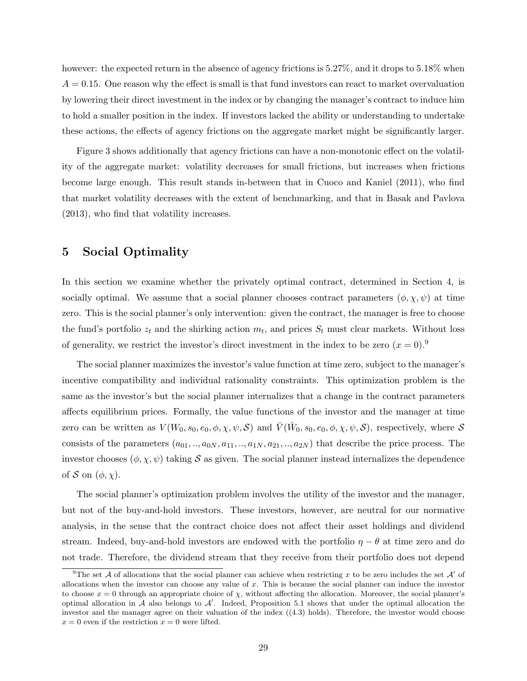however: the expected return in the absence of agency frictions is 5.27%, and it drops to 5.18% when  $A = 0.15$ . One reason why the effect is small is that fund investors can react to market overvaluation by lowering their direct investment in the index or by changing the manager's contract to induce him to hold a smaller position in the index. If investors lacked the ability or understanding to undertake these actions, the effects of agency frictions on the aggregate market might be significantly larger.

Figure 3 shows additionally that agency frictions can have a non-monotonic effect on the volatility of the aggregate market: volatility decreases for small frictions, but increases when frictions become large enough. This result stands in-between that in Cuoco and Kaniel (2011), who find that market volatility decreases with the extent of benchmarking, and that in Basak and Pavlova (2013), who find that volatility increases.

# 5 Social Optimality

In this section we examine whether the privately optimal contract, determined in Section 4, is socially optimal. We assume that a social planner chooses contract parameters  $(\phi, \chi, \psi)$  at time zero. This is the social planner's only intervention: given the contract, the manager is free to choose the fund's portfolio  $z_t$  and the shirking action  $m_t$ , and prices  $S_t$  must clear markets. Without loss of generality, we restrict the investor's direct investment in the index to be zero  $(x = 0)$ .<sup>9</sup>

The social planner maximizes the investor's value function at time zero, subject to the manager's incentive compatibility and individual rationality constraints. This optimization problem is the same as the investor's but the social planner internalizes that a change in the contract parameters affects equilibrium prices. Formally, the value functions of the investor and the manager at time zero can be written as  $V(W_0, s_0, e_0, \phi, \chi, \psi, \mathcal{S})$  and  $\overline{V}(\overline{W}_0, s_0, e_0, \phi, \chi, \psi, \mathcal{S})$ , respectively, where  $\mathcal{S}$ consists of the parameters  $(a_{01}, \ldots, a_{0N}, a_{11}, \ldots, a_{1N}, a_{21}, \ldots, a_{2N})$  that describe the price process. The investor chooses  $(\phi, \chi, \psi)$  taking S as given. The social planner instead internalizes the dependence of S on  $(\phi, \chi)$ .

The social planner's optimization problem involves the utility of the investor and the manager, but not of the buy-and-hold investors. These investors, however, are neutral for our normative analysis, in the sense that the contract choice does not affect their asset holdings and dividend stream. Indeed, buy-and-hold investors are endowed with the portfolio  $\eta - \theta$  at time zero and do not trade. Therefore, the dividend stream that they receive from their portfolio does not depend

<sup>&</sup>lt;sup>9</sup>The set A of allocations that the social planner can achieve when restricting x to be zero includes the set A' of allocations when the investor can choose any value of  $x$ . This is because the social planner can induce the investor to choose  $x = 0$  through an appropriate choice of  $\chi$ , without affecting the allocation. Moreover, the social planner's optimal allocation in  $A$  also belongs to  $A'$ . Indeed, Proposition 5.1 shows that under the optimal allocation the investor and the manager agree on their valuation of the index  $((4.3)$  holds). Therefore, the investor would choose  $x = 0$  even if the restriction  $x = 0$  were lifted.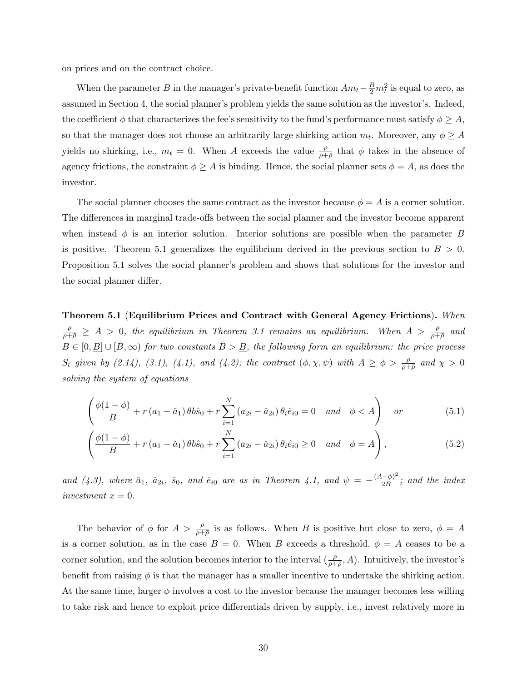on prices and on the contract choice.

When the parameter B in the manager's private-benefit function  $Am_t - \frac{B}{2}m_t^2$  is equal to zero, as assumed in Section 4, the social planner's problem yields the same solution as the investor's. Indeed, the coefficient  $\phi$  that characterizes the fee's sensitivity to the fund's performance must satisfy  $\phi \geq A$ , so that the manager does not choose an arbitrarily large shirking action  $m_t$ . Moreover, any  $\phi \geq A$ yields no shirking, i.e.,  $m_t = 0$ . When A exceeds the value  $\frac{\rho}{\rho+\bar{\rho}}$  that  $\phi$  takes in the absence of agency frictions, the constraint  $\phi \geq A$  is binding. Hence, the social planner sets  $\phi = A$ , as does the investor.

The social planner chooses the same contract as the investor because  $\phi = A$  is a corner solution. The differences in marginal trade-offs between the social planner and the investor become apparent when instead  $\phi$  is an interior solution. Interior solutions are possible when the parameter B is positive. Theorem 5.1 generalizes the equilibrium derived in the previous section to  $B > 0$ . Proposition 5.1 solves the social planner's problem and shows that solutions for the investor and the social planner differ.

Theorem 5.1 (Equilibrium Prices and Contract with General Agency Frictions). When  $\frac{\rho}{\rho+\bar{\rho}} \geq A > 0$ , the equilibrium in Theorem 3.1 remains an equilibrium. When  $A > \frac{\rho}{\rho+\bar{\rho}}$  and  $B \in [0, \underline{B}] \cup [\overline{B}, \infty)$  for two constants  $\overline{B} > \underline{B}$ , the following form an equilibrium: the price process  $S_t$  given by (2.14), (3.1), (4.1), and (4.2); the contract  $(\phi, \chi, \psi)$  with  $A \ge \phi > \frac{\rho}{\rho + \overline{\rho}}$  and  $\chi > 0$ solving the system of equations

$$
\left(\frac{\phi(1-\phi)}{B} + r\left(a_1 - \check{a}_1\right)\theta b\hat{s}_0 + r\sum_{i=1}^N \left(a_{2i} - \check{a}_{2i}\right)\theta_i \hat{e}_{i0} = 0 \quad and \quad \phi < A\right) \quad \text{or} \tag{5.1}
$$

$$
\left(\frac{\phi(1-\phi)}{B} + r\left(a_1 - \check{a}_1\right)\theta b\hat{s}_0 + r\sum_{i=1}^N \left(a_{2i} - \check{a}_{2i}\right)\theta_i \hat{e}_{i0} \ge 0 \quad and \quad \phi = A\right),\tag{5.2}
$$

and (4.3), where  $\check{a}_1$ ,  $\check{a}_{2i}$ ,  $\hat{s}_0$ , and  $\hat{e}_{i0}$  are as in Theorem 4.1, and  $\psi = -\frac{(A-\phi)^2}{2B}$  $\frac{(-\varphi)^2}{2B}$ ; and the index investment  $x = 0$ .

The behavior of  $\phi$  for  $A > \frac{\rho}{\rho + \overline{\rho}}$  is as follows. When B is positive but close to zero,  $\phi = A$ is a corner solution, as in the case  $B = 0$ . When B exceeds a threshold,  $\phi = A$  ceases to be a corner solution, and the solution becomes interior to the interval  $(\frac{\rho}{\rho+\bar{\rho}},A)$ . Intuitively, the investor's benefit from raising  $\phi$  is that the manager has a smaller incentive to undertake the shirking action. At the same time, larger  $\phi$  involves a cost to the investor because the manager becomes less willing to take risk and hence to exploit price differentials driven by supply, i.e., invest relatively more in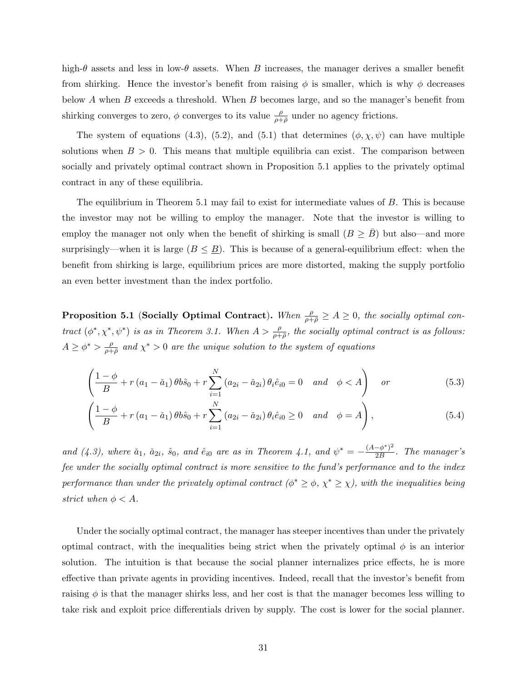high- $\theta$  assets and less in low- $\theta$  assets. When B increases, the manager derives a smaller benefit from shirking. Hence the investor's benefit from raising  $\phi$  is smaller, which is why  $\phi$  decreases below A when B exceeds a threshold. When B becomes large, and so the manager's benefit from shirking converges to zero,  $\phi$  converges to its value  $\frac{\rho}{\rho+\bar{\rho}}$  under no agency frictions.

The system of equations (4.3), (5.2), and (5.1) that determines  $(\phi, \chi, \psi)$  can have multiple solutions when  $B > 0$ . This means that multiple equilibria can exist. The comparison between socially and privately optimal contract shown in Proposition 5.1 applies to the privately optimal contract in any of these equilibria.

The equilibrium in Theorem 5.1 may fail to exist for intermediate values of B. This is because the investor may not be willing to employ the manager. Note that the investor is willing to employ the manager not only when the benefit of shirking is small  $(B \geq B)$  but also—and more surprisingly—when it is large  $(B \leq \underline{B})$ . This is because of a general-equilibrium effect: when the benefit from shirking is large, equilibrium prices are more distorted, making the supply portfolio an even better investment than the index portfolio.

**Proposition 5.1 (Socially Optimal Contract).** When  $\frac{\rho}{\rho+\bar{\rho}} \ge A \ge 0$ , the socially optimal contract  $(\phi^*, \chi^*, \psi^*)$  is as in Theorem 3.1. When  $A > \frac{\rho}{\rho + \bar{\rho}}$ , the socially optimal contract is as follows:  $A \geq \phi^* > \frac{\rho}{\rho + 1}$  $\frac{\rho}{\rho+\bar{\rho}}$  and  $\chi^*>0$  are the unique solution to the system of equations

$$
\left(\frac{1-\phi}{B} + r\left(a_1 - \check{a}_1\right)\theta b \hat{s}_0 + r \sum_{i=1}^N \left(a_{2i} - \check{a}_{2i}\right) \theta_i \hat{e}_{i0} = 0 \quad and \quad \phi < A\right) \quad \text{or} \tag{5.3}
$$

$$
\left(\frac{1-\phi}{B} + r\left(a_1 - \check{a}_1\right)\theta b \hat{s}_0 + r \sum_{i=1}^N \left(a_{2i} - \check{a}_{2i}\right) \theta_i \hat{e}_{i0} \ge 0 \quad and \quad \phi = A\right),\tag{5.4}
$$

and (4.3), where  $\check{a}_1$ ,  $\check{a}_{2i}$ ,  $\hat{s}_0$ , and  $\hat{e}_{i0}$  are as in Theorem 4.1, and  $\psi^* = -\frac{(A-\phi^*)^2}{2B}$  $\frac{(-\varphi^{\cdot})^2}{2B}$ . The manager's fee under the socially optimal contract is more sensitive to the fund's performance and to the index performance than under the privately optimal contract ( $\phi^* \geq \phi$ ,  $\chi^* \geq \chi$ ), with the inequalities being strict when  $\phi < A$ .

Under the socially optimal contract, the manager has steeper incentives than under the privately optimal contract, with the inequalities being strict when the privately optimal  $\phi$  is an interior solution. The intuition is that because the social planner internalizes price effects, he is more effective than private agents in providing incentives. Indeed, recall that the investor's benefit from raising  $\phi$  is that the manager shirks less, and her cost is that the manager becomes less willing to take risk and exploit price differentials driven by supply. The cost is lower for the social planner.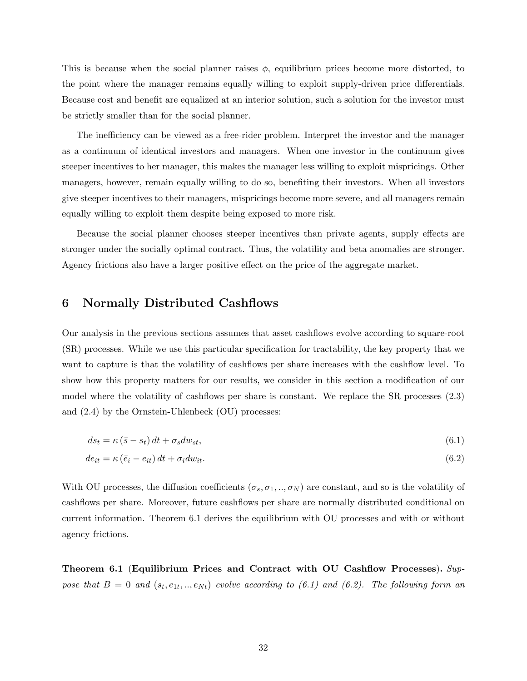This is because when the social planner raises  $\phi$ , equilibrium prices become more distorted, to the point where the manager remains equally willing to exploit supply-driven price differentials. Because cost and benefit are equalized at an interior solution, such a solution for the investor must be strictly smaller than for the social planner.

The inefficiency can be viewed as a free-rider problem. Interpret the investor and the manager as a continuum of identical investors and managers. When one investor in the continuum gives steeper incentives to her manager, this makes the manager less willing to exploit mispricings. Other managers, however, remain equally willing to do so, benefiting their investors. When all investors give steeper incentives to their managers, mispricings become more severe, and all managers remain equally willing to exploit them despite being exposed to more risk.

Because the social planner chooses steeper incentives than private agents, supply effects are stronger under the socially optimal contract. Thus, the volatility and beta anomalies are stronger. Agency frictions also have a larger positive effect on the price of the aggregate market.

### 6 Normally Distributed Cashflows

Our analysis in the previous sections assumes that asset cashflows evolve according to square-root (SR) processes. While we use this particular specification for tractability, the key property that we want to capture is that the volatility of cashflows per share increases with the cashflow level. To show how this property matters for our results, we consider in this section a modification of our model where the volatility of cashflows per share is constant. We replace the SR processes (2.3) and (2.4) by the Ornstein-Uhlenbeck (OU) processes:

$$
ds_t = \kappa \left(\bar{s} - s_t\right)dt + \sigma_s dw_{st},\tag{6.1}
$$

$$
de_{it} = \kappa \left( \bar{e}_i - e_{it} \right) dt + \sigma_i dw_{it}. \tag{6.2}
$$

With OU processes, the diffusion coefficients  $(\sigma_s, \sigma_1, ..., \sigma_N)$  are constant, and so is the volatility of cashflows per share. Moreover, future cashflows per share are normally distributed conditional on current information. Theorem 6.1 derives the equilibrium with OU processes and with or without agency frictions.

Theorem 6.1 (Equilibrium Prices and Contract with OU Cashflow Processes).  $Sup$ pose that  $B = 0$  and  $(s_t, e_{1t}, ..., e_{Nt})$  evolve according to (6.1) and (6.2). The following form an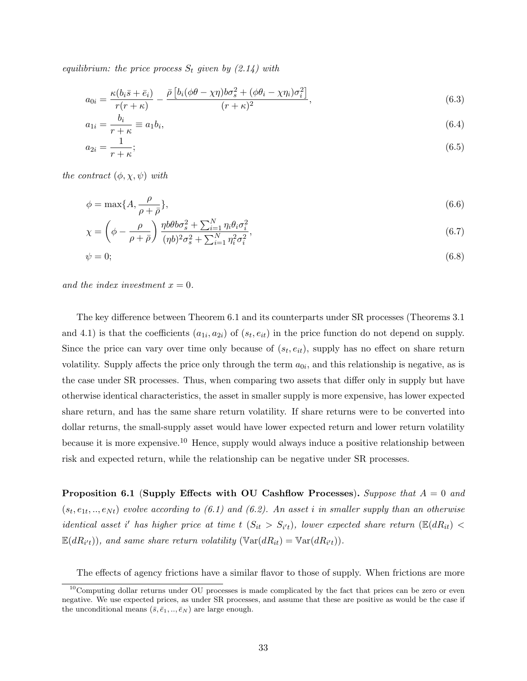equilibrium: the price process  $S_t$  given by  $(2.14)$  with

$$
a_{0i} = \frac{\kappa(b_i\bar{s} + \bar{e}_i)}{r(r+\kappa)} - \frac{\bar{\rho}\left[b_i(\phi\theta - \chi\eta)b\sigma_s^2 + (\phi\theta_i - \chi\eta_i)\sigma_i^2\right]}{(r+\kappa)^2},\tag{6.3}
$$

$$
a_{1i} = \frac{b_i}{r + \kappa} \equiv a_1 b_i,\tag{6.4}
$$

$$
a_{2i} = \frac{1}{r + \kappa};\tag{6.5}
$$

the contract  $(\phi, \chi, \psi)$  with

$$
\phi = \max\{A, \frac{\rho}{\rho + \bar{\rho}}\},\tag{6.6}
$$

$$
\chi = \left(\phi - \frac{\rho}{\rho + \bar{\rho}}\right) \frac{\eta b \theta b \sigma_s^2 + \sum_{i=1}^N \eta_i \theta_i \sigma_i^2}{(\eta b)^2 \sigma_s^2 + \sum_{i=1}^N \eta_i^2 \sigma_i^2},\tag{6.7}
$$

$$
\psi = 0; \tag{6.8}
$$

and the index investment  $x = 0$ .

The key difference between Theorem 6.1 and its counterparts under SR processes (Theorems 3.1 and 4.1) is that the coefficients  $(a_{1i}, a_{2i})$  of  $(s_t, e_{it})$  in the price function do not depend on supply. Since the price can vary over time only because of  $(s_t, e_{it})$ , supply has no effect on share return volatility. Supply affects the price only through the term  $a_{0i}$ , and this relationship is negative, as is the case under SR processes. Thus, when comparing two assets that differ only in supply but have otherwise identical characteristics, the asset in smaller supply is more expensive, has lower expected share return, and has the same share return volatility. If share returns were to be converted into dollar returns, the small-supply asset would have lower expected return and lower return volatility because it is more expensive.<sup>10</sup> Hence, supply would always induce a positive relationship between risk and expected return, while the relationship can be negative under SR processes.

**Proposition 6.1 (Supply Effects with OU Cashflow Processes).** Suppose that  $A = 0$  and  $(s_t, e_{1t}, ..., e_{Nt})$  evolve according to (6.1) and (6.2). An asset i in smaller supply than an otherwise identical asset i' has higher price at time t  $(S_{it} > S_{i't})$ , lower expected share return  $(\mathbb{E}(dR_{it}) <$  $\mathbb{E}(dR_{i't}))$ , and same share return volatility  $(\mathbb{V}\text{ar}(dR_{it}) = \mathbb{V}\text{ar}(dR_{i't}))$ .

The effects of agency frictions have a similar flavor to those of supply. When frictions are more

<sup>&</sup>lt;sup>10</sup>Computing dollar returns under OU processes is made complicated by the fact that prices can be zero or even negative. We use expected prices, as under SR processes, and assume that these are positive as would be the case if the unconditional means  $(\bar{s}, \bar{e}_1, ..., \bar{e}_N)$  are large enough.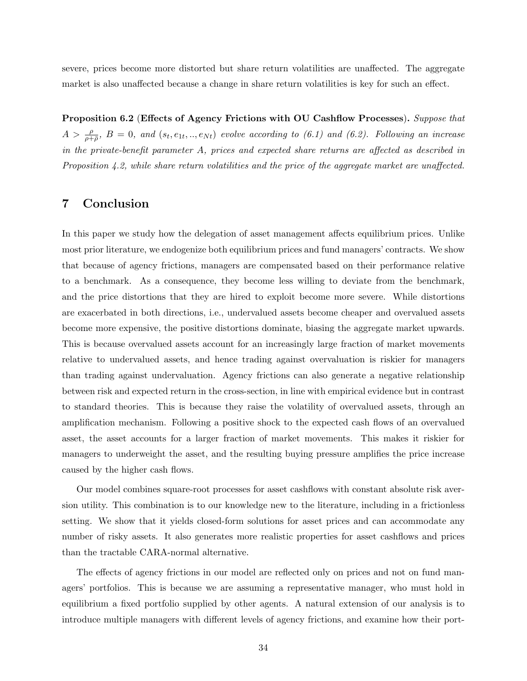severe, prices become more distorted but share return volatilities are unaffected. The aggregate market is also unaffected because a change in share return volatilities is key for such an effect.

Proposition 6.2 (Effects of Agency Frictions with OU Cashflow Processes). Suppose that  $A > \frac{\rho}{\rho+\bar{\rho}}, B = 0, and (s_t, e_{1t},..,e_{Nt})$  evolve according to (6.1) and (6.2). Following an increase in the private-benefit parameter A, prices and expected share returns are affected as described in Proposition  $4.2$ , while share return volatilities and the price of the aggregate market are unaffected.

# 7 Conclusion

In this paper we study how the delegation of asset management affects equilibrium prices. Unlike most prior literature, we endogenize both equilibrium prices and fund managers' contracts. We show that because of agency frictions, managers are compensated based on their performance relative to a benchmark. As a consequence, they become less willing to deviate from the benchmark, and the price distortions that they are hired to exploit become more severe. While distortions are exacerbated in both directions, i.e., undervalued assets become cheaper and overvalued assets become more expensive, the positive distortions dominate, biasing the aggregate market upwards. This is because overvalued assets account for an increasingly large fraction of market movements relative to undervalued assets, and hence trading against overvaluation is riskier for managers than trading against undervaluation. Agency frictions can also generate a negative relationship between risk and expected return in the cross-section, in line with empirical evidence but in contrast to standard theories. This is because they raise the volatility of overvalued assets, through an amplification mechanism. Following a positive shock to the expected cash flows of an overvalued asset, the asset accounts for a larger fraction of market movements. This makes it riskier for managers to underweight the asset, and the resulting buying pressure amplifies the price increase caused by the higher cash flows.

Our model combines square-root processes for asset cashflows with constant absolute risk aversion utility. This combination is to our knowledge new to the literature, including in a frictionless setting. We show that it yields closed-form solutions for asset prices and can accommodate any number of risky assets. It also generates more realistic properties for asset cashflows and prices than the tractable CARA-normal alternative.

The effects of agency frictions in our model are reflected only on prices and not on fund managers' portfolios. This is because we are assuming a representative manager, who must hold in equilibrium a fixed portfolio supplied by other agents. A natural extension of our analysis is to introduce multiple managers with different levels of agency frictions, and examine how their port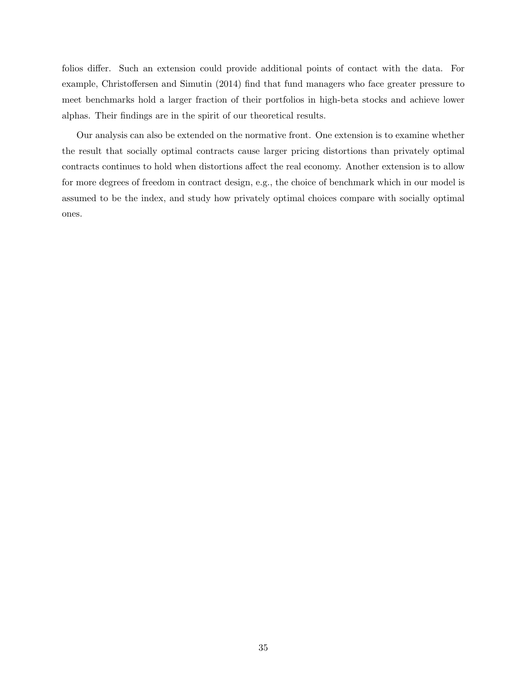folios differ. Such an extension could provide additional points of contact with the data. For example, Christoffersen and Simutin (2014) find that fund managers who face greater pressure to meet benchmarks hold a larger fraction of their portfolios in high-beta stocks and achieve lower alphas. Their findings are in the spirit of our theoretical results.

Our analysis can also be extended on the normative front. One extension is to examine whether the result that socially optimal contracts cause larger pricing distortions than privately optimal contracts continues to hold when distortions affect the real economy. Another extension is to allow for more degrees of freedom in contract design, e.g., the choice of benchmark which in our model is assumed to be the index, and study how privately optimal choices compare with socially optimal ones.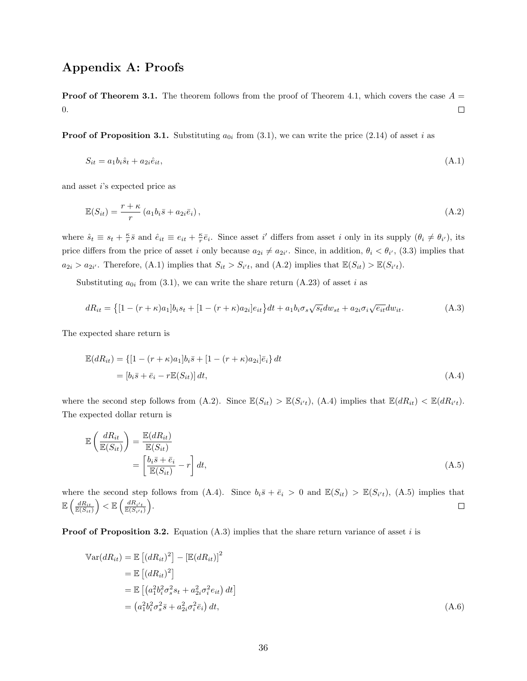# Appendix A: Proofs

**Proof of Theorem 3.1.** The theorem follows from the proof of Theorem 4.1, which covers the case  $A =$ 0.  $\Box$ 

**Proof of Proposition 3.1.** Substituting  $a_{0i}$  from (3.1), we can write the price (2.14) of asset i as

$$
S_{it} = a_1 b_i \hat{s}_t + a_{2i} \hat{e}_{it},\tag{A.1}
$$

and asset i's expected price as

$$
\mathbb{E}(S_{it}) = \frac{r + \kappa}{r} \left( a_1 b_i \bar{s} + a_{2i} \bar{e}_i \right),\tag{A.2}
$$

where  $\hat{s}_t \equiv s_t + \frac{\kappa}{r} \bar{s}$  and  $\hat{e}_{it} \equiv e_{it} + \frac{\kappa}{r} \bar{e}_i$ . Since asset i' differs from asset i only in its supply  $(\theta_i \neq \theta_{i'})$ , its price differs from the price of asset i only because  $a_{2i} \neq a_{2i'}$ . Since, in addition,  $\theta_i < \theta_{i'}$ , (3.3) implies that  $a_{2i} > a_{2i'}$ . Therefore, (A.1) implies that  $S_{it} > S_{i't}$ , and (A.2) implies that  $\mathbb{E}(S_{it}) > \mathbb{E}(S_{i't})$ .

Substituting  $a_{0i}$  from (3.1), we can write the share return (A.23) of asset i as

$$
dR_{it} = \{ [1 - (r + \kappa)a_1]b_i s_t + [1 - (r + \kappa)a_{2i}]e_{it} \} dt + a_1 b_i \sigma_s \sqrt{s_t} dw_{st} + a_{2i} \sigma_i \sqrt{e_{it}} dw_{it}.
$$
 (A.3)

The expected share return is

$$
\mathbb{E}(dR_{it}) = \{ [1 - (r + \kappa)a_1]b_i\overline{s} + [1 - (r + \kappa)a_{2i}]\overline{e}_i \} dt
$$
  
= 
$$
[b_i\overline{s} + \overline{e}_i - r\mathbb{E}(S_{it})] dt,
$$
 (A.4)

where the second step follows from  $(A.2)$ . Since  $\mathbb{E}(S_{it}) > \mathbb{E}(S_{i't})$ ,  $(A.4)$  implies that  $\mathbb{E}(dR_{it}) < \mathbb{E}(dR_{i't})$ . The expected dollar return is

$$
\mathbb{E}\left(\frac{dR_{it}}{\mathbb{E}(S_{it})}\right) = \frac{\mathbb{E}(dR_{it})}{\mathbb{E}(S_{it})}
$$
\n
$$
= \left[\frac{b_i \bar{s} + \bar{e}_i}{\mathbb{E}(S_{it})} - r\right] dt,\tag{A.5}
$$

where the second step follows from (A.4). Since  $b_i\bar{s} + \bar{e}_i > 0$  and  $\mathbb{E}(S_{it}) > \mathbb{E}(S_{i't})$ , (A.5) implies that  $\mathbb{E}\left(\frac{dR_{it}}{\mathbb{E}(S_{it})}\right) < \mathbb{E}\left(\frac{dR_{i't}}{\mathbb{E}(S_{i't})}\right).$ 

**Proof of Proposition 3.2.** Equation  $(A.3)$  implies that the share return variance of asset i is

$$
\begin{split} \mathbb{V}\text{ar}(dR_{it}) &= \mathbb{E}\left[ (dR_{it})^2 \right] - \left[ \mathbb{E}(dR_{it}) \right]^2 \\ &= \mathbb{E}\left[ (dR_{it})^2 \right] \\ &= \mathbb{E}\left[ (a_1^2 b_i^2 \sigma_s^2 s_t + a_{2i}^2 \sigma_i^2 e_{it}) \, dt \right] \\ &= \left( a_1^2 b_i^2 \sigma_s^2 \overline{s} + a_{2i}^2 \sigma_i^2 \overline{e}_i \right) dt, \end{split} \tag{A.6}
$$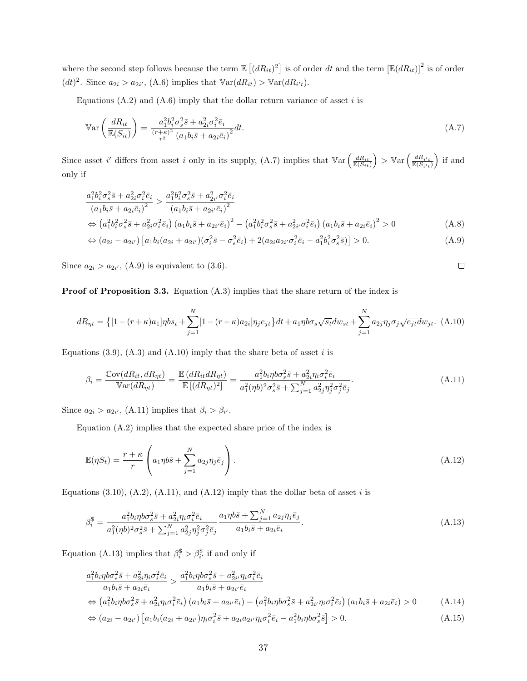where the second step follows because the term  $\mathbb{E}[(dR_{it})^2]$  is of order dt and the term  $\mathbb{E}(dR_{it})]^2$  is of order  $(dt)^2$ . Since  $a_{2i} > a_{2i'}$ , (A.6) implies that  $\mathbb{V}\text{ar}(dR_{it}) > \mathbb{V}\text{ar}(dR_{i't})$ .

Equations  $(A.2)$  and  $(A.6)$  imply that the dollar return variance of asset i is

$$
\mathbb{V}\text{ar}\left(\frac{dR_{it}}{\mathbb{E}(S_{it})}\right) = \frac{a_1^2 b_i^2 \sigma_s^2 \bar{s} + a_{2i}^2 \sigma_i^2 \bar{e}_i}{\frac{(r+\kappa)^2}{r^2} \left(a_1 b_i \bar{s} + a_{2i} \bar{e}_i\right)^2} dt. \tag{A.7}
$$

Since asset i' differs from asset i only in its supply, (A.7) implies that  $\mathbb{V}\text{ar}\left(\frac{dR_{it}}{\mathbb{E}(S_{it})}\right) > \mathbb{V}\text{ar}\left(\frac{dR_{i't}}{\mathbb{E}(S_{i't})}\right)$  if and only if

$$
\frac{a_1^2 b_i^2 \sigma_s^2 \bar{s} + a_{2i}^2 \sigma_i^2 \bar{e}_i}{(a_1 b_i \bar{s} + a_{2i} \bar{e}_i)^2} > \frac{a_1^2 b_i^2 \sigma_s^2 \bar{s} + a_{2i'}^2 \sigma_i^2 \bar{e}_i}{(a_1 b_i \bar{s} + a_{2i'} \bar{e}_i)^2} \n\Leftrightarrow (a_1^2 b_i^2 \sigma_s^2 \bar{s} + a_{2i}^2 \sigma_i^2 \bar{e}_i) (a_1 b_i \bar{s} + a_{2i'} \bar{e}_i)^2 - (a_1^2 b_i^2 \sigma_s^2 \bar{s} + a_{2i'}^2 \sigma_i^2 \bar{e}_i) (a_1 b_i \bar{s} + a_{2i} \bar{e}_i)^2 > 0
$$
\n(A.8)

$$
\Leftrightarrow (a_{2i} - a_{2i'}) \left[ a_1 b_i (a_{2i} + a_{2i'}) (\sigma_i^2 \bar{s} - \sigma_s^2 \bar{e}_i) + 2 (a_{2i} a_{2i'} \sigma_i^2 \bar{e}_i - a_1^2 b_i^2 \sigma_s^2 \bar{s}) \right] > 0.
$$
\n(A.9)

Since  $a_{2i} > a_{2i'}$ , (A.9) is equivalent to (3.6).

 $\Box$ 

Proof of Proposition 3.3. Equation (A.3) implies that the share return of the index is

$$
dR_{\eta t} = \left\{ [1 - (r + \kappa)a_1] \eta bs_t + \sum_{j=1}^{N} [1 - (r + \kappa)a_{2i}] \eta_j e_{jt} \right\} dt + a_1 \eta b \sigma_s \sqrt{s_t} dw_{st} + \sum_{j=1}^{N} a_{2j} \eta_j \sigma_j \sqrt{e_{jt}} dw_{jt}.
$$
 (A.10)

Equations (3.9), (A.3) and (A.10) imply that the share beta of asset i is

$$
\beta_i = \frac{\text{Cov}(dR_{it}, dR_{\eta t})}{\text{Var}(dR_{\eta t})} = \frac{\mathbb{E}(dR_{it} dR_{\eta t})}{\mathbb{E}[(dR_{\eta t})^2]} = \frac{a_1^2 b_i \eta b \sigma_s^2 \bar{s} + a_{2i}^2 \eta_i \sigma_i^2 \bar{e}_i}{a_1^2 (\eta b)^2 \sigma_s^2 \bar{s} + \sum_{j=1}^N a_{2j}^2 \eta_j^2 \sigma_j^2 \bar{e}_j}.
$$
\n(A.11)

Since  $a_{2i} > a_{2i'}$ , (A.11) implies that  $\beta_i > \beta_{i'}$ .

Equation (A.2) implies that the expected share price of the index is

$$
\mathbb{E}(\eta S_t) = \frac{r + \kappa}{r} \left( a_1 \eta b \overline{s} + \sum_{j=1}^N a_{2j} \eta_j \overline{e}_j \right). \tag{A.12}
$$

Equations  $(3.10)$ ,  $(A.2)$ ,  $(A.11)$ , and  $(A.12)$  imply that the dollar beta of asset i is

$$
\beta_i^{\$} = \frac{a_1^2 b_i \eta b \sigma_s^2 \bar{s} + a_{2i}^2 \eta_i \sigma_i^2 \bar{e}_i}{a_1^2 (\eta b)^2 \sigma_s^2 \bar{s} + \sum_{j=1}^N a_{2j}^2 \eta_j^2 \sigma_j^2 \bar{e}_j} \frac{a_1 \eta b \bar{s} + \sum_{j=1}^N a_{2j} \eta_j \bar{e}_j}{a_1 b_i \bar{s} + a_{2i} \bar{e}_i}.
$$
\n(A.13)

Equation (A.13) implies that  $\beta_i^{\$} > \beta_{i'}^{\$}$  if and only if

$$
\frac{a_1^2 b_i \eta b \sigma_s^2 \bar{s} + a_{2i}^2 \eta_i \sigma_i^2 \bar{e}_i}{a_1 b_i \bar{s} + a_{2i} \bar{e}_i} > \frac{a_1^2 b_i \eta b \sigma_s^2 \bar{s} + a_{2i}^2 \eta_i \sigma_i^2 \bar{e}_i}{a_1 b_i \bar{s} + a_{2i} \bar{e}_i} \n\Leftrightarrow (a_1^2 b_i \eta b \sigma_s^2 \bar{s} + a_{2i}^2 \eta_i \sigma_i^2 \bar{e}_i) (a_1 b_i \bar{s} + a_{2i'} \bar{e}_i) - (a_1^2 b_i \eta b \sigma_s^2 \bar{s} + a_{2i}^2 \eta_i \sigma_i^2 \bar{e}_i) (a_1 b_i \bar{s} + a_{2i} \bar{e}_i) > 0
$$
\n(A.14)\n
$$
\Leftrightarrow (a_{2i} - a_{2i'}) \left[ a_1 b_i (a_{2i} + a_{2i'}) \eta_i \sigma_i^2 \bar{s} + a_{2i} a_{2i'} \eta_i \sigma_i^2 \bar{e}_i - a_1^2 b_i \eta b \sigma_s^2 \bar{s} \right] > 0.
$$
\n(A.15)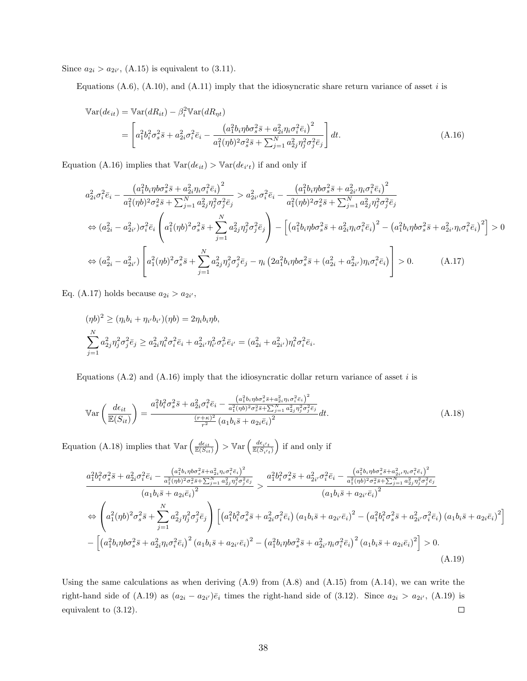Since  $a_{2i} > a_{2i'}$ , (A.15) is equivalent to (3.11).

Equations  $(A.6)$ ,  $(A.10)$ , and  $(A.11)$  imply that the idiosyncratic share return variance of asset i is

$$
\begin{split} \mathbb{V}\text{ar}(d\epsilon_{it}) &= \mathbb{V}\text{ar}(dR_{it}) - \beta_i^2 \mathbb{V}\text{ar}(dR_{\eta t}) \\ &= \left[ a_1^2 b_i^2 \sigma_s^2 \bar{s} + a_{2i}^2 \sigma_i^2 \bar{e}_i - \frac{\left(a_1^2 b_i \eta b \sigma_s^2 \bar{s} + a_{2i}^2 \eta_i \sigma_i^2 \bar{e}_i\right)^2}{a_1^2 (\eta b)^2 \sigma_s^2 \bar{s} + \sum_{j=1}^N a_{2j}^2 \eta_j^2 \sigma_j^2 \bar{e}_j} \right] dt. \end{split} \tag{A.16}
$$

Equation (A.16) implies that  $\text{Var}(d\epsilon_{it}) > \text{Var}(d\epsilon_{i't})$  if and only if

$$
a_{2i}^{2}\sigma_{i}^{2}\bar{e}_{i} - \frac{(a_{1}^{2}b_{i}\eta b\sigma_{s}^{2}\bar{s} + a_{2i}^{2}\eta_{i}\sigma_{i}^{2}\bar{e}_{i})^{2}}{a_{1}^{2}(\eta b)^{2}\sigma_{s}^{2}\bar{s} + \sum_{j=1}^{N} a_{2j}^{2}\eta_{j}^{2}\sigma_{j}^{2}\bar{e}_{j}} > a_{2i'}^{2}\sigma_{i}^{2}\bar{e}_{i} - \frac{(a_{1}^{2}b_{i}\eta b\sigma_{s}^{2}\bar{s} + a_{2i'}^{2}\eta_{i}\sigma_{i}^{2}\bar{e}_{i})^{2}}{a_{1}^{2}(\eta b)^{2}\sigma_{s}^{2}\bar{s} + \sum_{j=1}^{N} a_{2j}^{2}\eta_{j}^{2}\sigma_{j}^{2}\bar{e}_{j}}
$$
  
\n
$$
\Leftrightarrow (a_{2i}^{2} - a_{2i'}^{2})\sigma_{i}^{2}\bar{e}_{i} \left(a_{1}^{2}(\eta b)^{2}\sigma_{s}^{2}\bar{s} + \sum_{j=1}^{N} a_{2j}^{2}\eta_{j}^{2}\sigma_{j}^{2}\bar{e}_{j}\right) - \left[(a_{1}^{2}b_{i}\eta b\sigma_{s}^{2}\bar{s} + a_{2i}^{2}\eta_{i}\sigma_{i}^{2}\bar{e}_{i})^{2} - (a_{1}^{2}b_{i}\eta b\sigma_{s}^{2}\bar{s} + a_{2i'}^{2}\eta_{i}\sigma_{i}^{2}\bar{e}_{i})^{2}\right] > 0
$$
  
\n
$$
\Leftrightarrow (a_{2i}^{2} - a_{2i'}^{2}) \left[a_{1}^{2}(\eta b)^{2}\sigma_{s}^{2}\bar{s} + \sum_{j=1}^{N} a_{2j}^{2}\eta_{j}^{2}\sigma_{j}^{2}\bar{e}_{j} - \eta_{i}\left(2a_{1}^{2}b_{i}\eta b\sigma_{s}^{2}\bar{s} + (a_{2i}^{2} + a_{2i'}^{2})\eta_{i}\sigma_{i}^{2}\bar{e}_{i}\right)\right] > 0.
$$
 (A.17)

Eq. (A.17) holds because  $a_{2i} > a_{2i'}$ ,

$$
(\eta b)^2 \ge (\eta_i b_i + \eta_{i'} b_{i'}) (\eta b) = 2\eta_i b_i \eta b,
$$
  

$$
\sum_{j=1}^N a_{2j}^2 \eta_j^2 \sigma_j^2 \bar{e}_j \ge a_{2i}^2 \eta_i^2 \sigma_i^2 \bar{e}_i + a_{2i'}^2 \eta_{i'}^2 \sigma_{i'}^2 \bar{e}_{i'} = (a_{2i}^2 + a_{2i'}^2) \eta_i^2 \sigma_i^2 \bar{e}_i.
$$

Equations  $(A.2)$  and  $(A.16)$  imply that the idiosyncratic dollar return variance of asset i is

$$
\mathbb{V}\text{ar}\left(\frac{d\epsilon_{it}}{\mathbb{E}(S_{it})}\right) = \frac{a_1^2 b_i^2 \sigma_s^2 \bar{s} + a_{2i}^2 \sigma_i^2 \bar{e}_i - \frac{\left(a_1^2 b_i \eta b \sigma_s^2 \bar{s} + a_{2i}^2 \eta_i \sigma_i^2 \bar{e}_i\right)^2}{a_1^2 (\eta b)^2 \sigma_s^2 \bar{s} + \sum_{j=1}^N a_{2j}^2 \eta_j^2 \sigma_j^2 \bar{e}_j}} dt.
$$
\n(A.18)

Equation (A.18) implies that  $\mathbb{V}\text{ar}\left(\frac{d\epsilon_{it}}{\mathbb{E}(S_{it})}\right) > \mathbb{V}\text{ar}\left(\frac{d\epsilon_{i't}}{\mathbb{E}(S_{i't})}\right)$  if and only if

$$
\frac{a_1^2 b_i^2 \sigma_s^2 \bar{s} + a_{2i}^2 \sigma_i^2 \bar{e}_i - \frac{(a_1^2 b_i \eta b \sigma_s^2 \bar{s} + a_{2i}^2 \eta_i \sigma_i^2 \bar{e}_i)^2}{a_1^2 (\eta b)^2 \sigma_s^2 \bar{s} + \sum_{j=1}^N a_{2j}^2 \eta_j^2 \sigma_j^2 \bar{e}_j}}{(a_1 b_i \bar{s} + a_{2i} \bar{e}_i)^2} > \frac{a_1^2 b_i^2 \sigma_s^2 \bar{s} + a_{2i'}^2 \sigma_i^2 \bar{e}_i - \frac{(a_1^2 b_i \eta b \sigma_s^2 \bar{s} + a_{2i'}^2 \eta_i \sigma_i^2 \bar{e}_i)^2}{a_1^2 (\eta b)^2 \sigma_s^2 \bar{s} + \sum_{j=1}^N a_{2j}^2 \bar{e}_j^2}}{(a_1 b_i \bar{s} + a_{2i'} \bar{e}_i)^2} \n\Rightarrow \left(a_1^2 (\eta b)^2 \sigma_s^2 \bar{s} + \sum_{j=1}^N a_{2j}^2 \eta_j^2 \sigma_j^2 \bar{e}_j\right) \left[ (a_1^2 b_i^2 \sigma_s^2 \bar{s} + a_{2i'}^2 \sigma_i^2 \bar{e}_i) (a_1 b_i \bar{s} + a_{2i'} \bar{e}_i)^2 - (a_1^2 b_i^2 \sigma_s^2 \bar{s} + a_{2i'}^2 \sigma_i^2 \bar{e}_i) (a_1 b_i \bar{s} + a_{2i} \bar{e}_i)^2 \right] \n- \left[ (a_1^2 b_i \eta b \sigma_s^2 \bar{s} + a_{2i}^2 \eta_i \sigma_i^2 \bar{e}_i)^2 (a_1 b_i \bar{s} + a_{2i'} \bar{e}_i)^2 - (a_1^2 b_i \eta b \sigma_s^2 \bar{s} + a_{2i'}^2 \eta_i \sigma_i^2 \bar{e}_i)^2 (a_1 b_i \bar{s} + a_{2i} \bar{e}_i)^2 \right] > 0. \tag{A.19}
$$

Using the same calculations as when deriving  $(A.9)$  from  $(A.8)$  and  $(A.15)$  from  $(A.14)$ , we can write the right-hand side of  $(A.19)$  as  $(a_{2i} - a_{2i})\bar{e}_i$  times the right-hand side of  $(3.12)$ . Since  $a_{2i} > a_{2i'}$ ,  $(A.19)$  is equivalent to (3.12).  $\Box$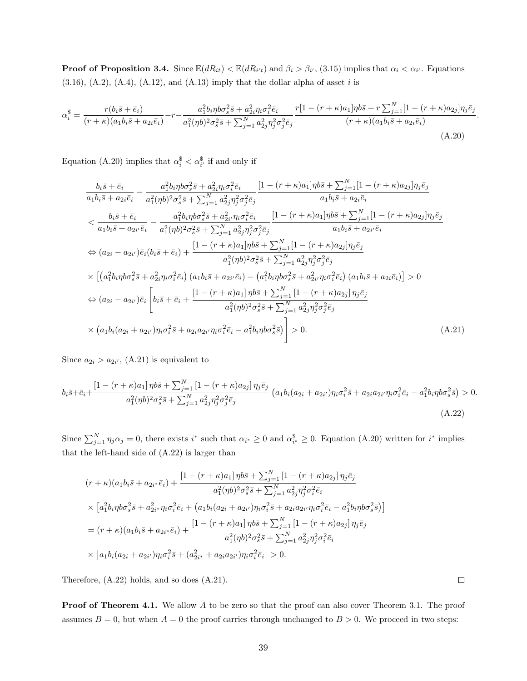**Proof of Proposition 3.4.** Since  $\mathbb{E}(dR_{it}) < \mathbb{E}(dR_{i't})$  and  $\beta_i > \beta_{i'}$ , (3.15) implies that  $\alpha_i < \alpha_{i'}$ . Equations  $(3.16)$ ,  $(A.2)$ ,  $(A.4)$ ,  $(A.12)$ , and  $(A.13)$  imply that the dollar alpha of asset i is

$$
\alpha_i^{\$} = \frac{r(b_i\bar{s} + \bar{e}_i)}{(r+\kappa)(a_1b_i\bar{s} + a_{2i}\bar{e}_i)} - r - \frac{a_1^2b_i\eta b\sigma_s^2\bar{s} + a_{2i}^2\eta_i\sigma_i^2\bar{e}_i}{a_1^2(\eta b)^2\sigma_s^2\bar{s} + \sum_{j=1}^N a_{2j}^2\eta_j^2\sigma_j^2\bar{e}_j} \frac{r[1 - (r+\kappa)a_1]\eta b\bar{s} + r\sum_{j=1}^N[1 - (r+\kappa)a_{2j}]\eta_j\bar{e}_j}{(r+\kappa)(a_1b_i\bar{s} + a_{2i}\bar{e}_i)}
$$
\n(A.20)

Equation (A.20) implies that  $\alpha_i^{\$} < \alpha_{i'}^{\$}$  if and only if

$$
\frac{b_i\bar{s}+\bar{e}_i}{a_1b_i\bar{s}+a_{2i}\bar{e}_i} - \frac{a_1^2b_i\eta b\sigma_s^2\bar{s}+a_{2i}^2\eta_i\sigma_i^2\bar{e}_i}{a_1^2(\eta b)^2\sigma_s^2\bar{s}+\sum_{j=1}^N a_{2j}^2\eta_j^2\sigma_j^2\bar{e}_j} \frac{[1-(r+\kappa)a_1]\eta b\bar{s}+\sum_{j=1}^N[1-(r+\kappa)a_{2j}]\eta_j\bar{e}_j}{a_1b_i\bar{s}+a_{2i}\bar{e}_i}
$$
  
\n
$$
< \frac{b_i\bar{s}+\bar{e}_i}{a_1b_i\bar{s}+a_{2i'}\bar{e}_i} - \frac{a_1^2b_i\eta b\sigma_s^2\bar{s}+a_{2i'}^2\eta_i\sigma_i^2\bar{e}_i}{a_1^2(\eta b)^2\sigma_s^2\bar{s}+\sum_{j=1}^N a_{2j}^2\eta_j^2\sigma_j^2\bar{e}_j} \frac{[1-(r+\kappa)a_1]\eta b\bar{s}+\sum_{j=1}^N[1-(r+\kappa)a_{2j}]\eta_j\bar{e}_j}{a_1b_i\bar{s}+a_{2i'}\bar{e}_i}
$$
  
\n
$$
\Leftrightarrow (a_{2i}-a_{2i'})\bar{e}_i(b_i\bar{s}+\bar{e}_i) + \frac{[1-(r+\kappa)a_1]\eta b\bar{s}+\sum_{j=1}^N[1-(r+\kappa)a_{2j}]\eta_j\bar{e}_j}{a_1^2(\eta b)^2\sigma_s^2\bar{s}+\sum_{j=1}^N a_{2j}^2\eta_j^2\sigma_j^2\bar{e}_j}
$$
  
\n
$$
\times [(a_1^2b_i\eta b\sigma_s^2\bar{s}+a_{2i}^2\eta_i\sigma_i^2\bar{e}_i) (a_1b_i\bar{s}+a_{2i'}\bar{e}_i) - (a_1^2b_i\eta b\sigma_s^2\bar{s}+a_{2i}^2\eta_i\sigma_i^2\bar{e}_i) (a_1b_i\bar{s}+a_{2i}\bar{e}_i)] > 0
$$
  
\n
$$
\Leftrightarrow (a_{2i}-a_{2i'})\bar{e}_i \left[b_i
$$

Since  $a_{2i} > a_{2i'}$ , (A.21) is equivalent to

$$
b_i\bar{s} + \bar{e}_i + \frac{\left[1 - (r + \kappa)a_1\right]\eta b\bar{s} + \sum_{j=1}^N\left[1 - (r + \kappa)a_{2j}\right]\eta_j\bar{e}_j}{a_1^2(\eta b)^2\sigma_s^2\bar{s} + \sum_{j=1}^N a_{2j}^2\eta_j^2\sigma_j^2\bar{e}_j} \left(a_1b_i(a_{2i} + a_{2i'})\eta_i\sigma_i^2\bar{s} + a_{2i}a_{2i'}\eta_i\sigma_i^2\bar{e}_i - a_1^2b_i\eta b\sigma_s^2\bar{s}\right) > 0.
$$
\n(A.22)

Since  $\sum_{j=1}^{N} \eta_j \alpha_j = 0$ , there exists  $i^*$  such that  $\alpha_{i^*} \geq 0$  and  $\alpha_{i^*}^{\$} \geq 0$ . Equation (A.20) written for  $i^*$  implies that the left-hand side of (A.22) is larger than

$$
(r + \kappa)(a_1b_i\overline{s} + a_{2i^*}\overline{e}_i) + \frac{[1 - (r + \kappa)a_1]\eta b\overline{s} + \sum_{j=1}^N [1 - (r + \kappa)a_{2j}]\eta_j\overline{e}_j}{a_1^2(\eta b)^2\sigma_s^2\overline{s} + \sum_{j=1}^N a_{2j}^2\eta_j^2\sigma_i^2\overline{e}_i}
$$
  
 
$$
\times [a_1^2b_i\eta b\sigma_s^2\overline{s} + a_{2i^*}^2\eta_i\sigma_i^2\overline{e}_i + (a_1b_i(a_{2i} + a_{2i'})\eta_i\sigma_i^2\overline{s} + a_{2i}a_{2i'}\eta_i\sigma_i^2\overline{e}_i - a_1^2b_i\eta b\sigma_s^2\overline{s})]
$$
  
= 
$$
(r + \kappa)(a_1b_i\overline{s} + a_{2i^*}\overline{e}_i) + \frac{[1 - (r + \kappa)a_1]\eta b\overline{s} + \sum_{j=1}^N [1 - (r + \kappa)a_{2j}]\eta_j\overline{e}_j}{a_1^2(\eta b)^2\sigma_s^2\overline{s} + \sum_{j=1}^N a_{2j}^2\eta_j^2\sigma_i^2\overline{e}_i}
$$
  

$$
\times [a_1b_i(a_{2i} + a_{2i'})\eta_i\sigma_i^2\overline{s} + (a_{2i^*}^2 + a_{2i}a_{2i'})\eta_i\sigma_i^2\overline{e}_i] > 0.
$$

Therefore, (A.22) holds, and so does (A.21).

**Proof of Theorem 4.1.** We allow A to be zero so that the proof can also cover Theorem 3.1. The proof assumes  $B = 0$ , but when  $A = 0$  the proof carries through unchanged to  $B > 0$ . We proceed in two steps:

 $\Box$ 

.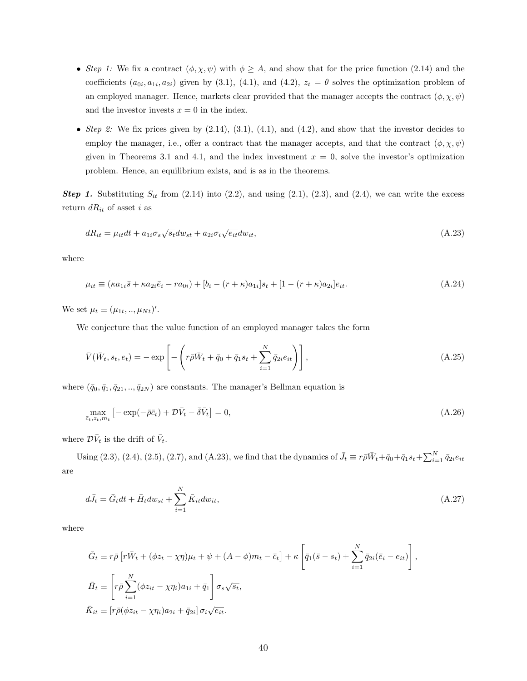- Step 1: We fix a contract  $(\phi, \chi, \psi)$  with  $\phi \geq A$ , and show that for the price function (2.14) and the coefficients  $(a_{0i}, a_{1i}, a_{2i})$  given by (3.1), (4.1), and (4.2),  $z_t = \theta$  solves the optimization problem of an employed manager. Hence, markets clear provided that the manager accepts the contract  $(\phi, \chi, \psi)$ and the investor invests  $x = 0$  in the index.
- Step 2: We fix prices given by  $(2.14)$ ,  $(3.1)$ ,  $(4.1)$ , and  $(4.2)$ , and show that the investor decides to employ the manager, i.e., offer a contract that the manager accepts, and that the contract  $(\phi, \chi, \psi)$ given in Theorems 3.1 and 4.1, and the index investment  $x = 0$ , solve the investor's optimization problem. Hence, an equilibrium exists, and is as in the theorems.

**Step 1.** Substituting  $S_{it}$  from (2.14) into (2.2), and using (2.1), (2.3), and (2.4), we can write the excess return  $dR_{it}$  of asset i as

$$
dR_{it} = \mu_{it}dt + a_{1i}\sigma_s\sqrt{s_t}dw_{st} + a_{2i}\sigma_i\sqrt{e_{it}}dw_{it},
$$
\n(A.23)

where

$$
\mu_{it} \equiv (\kappa a_{1i}\bar{s} + \kappa a_{2i}\bar{e}_i - r a_{0i}) + [b_i - (r + \kappa)a_{1i}]s_t + [1 - (r + \kappa)a_{2i}]e_{it}.
$$
\n(A.24)

We set  $\mu_t \equiv (\mu_{1t}, ..., \mu_{Nt})'$ .

We conjecture that the value function of an employed manager takes the form

$$
\bar{V}(\bar{W}_t, s_t, e_t) = -\exp\left[-\left(r\bar{\rho}\bar{W}_t + \bar{q}_0 + \bar{q}_1s_t + \sum_{i=1}^N \bar{q}_{2i}e_{it}\right)\right],\tag{A.25}
$$

where  $(\bar{q}_0, \bar{q}_1, \bar{q}_{21}, \dots, \bar{q}_{2N})$  are constants. The manager's Bellman equation is

$$
\max_{\bar{c}_t, z_t, m_t} \left[ -\exp(-\bar{\rho}\bar{c}_t) + \mathcal{D}\bar{V}_t - \bar{\delta}\bar{V}_t \right] = 0,
$$
\n(A.26)

where  $\mathcal{D}\bar{V}_t$  is the drift of  $\bar{V}_t$ .

Using (2.3), (2.4), (2.5), (2.7), and (A.23), we find that the dynamics of  $\bar{J}_t \equiv r \bar{\rho} \bar{W}_t + \bar{q}_0 + \bar{q}_1 s_t + \sum_{i=1}^N \bar{q}_{2i} e_{it}$ are

$$
d\bar{J}_t = \bar{G}_t dt + \bar{H}_t dw_{st} + \sum_{i=1}^{N} \bar{K}_{it} dw_{it},
$$
\n(A.27)

where

$$
\bar{G}_t \equiv r\bar{\rho} \left[ r\bar{W}_t + (\phi z_t - \chi \eta)\mu_t + \psi + (A - \phi)m_t - \bar{c}_t \right] + \kappa \left[ \bar{q}_1(\bar{s} - s_t) + \sum_{i=1}^N \bar{q}_{2i}(\bar{e}_i - e_{it}) \right],
$$
\n
$$
\bar{H}_t \equiv \left[ r\bar{\rho} \sum_{i=1}^N (\phi z_{it} - \chi \eta_i) a_{1i} + \bar{q}_1 \right] \sigma_s \sqrt{s_t},
$$
\n
$$
\bar{K}_{it} \equiv \left[ r\bar{\rho} (\phi z_{it} - \chi \eta_i) a_{2i} + \bar{q}_{2i} \right] \sigma_i \sqrt{e_{it}}.
$$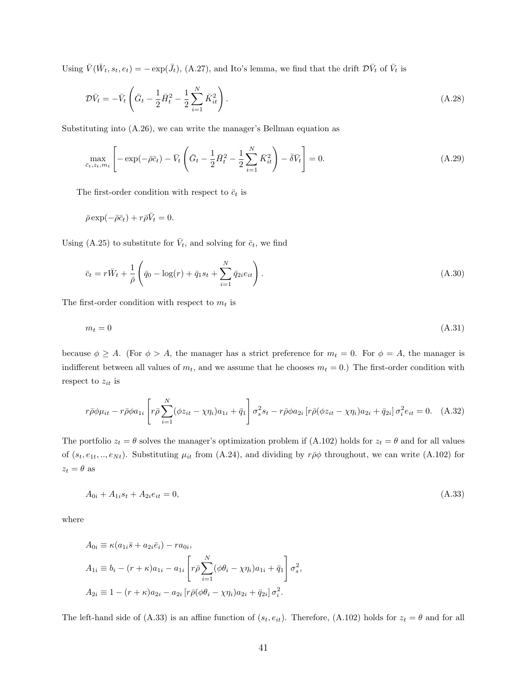Using  $\bar{V}(\bar{W}_t, s_t, e_t) = -\exp(\bar{J}_t)$ , (A.27), and Ito's lemma, we find that the drift  $\mathcal{D}\bar{V}_t$  of  $\bar{V}_t$  is

$$
\mathcal{D}\bar{V}_t = -\bar{V}_t \left( \bar{G}_t - \frac{1}{2} \bar{H}_t^2 - \frac{1}{2} \sum_{i=1}^N \bar{K}_{it}^2 \right).
$$
\n(A.28)

Substituting into (A.26), we can write the manager's Bellman equation as

$$
\max_{\bar{c}_t, z_t, m_t} \left[ -\exp(-\bar{\rho}\bar{c}_t) - \bar{V}_t \left( \bar{G}_t - \frac{1}{2} \bar{H}_t^2 - \frac{1}{2} \sum_{i=1}^N \bar{K}_{it}^2 \right) - \bar{\delta}\bar{V}_t \right] = 0.
$$
\n(A.29)

The first-order condition with respect to  $\bar{c}_t$  is

$$
\bar{\rho} \exp(-\bar{\rho}\bar{c}_t) + r\bar{\rho}\bar{V}_t = 0.
$$

Using (A.25) to substitute for  $\bar{V}_t$ , and solving for  $\bar{c}_t$ , we find

$$
\bar{c}_t = r\bar{W}_t + \frac{1}{\bar{\rho}} \left( \bar{q}_0 - \log(r) + \bar{q}_1 s_t + \sum_{i=1}^N \bar{q}_{2i} e_{it} \right). \tag{A.30}
$$

The first-order condition with respect to  $m_t$  is

$$
m_t = 0 \tag{A.31}
$$

because  $\phi \geq A$ . (For  $\phi > A$ , the manager has a strict preference for  $m_t = 0$ . For  $\phi = A$ , the manager is indifferent between all values of  $m_t$ , and we assume that he chooses  $m_t = 0$ .) The first-order condition with respect to  $z_{it}$  is

$$
r\bar{\rho}\phi\mu_{it} - r\bar{\rho}\phi a_{1i} \left[ r\bar{\rho} \sum_{i=1}^{N} (\phi z_{it} - \chi \eta_i) a_{1i} + \bar{q}_1 \right] \sigma_s^2 s_t - r\bar{\rho}\phi a_{2i} \left[ r\bar{\rho} (\phi z_{it} - \chi \eta_i) a_{2i} + \bar{q}_{2i} \right] \sigma_i^2 e_{it} = 0. \quad (A.32)
$$

The portfolio  $z_t = \theta$  solves the manager's optimization problem if (A.102) holds for  $z_t = \theta$  and for all values of  $(s_t, e_{1t}, ..., e_{Nt})$ . Substituting  $\mu_{it}$  from (A.24), and dividing by  $r\bar{\rho}\phi$  throughout, we can write (A.102) for  $z_t = \theta$  as

$$
A_{0i} + A_{1i}s_t + A_{2i}e_{it} = 0,\tag{A.33}
$$

where

$$
A_{0i} \equiv \kappa (a_{1i}\bar{s} + a_{2i}\bar{e}_i) - ra_{0i},
$$
  
\n
$$
A_{1i} \equiv b_i - (r + \kappa)a_{1i} - a_{1i} \left[ r\bar{\rho} \sum_{i=1}^N (\phi \theta_i - \chi \eta_i) a_{1i} + \bar{q}_1 \right] \sigma_s^2,
$$
  
\n
$$
A_{2i} \equiv 1 - (r + \kappa)a_{2i} - a_{2i} \left[ r\bar{\rho}(\phi \theta_i - \chi \eta_i) a_{2i} + \bar{q}_{2i} \right] \sigma_i^2.
$$

The left-hand side of (A.33) is an affine function of  $(s_t, e_{it})$ . Therefore, (A.102) holds for  $z_t = \theta$  and for all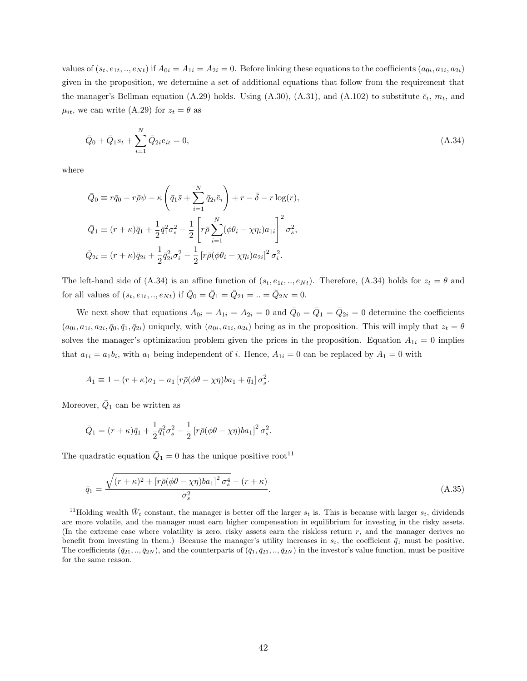values of  $(s_t, e_{1t}, ..., e_{Nt})$  if  $A_{0i} = A_{1i} = A_{2i} = 0$ . Before linking these equations to the coefficients  $(a_{0i}, a_{1i}, a_{2i})$ given in the proposition, we determine a set of additional equations that follow from the requirement that the manager's Bellman equation (A.29) holds. Using (A.30), (A.31), and (A.102) to substitute  $\bar{c}_t$ ,  $m_t$ , and  $\mu_{it}$ , we can write (A.29) for  $z_t = \theta$  as

$$
\bar{Q}_0 + \bar{Q}_1 s_t + \sum_{i=1}^N \bar{Q}_{2i} e_{it} = 0,
$$
\n(A.34)

where

$$
\bar{Q}_0 \equiv r\bar{q}_0 - r\bar{\rho}\psi - \kappa \left(\bar{q}_1\bar{s} + \sum_{i=1}^N \bar{q}_{2i}\bar{e}_i\right) + r - \bar{\delta} - r\log(r),
$$
  

$$
\bar{Q}_1 \equiv (r + \kappa)\bar{q}_1 + \frac{1}{2}\bar{q}_1^2\sigma_s^2 - \frac{1}{2}\left[r\bar{\rho}\sum_{i=1}^N(\phi\theta_i - \chi\eta_i)a_{1i}\right]^2\sigma_s^2,
$$
  

$$
\bar{Q}_{2i} \equiv (r + \kappa)\bar{q}_{2i} + \frac{1}{2}\bar{q}_{2i}^2\sigma_i^2 - \frac{1}{2}\left[r\bar{\rho}(\phi\theta_i - \chi\eta_i)a_{2i}\right]^2\sigma_i^2.
$$

The left-hand side of  $(A.34)$  is an affine function of  $(s_t, e_{1t}, ..., e_{Nt})$ . Therefore,  $(A.34)$  holds for  $z_t = \theta$  and for all values of  $(s_t, e_{1t}, ..., e_{Nt})$  if  $\bar{Q}_0 = \bar{Q}_1 = \bar{Q}_{21} = .. = \bar{Q}_{2N} = 0$ .

We next show that equations  $A_{0i} = A_{1i} = A_{2i} = 0$  and  $\overline{Q}_0 = \overline{Q}_1 = \overline{Q}_{2i} = 0$  determine the coefficients  $(a_{0i}, a_{1i}, a_{2i}, \bar{q}_0, \bar{q}_1, \bar{q}_{2i})$  uniquely, with  $(a_{0i}, a_{1i}, a_{2i})$  being as in the proposition. This will imply that  $z_t = \theta$ solves the manager's optimization problem given the prices in the proposition. Equation  $A_{1i} = 0$  implies that  $a_{1i} = a_1 b_i$ , with  $a_1$  being independent of i. Hence,  $A_{1i} = 0$  can be replaced by  $A_1 = 0$  with

$$
A_1 \equiv 1 - (r + \kappa)a_1 - a_1[r\bar{\rho}(\phi\theta - \chi\eta)ba_1 + \bar{q}_1]\sigma_s^2.
$$

Moreover,  $\overline{Q}_1$  can be written as

$$
\bar{Q}_1 = (r + \kappa)\bar{q}_1 + \frac{1}{2}\bar{q}_1^2\sigma_s^2 - \frac{1}{2}\left[r\bar{\rho}(\phi\theta - \chi\eta)ba_1\right]^2\sigma_s^2.
$$

The quadratic equation  $\overline{Q}_1 = 0$  has the unique positive root<sup>11</sup>

$$
\bar{q}_1 = \frac{\sqrt{(r+\kappa)^2 + [r\bar{\rho}(\phi\theta - \chi\eta)ba_1]^2 \sigma_s^4} - (r+\kappa)}{\sigma_s^2}.
$$
\n(A.35)

<sup>&</sup>lt;sup>11</sup>Holding wealth  $\bar{W}_t$  constant, the manager is better off the larger  $s_t$  is. This is because with larger  $s_t$ , dividends are more volatile, and the manager must earn higher compensation in equilibrium for investing in the risky assets. (In the extreme case where volatility is zero, risky assets earn the riskless return  $r$ , and the manager derives no benefit from investing in them.) Because the manager's utility increases in  $s_t$ , the coefficient  $\bar{q}_1$  must be positive. The coefficients  $(\bar{q}_{21},..,\bar{q}_{2N})$ , and the counterparts of  $(\bar{q}_1,\bar{q}_{21},..,\bar{q}_{2N})$  in the investor's value function, must be positive for the same reason.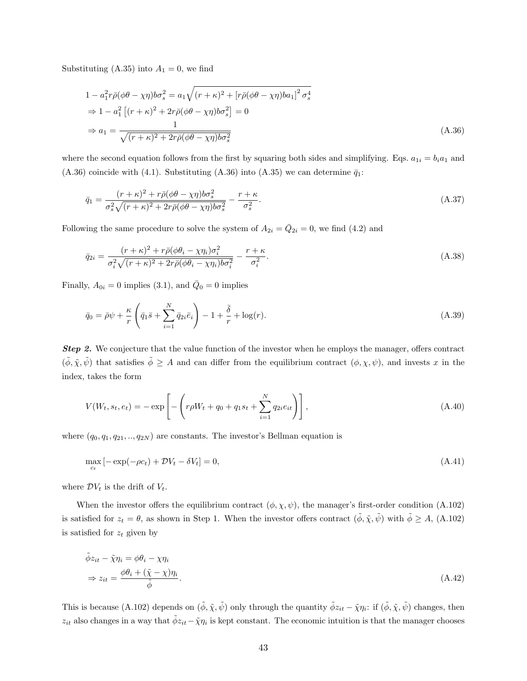Substituting (A.35) into  $A_1 = 0$ , we find

$$
1 - a_1^2 r \bar{\rho} (\phi \theta - \chi \eta) b \sigma_s^2 = a_1 \sqrt{(r + \kappa)^2 + [r \bar{\rho} (\phi \theta - \chi \eta) b a_1]^2 \sigma_s^4}
$$
  
\n
$$
\Rightarrow 1 - a_1^2 [(r + \kappa)^2 + 2r \bar{\rho} (\phi \theta - \chi \eta) b \sigma_s^2] = 0
$$
  
\n
$$
\Rightarrow a_1 = \frac{1}{\sqrt{(r + \kappa)^2 + 2r \bar{\rho} (\phi \theta - \chi \eta) b \sigma_s^2}}
$$
\n(A.36)

where the second equation follows from the first by squaring both sides and simplifying. Eqs.  $a_{1i} = b_i a_1$  and (A.36) coincide with (4.1). Substituting (A.36) into (A.35) we can determine  $\bar{q}_1$ :

$$
\bar{q}_1 = \frac{(r+\kappa)^2 + r\bar{\rho}(\phi\theta - \chi\eta)b\sigma_s^2}{\sigma_s^2 \sqrt{(r+\kappa)^2 + 2r\bar{\rho}(\phi\theta - \chi\eta)b\sigma_s^2}} - \frac{r+\kappa}{\sigma_s^2}.
$$
\n(A.37)

Following the same procedure to solve the system of  $A_{2i} = \overline{Q}_{2i} = 0$ , we find (4.2) and

$$
\bar{q}_{2i} = \frac{(r+\kappa)^2 + r\bar{\rho}(\phi\theta_i - \chi\eta_i)\sigma_i^2}{\sigma_i^2 \sqrt{(r+\kappa)^2 + 2r\bar{\rho}(\phi\theta_i - \chi\eta_i)b\sigma_i^2}} - \frac{r+\kappa}{\sigma_i^2}.
$$
\n(A.38)

Finally,  $A_{0i} = 0$  implies (3.1), and  $\overline{Q}_0 = 0$  implies

$$
\bar{q}_0 = \bar{\rho}\psi + \frac{\kappa}{r} \left( \bar{q}_1 \bar{s} + \sum_{i=1}^N \bar{q}_{2i} \bar{e}_i \right) - 1 + \frac{\bar{\delta}}{r} + \log(r). \tag{A.39}
$$

**Step 2.** We conjecture that the value function of the investor when he employs the manager, offers contract  $(\tilde{\phi}, \tilde{\chi}, \tilde{\psi})$  that satisfies  $\tilde{\phi} \geq A$  and can differ from the equilibrium contract  $(\phi, \chi, \psi)$ , and invests x in the index, takes the form

$$
V(W_t, s_t, e_t) = -\exp\left[-\left(r\rho W_t + q_0 + q_1 s_t + \sum_{i=1}^N q_{2i} e_{it}\right)\right],\tag{A.40}
$$

where  $(q_0, q_1, q_{21}, \ldots, q_{2N})$  are constants. The investor's Bellman equation is

$$
\max_{c_t} \left[ -\exp(-\rho c_t) + \mathcal{D}V_t - \delta V_t \right] = 0,\tag{A.41}
$$

where  $\mathcal{D}V_t$  is the drift of  $V_t$ .

When the investor offers the equilibrium contract  $(\phi, \chi, \psi)$ , the manager's first-order condition (A.102) is satisfied for  $z_t = \theta$ , as shown in Step 1. When the investor offers contract  $(\tilde{\phi}, \tilde{\chi}, \tilde{\psi})$  with  $\tilde{\phi} \geq A$ , (A.102) is satisfied for  $z_t$  given by

$$
\tilde{\phi}z_{it} - \tilde{\chi}\eta_i = \phi\theta_i - \chi\eta_i
$$
\n
$$
\Rightarrow z_{it} = \frac{\phi\theta_i + (\tilde{\chi} - \chi)\eta_i}{\tilde{\phi}}.
$$
\n(A.42)

This is because (A.102) depends on  $(\tilde{\phi}, \tilde{\chi}, \tilde{\psi})$  only through the quantity  $\tilde{\phi}z_{it} - \tilde{\chi}\eta_i$ : if  $(\tilde{\phi}, \tilde{\chi}, \tilde{\psi})$  changes, then  $z_{it}$  also changes in a way that  $\tilde{\phi}z_{it}-\tilde{\chi}\eta_i$  is kept constant. The economic intuition is that the manager chooses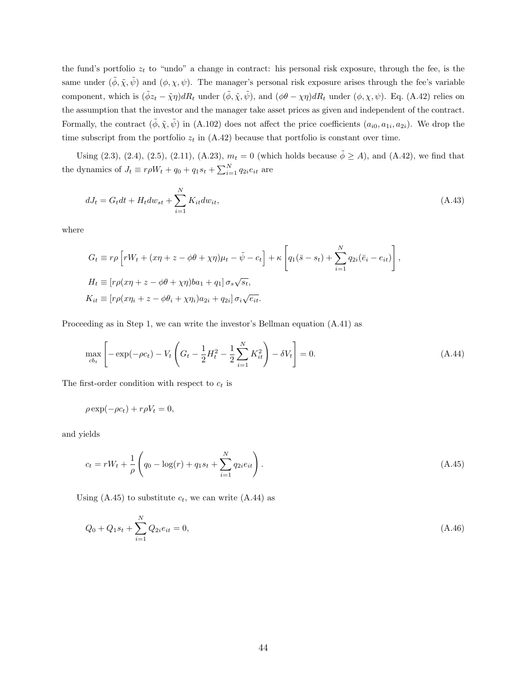the fund's portfolio  $z_t$  to "undo" a change in contract: his personal risk exposure, through the fee, is the same under  $(\tilde{\phi}, \tilde{\chi}, \tilde{\psi})$  and  $(\phi, \chi, \psi)$ . The manager's personal risk exposure arises through the fee's variable component, which is  $(\tilde{\phi}z_t - \tilde{\chi}\eta)dR_t$  under  $(\tilde{\phi}, \tilde{\chi}, \tilde{\psi})$ , and  $(\phi\theta - \chi\eta)dR_t$  under  $(\phi, \chi, \psi)$ . Eq. (A.42) relies on the assumption that the investor and the manager take asset prices as given and independent of the contract. Formally, the contract  $(\tilde{\phi}, \tilde{\chi}, \tilde{\psi})$  in (A.102) does not affect the price coefficients  $(a_{i0}, a_{1i}, a_{2i})$ . We drop the time subscript from the portfolio  $z_t$  in (A.42) because that portfolio is constant over time.

Using (2.3), (2.4), (2.5), (2.11), (A.23),  $m_t = 0$  (which holds because  $\tilde{\phi} \ge A$ ), and (A.42), we find that the dynamics of  $J_t \equiv r \rho W_t + q_0 + q_1 s_t + \sum_{i=1}^{N} q_{2i} e_{it}$  are

$$
dJ_t = G_t dt + H_t dw_{st} + \sum_{i=1}^{N} K_{it} dw_{it},
$$
\n(A.43)

where

$$
G_t \equiv r\rho \left[ rW_t + (x\eta + z - \phi\theta + \chi\eta)\mu_t - \tilde{\psi} - c_t \right] + \kappa \left[ q_1(\bar{s} - s_t) + \sum_{i=1}^N q_{2i}(\bar{e}_i - e_{it}) \right],
$$
  
\n
$$
H_t \equiv \left[ r\rho(x\eta + z - \phi\theta + \chi\eta)ba_1 + q_1 \right] \sigma_s \sqrt{s_t},
$$
  
\n
$$
K_{it} \equiv \left[ r\rho(x\eta + z - \phi\theta_i + \chi\eta_i)a_{2i} + q_{2i} \right] \sigma_i \sqrt{e_{it}}.
$$

Proceeding as in Step 1, we can write the investor's Bellman equation (A.41) as

$$
\max_{cb_t} \left[ -\exp(-\rho c_t) - V_t \left( G_t - \frac{1}{2} H_t^2 - \frac{1}{2} \sum_{i=1}^N K_{it}^2 \right) - \delta V_t \right] = 0. \tag{A.44}
$$

The first-order condition with respect to  $c_t$  is

$$
\rho \exp(-\rho c_t) + r\rho V_t = 0,
$$

and yields

$$
c_t = rW_t + \frac{1}{\rho} \left( q_0 - \log(r) + q_1 s_t + \sum_{i=1}^{N} q_{2i} e_{it} \right). \tag{A.45}
$$

Using (A.45) to substitute  $c_t$ , we can write (A.44) as

$$
Q_0 + Q_1 s_t + \sum_{i=1}^{N} Q_{2i} e_{it} = 0,
$$
\n(A.46)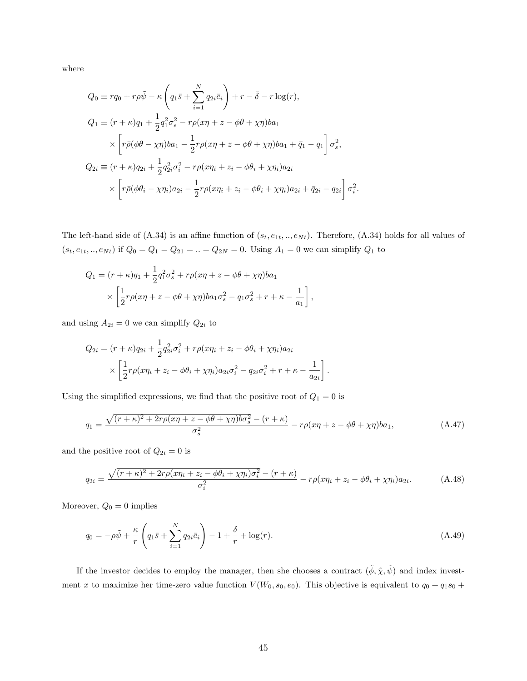where

$$
Q_0 \equiv r q_0 + r \rho \tilde{\psi} - \kappa \left( q_1 \bar{s} + \sum_{i=1}^N q_{2i} \bar{e}_i \right) + r - \bar{\delta} - r \log(r),
$$
  
\n
$$
Q_1 \equiv (r + \kappa) q_1 + \frac{1}{2} q_1^2 \sigma_s^2 - r \rho (x \eta + z - \phi \theta + \chi \eta) b a_1
$$
  
\n
$$
\times \left[ r \bar{\rho} (\phi \theta - \chi \eta) b a_1 - \frac{1}{2} r \rho (x \eta + z - \phi \theta + \chi \eta) b a_1 + \bar{q}_1 - q_1 \right] \sigma_s^2,
$$
  
\n
$$
Q_{2i} \equiv (r + \kappa) q_{2i} + \frac{1}{2} q_{2i}^2 \sigma_i^2 - r \rho (x \eta_i + z_i - \phi \theta_i + \chi \eta_i) a_{2i}
$$
  
\n
$$
\times \left[ r \bar{\rho} (\phi \theta_i - \chi \eta_i) a_{2i} - \frac{1}{2} r \rho (x \eta_i + z_i - \phi \theta_i + \chi \eta_i) a_{2i} + \bar{q}_{2i} - q_{2i} \right] \sigma_i^2.
$$

The left-hand side of  $(A.34)$  is an affine function of  $(s_t, e_{1t}, ..., e_{Nt})$ . Therefore,  $(A.34)$  holds for all values of  $(s_t, e_{1t}, ..., e_{Nt})$  if  $Q_0 = Q_1 = Q_{21} = ... = Q_{2N} = 0$ . Using  $A_1 = 0$  we can simplify  $Q_1$  to

,

$$
Q_1 = (r + \kappa)q_1 + \frac{1}{2}q_1^2 \sigma_s^2 + r\rho(x\eta + z - \phi\theta + \chi\eta)ba_1
$$
  
 
$$
\times \left[\frac{1}{2}r\rho(x\eta + z - \phi\theta + \chi\eta)ba_1\sigma_s^2 - q_1\sigma_s^2 + r + \kappa - \frac{1}{a_1}\right]
$$

and using  $A_{2i} = 0$  we can simplify  $Q_{2i}$  to

$$
Q_{2i} = (r + \kappa)q_{2i} + \frac{1}{2}q_{2i}^{2}\sigma_{i}^{2} + r\rho(x\eta_{i} + z_{i} - \phi\theta_{i} + \chi\eta_{i})a_{2i}
$$

$$
\times \left[\frac{1}{2}r\rho(x\eta_{i} + z_{i} - \phi\theta_{i} + \chi\eta_{i})a_{2i}\sigma_{i}^{2} - q_{2i}\sigma_{i}^{2} + r + \kappa - \frac{1}{a_{2i}}\right].
$$

Using the simplified expressions, we find that the positive root of  ${\cal Q}_1=0$  is

$$
q_1 = \frac{\sqrt{(r+\kappa)^2 + 2r\rho(x\eta + z - \phi\theta + \chi\eta)b\sigma_s^2} - (r+\kappa)}{\sigma_s^2} - r\rho(x\eta + z - \phi\theta + \chi\eta)ba_1,\tag{A.47}
$$

and the positive root of  $Q_{2i} = 0$  is

$$
q_{2i} = \frac{\sqrt{(r+\kappa)^2 + 2r\rho(x\eta_i + z_i - \phi\theta_i + \chi\eta_i)\sigma_i^2} - (r+\kappa)}{\sigma_i^2} - r\rho(x\eta_i + z_i - \phi\theta_i + \chi\eta_i)a_{2i}.\tag{A.48}
$$

Moreover,  $Q_0 = 0$  implies

$$
q_0 = -\rho \tilde{\psi} + \frac{\kappa}{r} \left( q_1 \bar{s} + \sum_{i=1}^N q_{2i} \bar{e}_i \right) - 1 + \frac{\delta}{r} + \log(r). \tag{A.49}
$$

If the investor decides to employ the manager, then she chooses a contract  $(\tilde{\phi}, \tilde{\chi}, \tilde{\psi})$  and index investment x to maximize her time-zero value function  $V(W_0, s_0, e_0)$ . This objective is equivalent to  $q_0 + q_1s_0 +$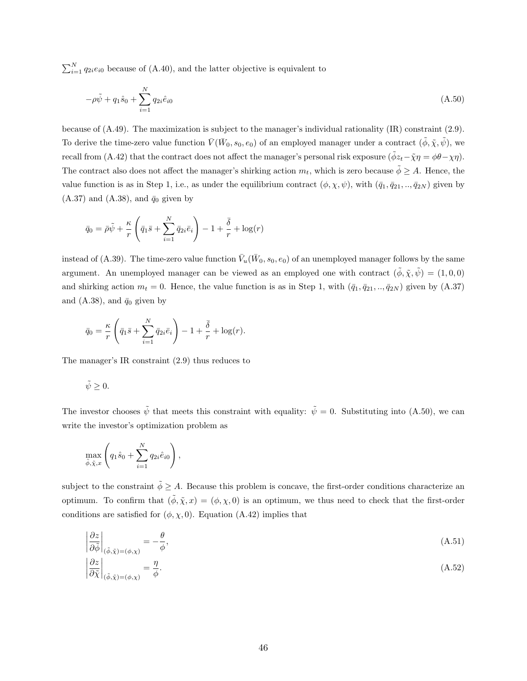$\sum_{i=1}^{N} q_{2i} e_{i0}$  because of (A.40), and the latter objective is equivalent to

$$
-\rho \tilde{\psi} + q_1 \hat{s}_0 + \sum_{i=1}^{N} q_{2i} \hat{e}_{i0}
$$
\n(A.50)

because of (A.49). The maximization is subject to the manager's individual rationality (IR) constraint (2.9). To derive the time-zero value function  $\bar{V}(\bar{W}_0, s_0, e_0)$  of an employed manager under a contract  $(\tilde{\phi}, \tilde{\chi}, \tilde{\psi})$ , we recall from (A.42) that the contract does not affect the manager's personal risk exposure  $(\tilde{\phi}z_t - \tilde{\chi}\eta = \phi\theta - \chi\eta)$ . The contract also does not affect the manager's shirking action  $m_t$ , which is zero because  $\tilde{\phi} \geq A$ . Hence, the value function is as in Step 1, i.e., as under the equilibrium contract  $(\phi, \chi, \psi)$ , with  $(\bar{q}_1, \bar{q}_{21}, \dots, \bar{q}_{2N})$  given by  $(A.37)$  and  $(A.38)$ , and  $\bar{q}_0$  given by

$$
\bar{q}_0 = \bar{\rho}\tilde{\psi} + \frac{\kappa}{r} \left( \bar{q}_1 \bar{s} + \sum_{i=1}^N \bar{q}_{2i} \bar{e}_i \right) - 1 + \frac{\bar{\delta}}{r} + \log(r)
$$

instead of (A.39). The time-zero value function  $\bar{V}_u(\bar{W}_0, s_0, e_0)$  of an unemployed manager follows by the same argument. An unemployed manager can be viewed as an employed one with contract  $(\phi, \tilde{\chi}, \tilde{\psi}) = (1, 0, 0)$ and shirking action  $m_t = 0$ . Hence, the value function is as in Step 1, with  $(\bar{q}_1, \bar{q}_{21}, ..., \bar{q}_{2N})$  given by  $(A.37)$ and (A.38), and  $\bar{q}_0$  given by

$$
\bar{q}_0 = \frac{\kappa}{r} \left( \bar{q}_1 \bar{s} + \sum_{i=1}^N \bar{q}_{2i} \bar{e}_i \right) - 1 + \frac{\bar{\delta}}{r} + \log(r).
$$

The manager's IR constraint (2.9) thus reduces to

$$
\tilde{\psi}\geq 0.
$$

The investor chooses  $\tilde{\psi}$  that meets this constraint with equality:  $\tilde{\psi} = 0$ . Substituting into (A.50), we can write the investor's optimization problem as

$$
\max_{\tilde{\phi}, \tilde{\chi}, x} \left( q_1 \hat{s}_0 + \sum_{i=1}^N q_{2i} \hat{e}_{i0} \right),
$$

subject to the constraint  $\tilde{\phi} \geq A$ . Because this problem is concave, the first-order conditions characterize an optimum. To confirm that  $(\tilde{\phi}, \tilde{\chi}, x) = (\phi, \chi, 0)$  is an optimum, we thus need to check that the first-order conditions are satisfied for  $(\phi, \chi, 0)$ . Equation (A.42) implies that

$$
\left|\frac{\partial z}{\partial \tilde{\phi}}\right|_{(\tilde{\phi}, \tilde{\chi}) = (\phi, \chi)} = -\frac{\theta}{\phi},\tag{A.51}
$$

$$
\left|\frac{\partial z}{\partial \tilde{\chi}}\right|_{(\tilde{\phi}, \tilde{\chi}) = (\phi, \chi)} = \frac{\eta}{\phi}.\tag{A.52}
$$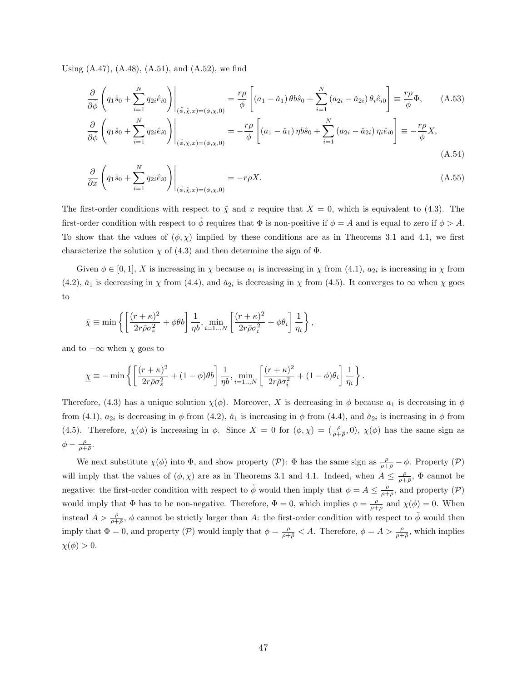Using  $(A.47)$ ,  $(A.48)$ ,  $(A.51)$ , and  $(A.52)$ , we find

$$
\frac{\partial}{\partial \tilde{\phi}} \left( q_1 \hat{s}_0 + \sum_{i=1}^N q_{2i} \hat{e}_{i0} \right) \Big|_{(\tilde{\phi}, \tilde{\chi}, x) = (\phi, \chi, 0)} = \frac{r \rho}{\phi} \left[ (a_1 - \check{a}_1) \theta b \hat{s}_0 + \sum_{i=1}^N (a_{2i} - \check{a}_{2i}) \theta_i \hat{e}_{i0} \right] \equiv \frac{r \rho}{\phi} \Phi, \qquad (A.53)
$$
\n
$$
\frac{\partial}{\partial \tilde{\phi}} \left( q_1 \hat{s}_0 + \sum_{i=1}^N q_{2i} \hat{e}_{i0} \right) \Big|_{(\tilde{\phi}, \tilde{\chi}, x) = (\phi, \chi, 0)} = -\frac{r \rho}{\phi} \left[ (a_1 - \check{a}_1) \eta b \hat{s}_0 + \sum_{i=1}^N (a_{2i} - \check{a}_{2i}) \eta_i \hat{e}_{i0} \right] \equiv -\frac{r \rho}{\phi} X,
$$

(A.54) !

$$
\frac{\partial}{\partial x}\left(q_1\hat{s}_0 + \sum_{i=1}^N q_{2i}\hat{e}_{i0}\right)\Big|_{(\tilde{\phi}, \tilde{\chi}, x) = (\phi, \chi, 0)} = -r\rho X.
$$
\n(A.55)

The first-order conditions with respect to  $\tilde{\chi}$  and x require that  $X = 0$ , which is equivalent to (4.3). The first-order condition with respect to  $\phi$  requires that  $\Phi$  is non-positive if  $\phi = A$  and is equal to zero if  $\phi > A$ . To show that the values of  $(\phi, \chi)$  implied by these conditions are as in Theorems 3.1 and 4.1, we first characterize the solution  $\chi$  of (4.3) and then determine the sign of  $\Phi$ .

Given  $\phi \in [0,1], X$  is increasing in  $\chi$  because  $a_1$  is increasing in  $\chi$  from  $(4.1), a_{2i}$  is increasing in  $\chi$  from (4.2),  $\check{a}_1$  is decreasing in  $\chi$  from (4.4), and  $\check{a}_{2i}$  is decreasing in  $\chi$  from (4.5). It converges to  $\infty$  when  $\chi$  goes to

$$
\bar{\chi} \equiv \min \left\{ \left[ \frac{(r+\kappa)^2}{2r\bar{\rho}\sigma_s^2} + \phi\theta b \right] \frac{1}{\eta b}, \min_{i=1..,N} \left[ \frac{(r+\kappa)^2}{2r\bar{\rho}\sigma_i^2} + \phi\theta_i \right] \frac{1}{\eta_i} \right\},
$$

and to  $-\infty$  when  $\chi$  goes to

$$
\underline{\chi} \equiv -\min \left\{ \left[ \frac{(r+\kappa)^2}{2r\bar{\rho}\sigma_s^2} + (1-\phi)\theta b \right] \frac{1}{\eta b}, \min_{i=1...N} \left[ \frac{(r+\kappa)^2}{2r\bar{\rho}\sigma_i^2} + (1-\phi)\theta_i \right] \frac{1}{\eta_i} \right\}.
$$

Therefore, (4.3) has a unique solution  $\chi(\phi)$ . Moreover, X is decreasing in  $\phi$  because  $a_1$  is decreasing in  $\phi$ from (4.1),  $a_{2i}$  is decreasing in  $\phi$  from (4.2),  $\check{a}_1$  is increasing in  $\phi$  from (4.4), and  $\check{a}_{2i}$  is increasing in  $\phi$  from (4.5). Therefore,  $\chi(\phi)$  is increasing in  $\phi$ . Since  $X = 0$  for  $(\phi, \chi) = (\frac{\rho}{\rho + \overline{\rho}}, 0)$ ,  $\chi(\phi)$  has the same sign as  $\phi - \frac{\rho}{\rho + \bar{\rho}}$ .

We next substitute  $\chi(\phi)$  into  $\Phi$ , and show property  $(\mathcal{P})$ :  $\Phi$  has the same sign as  $\frac{\rho}{\rho+\bar{\rho}}-\phi$ . Property  $(\mathcal{P})$ will imply that the values of  $(\phi, \chi)$  are as in Theorems 3.1 and 4.1. Indeed, when  $A \leq \frac{\rho}{\rho + \bar{\rho}}, \Phi$  cannot be negative: the first-order condition with respect to  $\tilde{\phi}$  would then imply that  $\phi = A \leq \frac{\rho}{\rho + \bar{\rho}},$  and property  $(\mathcal{P})$ would imply that  $\Phi$  has to be non-negative. Therefore,  $\Phi = 0$ , which implies  $\phi = \frac{\rho}{\rho + \bar{\rho}}$  and  $\chi(\phi) = 0$ . When instead  $A > \frac{\rho}{\rho+\bar{\rho}}, \phi$  cannot be strictly larger than A: the first-order condition with respect to  $\tilde{\phi}$  would then imply that  $\Phi = 0$ , and property (P) would imply that  $\phi = \frac{\rho}{\rho + \bar{\rho}} < A$ . Therefore,  $\phi = A > \frac{\rho}{\rho + \bar{\rho}}$ , which implies  $\chi(\phi) > 0.$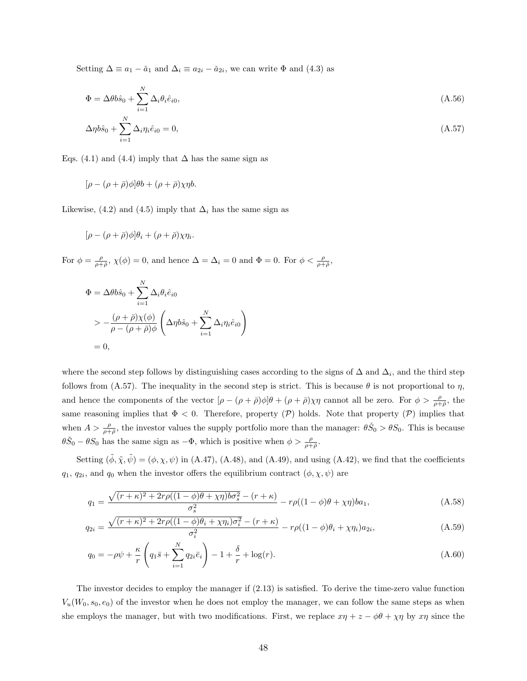Setting  $\Delta \equiv a_1 - \check{a}_1$  and  $\Delta_i \equiv a_{2i} - \check{a}_{2i}$ , we can write  $\Phi$  and  $(4.3)$  as

$$
\Phi = \Delta\theta b\hat{s}_0 + \sum_{i=1}^{N} \Delta_i \theta_i \hat{e}_{i0},\tag{A.56}
$$

$$
\Delta \eta b \hat{s}_0 + \sum_{i=1}^N \Delta_i \eta_i \hat{e}_{i0} = 0, \qquad (A.57)
$$

Eqs. (4.1) and (4.4) imply that  $\Delta$  has the same sign as

$$
[\rho - (\rho + \bar{\rho})\phi]\theta b + (\rho + \bar{\rho})\chi\eta b.
$$

Likewise, (4.2) and (4.5) imply that  $\Delta_i$  has the same sign as

$$
[\rho - (\rho + \bar{\rho})\phi]\theta_i + (\rho + \bar{\rho})\chi\eta_i.
$$

For  $\phi = \frac{\rho}{\rho + \bar{\rho}}, \chi(\phi) = 0$ , and hence  $\Delta = \Delta_i = 0$  and  $\Phi = 0$ . For  $\phi < \frac{\rho}{\rho + \bar{\rho}},$ 

$$
\Phi = \Delta \theta b \hat{s}_0 + \sum_{i=1}^N \Delta_i \theta_i \hat{e}_{i0}
$$
  
> 
$$
- \frac{(\rho + \bar{\rho}) \chi(\phi)}{\rho - (\rho + \bar{\rho}) \phi} \left( \Delta \eta b \hat{s}_0 + \sum_{i=1}^N \Delta_i \eta_i \hat{e}_{i0} \right)
$$
  
= 0,

where the second step follows by distinguishing cases according to the signs of  $\Delta$  and  $\Delta_i$ , and the third step follows from (A.57). The inequality in the second step is strict. This is because  $\theta$  is not proportional to  $\eta$ , and hence the components of the vector  $[\rho - (\rho + \bar{\rho})\phi]\theta + (\rho + \bar{\rho})\chi\eta$  cannot all be zero. For  $\phi > \frac{\rho}{\rho + \bar{\rho}}$ , the same reasoning implies that  $\Phi < 0$ . Therefore, property (P) holds. Note that property (P) implies that when  $A > \frac{\rho}{\rho + \bar{\rho}}$ , the investor values the supply portfolio more than the manager:  $\theta \check{S}_0 > \theta S_0$ . This is because  $\theta \check{S}_0 - \theta S_0$  has the same sign as  $-\Phi$ , which is positive when  $\phi > \frac{\rho}{\rho + \bar{\rho}}$ .

Setting  $(\tilde{\phi}, \tilde{\chi}, \tilde{\psi}) = (\phi, \chi, \psi)$  in (A.47), (A.48), and (A.49), and using (A.42), we find that the coefficients  $q_1, q_{2i}$ , and  $q_0$  when the investor offers the equilibrium contract  $(\phi, \chi, \psi)$  are

$$
q_1 = \frac{\sqrt{(r+\kappa)^2 + 2r\rho((1-\phi)\theta + \chi\eta)b\sigma_s^2} - (r+\kappa)}{\sigma_s^2} - r\rho((1-\phi)\theta + \chi\eta)ba_1,\tag{A.58}
$$

$$
q_{2i} = \frac{\sqrt{(r+\kappa)^2 + 2r\rho((1-\phi)\theta_i + \chi\eta_i)\sigma_i^2} - (r+\kappa)}{\sigma_i^2} - r\rho((1-\phi)\theta_i + \chi\eta_i)a_{2i},
$$
\n(A.59)

$$
q_0 = -\rho \psi + \frac{\kappa}{r} \left( q_1 \bar{s} + \sum_{i=1}^N q_{2i} \bar{e}_i \right) - 1 + \frac{\delta}{r} + \log(r). \tag{A.60}
$$

The investor decides to employ the manager if (2.13) is satisfied. To derive the time-zero value function  $V_u(W_0, s_0, e_0)$  of the investor when he does not employ the manager, we can follow the same steps as when she employs the manager, but with two modifications. First, we replace  $x\eta + z - \phi\theta + \chi\eta$  by  $x\eta$  since the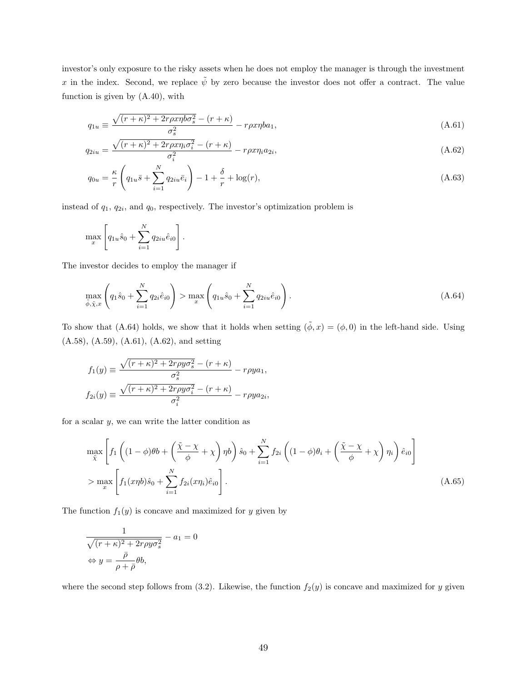investor's only exposure to the risky assets when he does not employ the manager is through the investment x in the index. Second, we replace  $\tilde{\psi}$  by zero because the investor does not offer a contract. The value function is given by (A.40), with

$$
q_{1u} \equiv \frac{\sqrt{(r+\kappa)^2 + 2r\rho x \eta b \sigma_s^2} - (r+\kappa)}{\sigma_s^2} - r\rho x \eta b a_1,\tag{A.61}
$$

$$
q_{2iu} = \frac{\sqrt{(r+\kappa)^2 + 2r\rho x \eta_i \sigma_i^2} - (r+\kappa)}{\sigma_i^2} - r\rho x \eta_i a_{2i},\tag{A.62}
$$

$$
q_{0u} = \frac{\kappa}{r} \left( q_{1u} \bar{s} + \sum_{i=1}^{N} q_{2iu} \bar{e}_i \right) - 1 + \frac{\delta}{r} + \log(r), \tag{A.63}
$$

instead of  $q_1, q_{2i}$ , and  $q_0$ , respectively. The investor's optimization problem is

$$
\max_x \left[ q_{1u} \hat{s}_0 + \sum_{i=1}^N q_{2iu} \hat{e}_{i0} \right].
$$

The investor decides to employ the manager if

$$
\max_{\tilde{\phi}, \tilde{\chi}, x} \left( q_1 \hat{s}_0 + \sum_{i=1}^N q_{2i} \hat{e}_{i0} \right) > \max_x \left( q_{1u} \hat{s}_0 + \sum_{i=1}^N q_{2iu} \hat{e}_{i0} \right). \tag{A.64}
$$

To show that (A.64) holds, we show that it holds when setting  $(\tilde{\phi}, x) = (\phi, 0)$  in the left-hand side. Using (A.58), (A.59), (A.61), (A.62), and setting

$$
f_1(y) \equiv \frac{\sqrt{(r+\kappa)^2 + 2r\rho y \sigma_s^2} - (r+\kappa)}{\sigma_s^2} - r\rho ya_1,
$$
  

$$
f_{2i}(y) \equiv \frac{\sqrt{(r+\kappa)^2 + 2r\rho y \sigma_i^2} - (r+\kappa)}{\sigma_i^2} - r\rho ya_{2i},
$$

for a scalar  $y$ , we can write the latter condition as

$$
\max_{\tilde{\chi}} \left[ f_1 \left( (1 - \phi)\theta b + \left( \frac{\tilde{\chi} - \chi}{\phi} + \chi \right) \eta b \right) \hat{s}_0 + \sum_{i=1}^N f_{2i} \left( (1 - \phi)\theta_i + \left( \frac{\tilde{\chi} - \chi}{\phi} + \chi \right) \eta_i \right) \hat{e}_{i0} \right]
$$
\n
$$
> \max_x \left[ f_1(x\eta b)\hat{s}_0 + \sum_{i=1}^N f_{2i}(x\eta_i)\hat{e}_{i0} \right].
$$
\n(A.65)

The function  $f_1(y)$  is concave and maximized for y given by

$$
\frac{1}{\sqrt{(r+\kappa)^2 + 2r\rho y \sigma_s^2}} - a_1 = 0
$$

$$
\Leftrightarrow y = \frac{\bar{\rho}}{\rho + \bar{\rho}} \theta b,
$$

where the second step follows from (3.2). Likewise, the function  $f_2(y)$  is concave and maximized for y given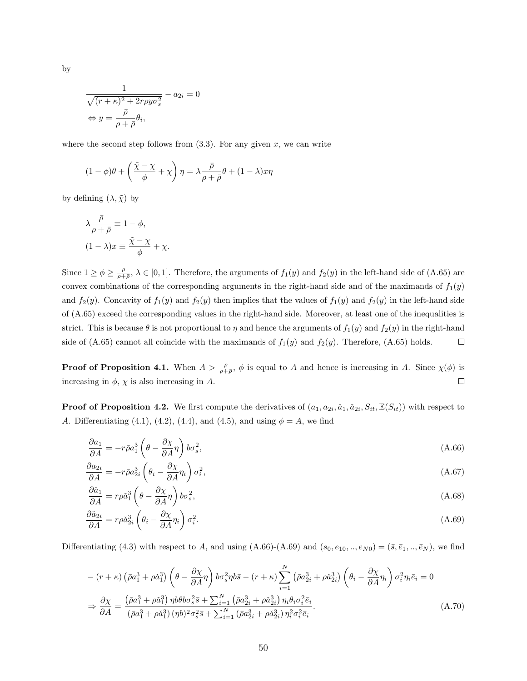$$
\frac{1}{\sqrt{(r+\kappa)^2 + 2r\rho y \sigma_s^2}} - a_{2i} = 0
$$

$$
\Leftrightarrow y = \frac{\bar{\rho}}{\rho + \bar{\rho}} \theta_i,
$$

where the second step follows from  $(3.3)$ . For any given x, we can write

$$
(1 - \phi)\theta + \left(\frac{\tilde{\chi} - \chi}{\phi} + \chi\right)\eta = \lambda \frac{\bar{\rho}}{\rho + \bar{\rho}}\theta + (1 - \lambda)x\eta
$$

by defining  $(\lambda, \tilde{\chi})$  by

$$
\lambda \frac{\bar{\rho}}{\rho + \bar{\rho}} \equiv 1 - \phi,
$$
  

$$
(1 - \lambda)x \equiv \frac{\tilde{\chi} - \chi}{\phi} + \chi.
$$

Since  $1 \ge \phi \ge \frac{\rho}{\rho+\bar{\rho}}, \lambda \in [0,1]$ . Therefore, the arguments of  $f_1(y)$  and  $f_2(y)$  in the left-hand side of (A.65) are convex combinations of the corresponding arguments in the right-hand side and of the maximands of  $f_1(y)$ and  $f_2(y)$ . Concavity of  $f_1(y)$  and  $f_2(y)$  then implies that the values of  $f_1(y)$  and  $f_2(y)$  in the left-hand side of (A.65) exceed the corresponding values in the right-hand side. Moreover, at least one of the inequalities is strict. This is because  $\theta$  is not proportional to  $\eta$  and hence the arguments of  $f_1(y)$  and  $f_2(y)$  in the right-hand side of (A.65) cannot all coincide with the maximands of  $f_1(y)$  and  $f_2(y)$ . Therefore, (A.65) holds.  $\Box$ 

**Proof of Proposition 4.1.** When  $A > \frac{\rho}{\rho+\bar{\rho}}$ ,  $\phi$  is equal to A and hence is increasing in A. Since  $\chi(\phi)$  is increasing in  $\phi$ ,  $\chi$  is also increasing in A.  $\Box$ 

**Proof of Proposition 4.2.** We first compute the derivatives of  $(a_1, a_{2i}, a_1, a_{2i}, S_{it}, \mathbb{E}(S_{it}))$  with respect to A. Differentiating (4.1), (4.2), (4.4), and (4.5), and using  $\phi = A$ , we find

$$
\frac{\partial a_1}{\partial A} = -r\bar{\rho}a_1^3 \left(\theta - \frac{\partial \chi}{\partial A}\eta\right)b\sigma_s^2,\tag{A.66}
$$

$$
\frac{\partial a_{2i}}{\partial A} = -r\bar{\rho}a_{2i}^3 \left(\theta_i - \frac{\partial \chi}{\partial A}\eta_i\right)\sigma_i^2,\tag{A.67}
$$

$$
\frac{\partial \tilde{a}_1}{\partial A} = r \rho \tilde{a}_1^3 \left( \theta - \frac{\partial \chi}{\partial A} \eta \right) b \sigma_s^2,\tag{A.68}
$$

$$
\frac{\partial \check{a}_{2i}}{\partial A} = r \rho \check{a}_{2i}^3 \left( \theta_i - \frac{\partial \chi}{\partial A} \eta_i \right) \sigma_i^2.
$$
\n(A.69)

Differentiating (4.3) with respect to A, and using  $(A.66)-(A.69)$  and  $(s_0, e_{10},.., e_{N0}) = (\bar{s}, \bar{e}_1,.., \bar{e}_N)$ , we find

$$
-(r+\kappa)\left(\bar{\rho}a_1^3+\rho\check{a}_1^3\right)\left(\theta-\frac{\partial\chi}{\partial A}\eta\right)b\sigma_s^2\eta b\bar{s}-(r+\kappa)\sum_{i=1}^N\left(\bar{\rho}a_{2i}^3+\rho\check{a}_{2i}^3\right)\left(\theta_i-\frac{\partial\chi}{\partial A}\eta_i\right)\sigma_i^2\eta_i\bar{e}_i=0
$$
  

$$
\Rightarrow \frac{\partial\chi}{\partial A} = \frac{\left(\bar{\rho}a_1^3+\rho\check{a}_1^3\right)\eta b\theta b\sigma_s^2\bar{s}+\sum_{i=1}^N\left(\bar{\rho}a_{2i}^3+\rho\check{a}_{2i}^3\right)\eta_i\theta_i\sigma_i^2\bar{e}_i}{\left(\bar{\rho}a_1^3+\rho\check{a}_1^3\right)(\eta b)^2\sigma_s^2\bar{s}+\sum_{i=1}^N\left(\bar{\rho}a_{2i}^3+\rho\check{a}_{2i}^3\right)\eta_i^2\sigma_i^2\bar{e}_i}.
$$
 (A.70)

by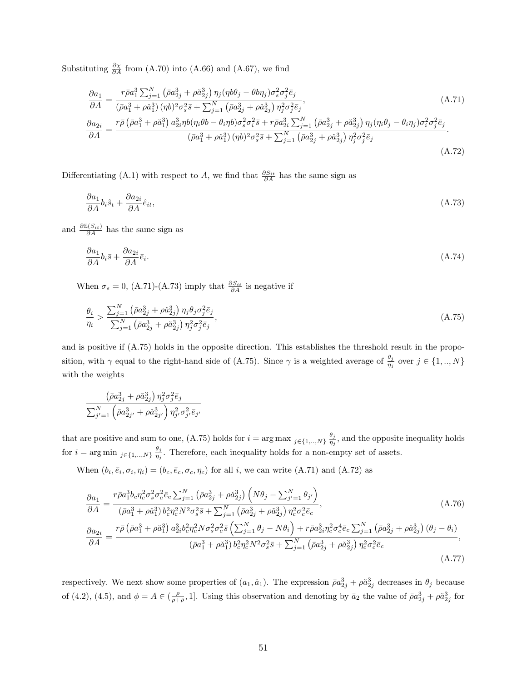Substituting  $\frac{\partial \chi}{\partial A}$  from (A.70) into (A.66) and (A.67), we find

$$
\frac{\partial a_1}{\partial A} = \frac{r\bar{\rho}a_1^3 \sum_{j=1}^N \left(\bar{\rho}a_{2j}^3 + \rho \check{a}_{2j}^3\right) \eta_j (\eta b \theta_j - \theta b \eta_j) \sigma_s^2 \sigma_j^2 \bar{e}_j}{\left(\bar{\rho}a_1^3 + \rho \check{a}_1^3\right) (\eta b)^2 \sigma_s^2 \bar{s} + \sum_{j=1}^N \left(\bar{\rho}a_{2j}^3 + \rho \check{a}_{2j}^3\right) \eta_j^2 \sigma_j^2 \bar{e}_j},\n\frac{\partial a_{2i}}{\partial A} = \frac{r\bar{\rho} \left(\bar{\rho}a_1^3 + \rho \check{a}_1^3\right) a_{2i}^3 \eta b (\eta_i \theta b - \theta_i \eta b) \sigma_s^2 \sigma_i^2 \bar{s} + r\bar{\rho}a_{2i}^3 \sum_{j=1}^N \left(\bar{\rho}a_{2j}^3 + \rho \check{a}_{2j}^3\right) \eta_j (\eta_i \theta_j - \theta_i \eta_j) \sigma_i^2 \sigma_j^2 \bar{e}_j}{\left(\bar{\rho}a_1^3 + \rho \check{a}_1^3\right) (\eta b)^2 \sigma_s^2 \bar{s} + \sum_{j=1}^N \left(\bar{\rho}a_{2j}^3 + \rho \check{a}_{2j}^3\right) \eta_j^2 \sigma_j^2 \bar{e}_j}.
$$
\n(A.71)

(A.72)

Differentiating (A.1) with respect to A, we find that  $\frac{\partial S_{it}}{\partial A}$  has the same sign as

$$
\frac{\partial a_1}{\partial A} b_i \hat{s}_t + \frac{\partial a_{2i}}{\partial A} \hat{e}_{it},\tag{A.73}
$$

and  $\frac{\partial \mathbb{E}(S_{it})}{\partial A}$  has the same sign as

$$
\frac{\partial a_1}{\partial A} b_i \bar{s} + \frac{\partial a_{2i}}{\partial A} \bar{e}_i. \tag{A.74}
$$

When  $\sigma_s = 0$ , (A.71)-(A.73) imply that  $\frac{\partial S_{it}}{\partial A}$  is negative if

$$
\frac{\theta_i}{\eta_i} > \frac{\sum_{j=1}^N \left( \bar{\rho} a_{2j}^3 + \rho \check{a}_{2j}^3 \right) \eta_j \theta_j \sigma_j^2 \bar{e}_j}{\sum_{j=1}^N \left( \bar{\rho} a_{2j}^3 + \rho \check{a}_{2j}^3 \right) \eta_j^2 \sigma_j^2 \bar{e}_j},\tag{A.75}
$$

and is positive if (A.75) holds in the opposite direction. This establishes the threshold result in the proposition, with  $\gamma$  equal to the right-hand side of (A.75). Since  $\gamma$  is a weighted average of  $\frac{\theta_j}{\eta_j}$  over  $j \in \{1, ..., N\}$ with the weights

$$
\frac{\left(\bar{\rho}a_{2j}^3+\rho\check{a}_{2j}^3\right)\eta_j^2\sigma_j^2\bar{e}_j}{\sum_{j'=1}^N\left(\bar{\rho}a_{2j'}^3+\rho\check{a}_{2j'}^3\right)\eta_j^2\sigma_{j'}^2\bar{e}_{j'}}
$$

that are positive and sum to one, (A.75) holds for  $i = \arg \max_{j \in \{1, ..., N\}} \frac{\theta_j}{n_i}$  $\frac{\theta_j}{\eta_j}$ , and the opposite inequality holds for  $i = \arg \min_{j \in \{1, ..., N\}} \frac{\theta_j}{\eta_j}$  $\frac{\theta_j}{\eta_j}$ . Therefore, each inequality holds for a non-empty set of assets.

When  $(b_i, \bar{e}_i, \sigma_i, \eta_i) = (b_c, \bar{e}_c, \sigma_c, \eta_c)$  for all i, we can write  $(A.71)$  and  $(A.72)$  as

$$
\frac{\partial a_{1}}{\partial A} = \frac{r\bar{\rho}a_{1}^{3}b_{c}\eta_{c}^{2}\sigma_{s}^{2}\sigma_{c}^{2}\bar{e}_{c}\sum_{j=1}^{N}\left(\bar{\rho}a_{2j}^{3} + \rho\check{a}_{2j}^{3}\right)\left(N\theta_{j} - \sum_{j'=1}^{N}\theta_{j'}\right)}{\left(\bar{\rho}a_{1}^{3} + \rho\check{a}_{1}^{3}\right)b_{c}^{2}\eta_{c}^{2}N^{2}\sigma_{s}^{2}\bar{s} + \sum_{j=1}^{N}\left(\bar{\rho}a_{2j}^{3} + \rho\check{a}_{2j}^{3}\right)\eta_{c}^{2}\sigma_{c}^{2}\bar{e}_{c}},
$$
\n
$$
\frac{\partial a_{2i}}{\partial A} = \frac{r\bar{\rho}\left(\bar{\rho}a_{1}^{3} + \rho\check{a}_{1}^{3}\right)a_{2i}^{3}b_{c}^{2}\eta_{c}^{2}N\sigma_{s}^{2}\sigma_{c}^{2}\bar{s}\left(\sum_{j=1}^{N}\theta_{j} - N\theta_{i}\right) + r\bar{\rho}a_{2i}^{3}\eta_{c}^{2}\sigma_{c}^{4}\bar{e}_{c}\sum_{j=1}^{N}\left(\bar{\rho}a_{2j}^{3} + \rho\check{a}_{2j}^{3}\right)\left(\theta_{j} - \theta_{i}\right)}{\left(\bar{\rho}a_{1}^{3} + \rho\check{a}_{1}^{3}\right)b_{c}^{2}\eta_{c}^{2}N^{2}\sigma_{s}^{2}\bar{s} + \sum_{j=1}^{N}\left(\bar{\rho}a_{2j}^{3} + \rho\check{a}_{2j}^{3}\right)\eta_{c}^{2}\sigma_{c}^{2}\bar{e}_{c}}
$$
\n(A.77)

respectively. We next show some properties of  $(a_1, \check{a}_1)$ . The expression  $\bar{\rho}a_{2j}^3 + \rho \check{a}_{2j}^3$  decreases in  $\theta_j$  because of (4.2), (4.5), and  $\phi = A \in (\frac{\rho}{\rho + \bar{\rho}}, 1]$ . Using this observation and denoting by  $\bar{a}_2$  the value of  $\bar{\rho}a_{2j}^3 + \rho \check{a}_{2j}^3$  for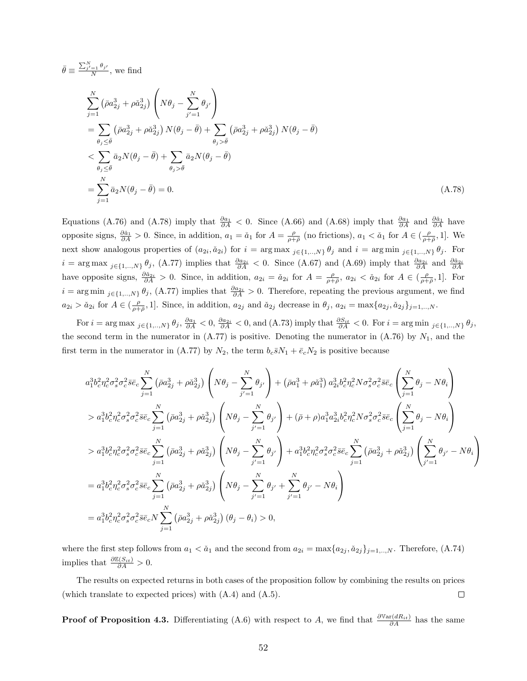$$
\bar{\theta} \equiv \frac{\sum_{j'=1}^{N} \theta_{j'}}{N}, \text{ we find}
$$
\n
$$
\sum_{j=1}^{N} (\bar{\rho} a_{2j}^{3} + \rho \tilde{a}_{2j}^{3}) \left( N \theta_{j} - \sum_{j'=1}^{N} \theta_{j'} \right)
$$
\n
$$
= \sum_{\theta_{j} \leq \bar{\theta}} (\bar{\rho} a_{2j}^{3} + \rho \tilde{a}_{2j}^{3}) N (\theta_{j} - \bar{\theta}) + \sum_{\theta_{j} > \bar{\theta}} (\bar{\rho} a_{2j}^{3} + \rho \tilde{a}_{2j}^{3}) N (\theta_{j} - \bar{\theta})
$$
\n
$$
< \sum_{\theta_{j} \leq \bar{\theta}} \bar{a}_{2} N (\theta_{j} - \bar{\theta}) + \sum_{\theta_{j} > \bar{\theta}} \bar{a}_{2} N (\theta_{j} - \bar{\theta})
$$
\n
$$
= \sum_{j=1}^{N} \bar{a}_{2} N (\theta_{j} - \bar{\theta}) = 0.
$$
\n(A.78)

Equations (A.76) and (A.78) imply that  $\frac{\partial a_1}{\partial A}$  < 0. Since (A.66) and (A.68) imply that  $\frac{\partial a_1}{\partial A}$  and  $\frac{\partial a_1}{\partial A}$  have opposite signs,  $\frac{\partial \tilde{a}_1}{\partial A} > 0$ . Since, in addition,  $a_1 = \tilde{a}_1$  for  $A = \frac{\rho}{\rho + \bar{\rho}}$  (no frictions),  $a_1 < \tilde{a}_1$  for  $A \in (\frac{\rho}{\rho + \bar{\rho}}, 1]$ . We next show analogous properties of  $(a_{2i}, a_{2i})$  for  $i = \arg \max_{j \in \{1, ..., N\}} \theta_j$  and  $i = \arg \min_{j \in \{1, ..., N\}} \theta_j$ . For  $i = \arg \max_{j \in \{1, ..., N\}} \theta_j$ , (A.77) implies that  $\frac{\partial a_{2i}}{\partial A} < 0$ . Since (A.67) and (A.69) imply that  $\frac{\partial a_{2i}}{\partial A}$  and  $\frac{\partial a_{2i}}{\partial A}$ have opposite signs,  $\frac{\partial \tilde{a}_{2i}}{\partial A} > 0$ . Since, in addition,  $a_{2i} = \tilde{a}_{2i}$  for  $A = \frac{\rho}{\rho + \bar{\rho}}, a_{2i} < \tilde{a}_{2i}$  for  $A \in (\frac{\rho}{\rho + \bar{\rho}}, 1]$ . For  $i = \arg \min_{j \in \{1, ..., N\}} \theta_j$ , (A.77) implies that  $\frac{\partial a_{2i}}{\partial A} > 0$ . Therefore, repeating the previous argument, we find  $a_{2i} > a_{2i}$  for  $A \in (\frac{\rho}{\rho+\overline{\rho}}, 1]$ . Since, in addition,  $a_{2j}$  and  $a_{2j}$  decrease in  $\theta_j$ ,  $a_{2i} = \max\{a_{2j}, a_{2j}\}_{j=1,..,N}$ .

 $\text{For } i = \arg \max_{j \in \{1, ..., N\}} \theta_j, \frac{\partial a_1}{\partial A} < 0, \frac{\partial a_{2i}}{\partial A} < 0, \text{ and } (A.73) \text{ imply that } \frac{\partial S_{it}}{\partial A} < 0. \text{ For } i = \arg \min_{j \in \{1, ..., N\}} \theta_j,$ the second term in the numerator in  $(A.77)$  is positive. Denoting the numerator in  $(A.76)$  by  $N_1$ , and the first term in the numerator in (A.77) by  $N_2$ , the term  $b_c\bar{s}N_1 + \bar{e}_cN_2$  is positive because

$$
a_1^3 b_c^2 \eta_c^2 \sigma_s^2 \bar{\sigma} \bar{e}_c \sum_{j=1}^N (\bar{\rho} a_{2j}^3 + \rho \tilde{a}_{2j}^3) \left( N \theta_j - \sum_{j'=1}^N \theta_{j'} \right) + (\bar{\rho} a_1^3 + \rho \tilde{a}_1^3) a_{2i}^3 b_c^2 \eta_c^2 N \sigma_s^2 \sigma_c^2 \bar{s} \bar{e}_c \left( \sum_{j=1}^N \theta_j - N \theta_i \right)
$$
  
\n
$$
> a_1^3 b_c^2 \eta_c^2 \sigma_s^2 \sigma_c^2 \bar{s} \bar{e}_c \sum_{j=1}^N (\bar{\rho} a_{2j}^3 + \rho \tilde{a}_{2j}^3) \left( N \theta_j - \sum_{j'=1}^N \theta_{j'} \right) + (\bar{\rho} + \rho) a_1^3 a_{2i}^3 b_c^2 \eta_c^2 N \sigma_s^2 \sigma_c^2 \bar{s} \bar{e}_c \left( \sum_{j=1}^N \theta_j - N \theta_i \right)
$$
  
\n
$$
> a_1^3 b_c^2 \eta_c^2 \sigma_s^2 \sigma_c^2 \bar{s} \bar{e}_c \sum_{j=1}^N (\bar{\rho} a_{2j}^3 + \rho \tilde{a}_{2j}^3) \left( N \theta_j - \sum_{j'=1}^N \theta_{j'} \right) + a_1^3 b_c^2 \eta_c^2 \sigma_s^2 \sigma_c^2 \bar{s} \bar{e}_c \sum_{j=1}^N (\bar{\rho} a_{2j}^3 + \rho \tilde{a}_{2j}^3) \left( \sum_{j'=1}^N \theta_{j'} - N \theta_i \right)
$$
  
\n
$$
= a_1^3 b_c^2 \eta_c^2 \sigma_s^2 \sigma_c^2 \bar{s} \bar{e}_c \sum_{j=1}^N (\bar{\rho} a_{2j}^3 + \rho \tilde{a}_{2j}^3) \left( N \theta_j - \sum_{j'=1}^N \theta_{j'} + \sum_{j'=1}^N \theta_{j'} - N \theta_i \right)
$$
  
\n
$$
= a_1^3 b_c^2 \eta_c^2 \sigma_s^2 \sigma_c^2 \bar{s} \bar{e}_c N \sum_{j=1}^N (\bar{\rho} a_{2j}^3 + \rho \
$$

where the first step follows from  $a_1 < a_1$  and the second from  $a_{2i} = \max\{a_{2j}, a_{2j}\}_{j=1,\dots,N}$ . Therefore, (A.74) implies that  $\frac{\partial \mathbb{E}(S_{it})}{\partial A} > 0$ .

The results on expected returns in both cases of the proposition follow by combining the results on prices (which translate to expected prices) with (A.4) and (A.5).  $\Box$ 

**Proof of Proposition 4.3.** Differentiating (A.6) with respect to A, we find that  $\frac{\partial \text{Var}(dR_{it})}{\partial A}$  has the same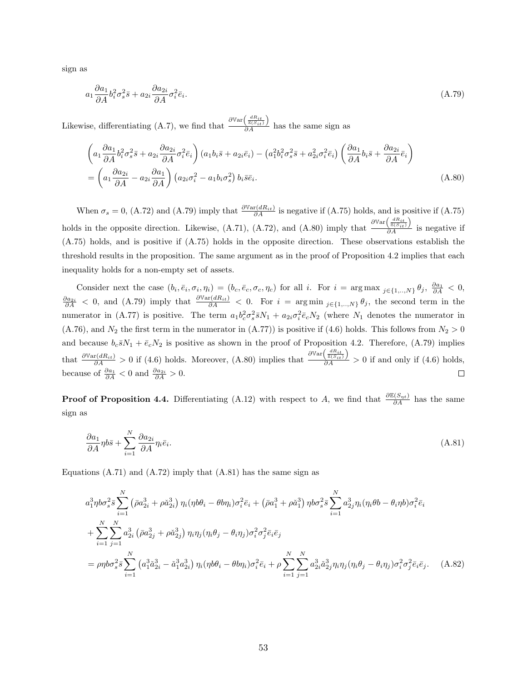sign as

 $\epsilon$ 

$$
a_1 \frac{\partial a_1}{\partial A} b_i^2 \sigma_s^2 \bar{s} + a_{2i} \frac{\partial a_{2i}}{\partial A} \sigma_i^2 \bar{e}_i. \tag{A.79}
$$

Likewise, differentiating (A.7), we find that  $\frac{\partial \mathbb{V}\text{ar}\left(\frac{dR_{it}}{\mathbb{E}(S_{it})}\right)}$  $\frac{\sum E(S_{it})}{\partial A}$  has the same sign as

$$
\left(a_1 \frac{\partial a_1}{\partial A} b_i^2 \sigma_s^2 \bar{s} + a_{2i} \frac{\partial a_{2i}}{\partial A} \sigma_i^2 \bar{e}_i\right) (a_1 b_i \bar{s} + a_{2i} \bar{e}_i) - \left(a_1^2 b_i^2 \sigma_s^2 \bar{s} + a_{2i}^2 \sigma_i^2 \bar{e}_i\right) \left(\frac{\partial a_1}{\partial A} b_i \bar{s} + \frac{\partial a_{2i}}{\partial A} \bar{e}_i\right)
$$

$$
= \left(a_1 \frac{\partial a_{2i}}{\partial A} - a_{2i} \frac{\partial a_1}{\partial A}\right) \left(a_{2i} \sigma_i^2 - a_1 b_i \sigma_s^2\right) b_i \bar{s} \bar{e}_i.
$$
(A.80)

When  $\sigma_s = 0$ , (A.72) and (A.79) imply that  $\frac{\partial \text{Var}(dR_{it})}{\partial A}$  is negative if (A.75) holds, and is positive if (A.75) holds in the opposite direction. Likewise, (A.71), (A.72), and (A.80) imply that  $\partial \mathbb{V}\text{ar}\left(\frac{dR_{it}}{\mathbb{E}(S_{it})}\right)$  $\frac{\delta(\mathcal{S}_{it})}{\delta A}$  is negative if (A.75) holds, and is positive if (A.75) holds in the opposite direction. These observations establish the threshold results in the proposition. The same argument as in the proof of Proposition 4.2 implies that each inequality holds for a non-empty set of assets.

Consider next the case  $(b_i, \bar{e}_i, \sigma_i, \eta_i) = (b_c, \bar{e}_c, \sigma_c, \eta_c)$  for all i. For  $i = \arg \max_{j \in \{1, ..., N\}} \theta_j$ ,  $\frac{\partial a_1}{\partial A} < 0$ ,  $\frac{\partial a_{2i}}{\partial A}$  < 0, and (A.79) imply that  $\frac{\partial \text{Var}(dR_{it})}{\partial A}$  < 0. For  $i = \arg \min_{j \in \{1, ..., N\}} \theta_j$ , the second term in the numerator in (A.77) is positive. The term  $a_1b_c^2\sigma_s^2\bar{s}N_1 + a_{2i}\sigma_i^2\bar{e}_cN_2$  (where  $N_1$  denotes the numerator in  $(A.76)$ , and  $N_2$  the first term in the numerator in  $(A.77)$  is positive if  $(4.6)$  holds. This follows from  $N_2 > 0$ and because  $b_c\bar{s}N_1 + \bar{e}_cN_2$  is positive as shown in the proof of Proposition 4.2. Therefore, (A.79) implies  $\frac{\partial \mathbb{V}\text{ar}\left(\frac{dR_{it}}{\mathbb{E}(S_{it})}\right)}$ that  $\frac{\partial \text{Var}(dR_{it})}{\partial A} > 0$  if (4.6) holds. Moreover, (A.80) implies that  $\frac{\partial A}{\partial A}$  > 0 if and only if (4.6) holds, because of  $\frac{\partial a_1}{\partial A} < 0$  and  $\frac{\partial a_{2i}}{\partial A} > 0$ .  $\Box$ 

**Proof of Proposition 4.4.** Differentiating (A.12) with respect to A, we find that  $\frac{\partial E(S_{\eta t})}{\partial A}$  has the same sign as

$$
\frac{\partial a_1}{\partial A} \eta b \bar{s} + \sum_{i=1}^{N} \frac{\partial a_{2i}}{\partial A} \eta_i \bar{e}_i.
$$
\n(A.81)

Equations  $(A.71)$  and  $(A.72)$  imply that  $(A.81)$  has the same sign as

$$
a_1^3 \eta b \sigma_s^2 \bar{s} \sum_{i=1}^N \left( \bar{\rho} a_{2i}^3 + \rho \tilde{a}_{2i}^3 \right) \eta_i (\eta b \theta_i - \theta b \eta_i) \sigma_i^2 \bar{e}_i + \left( \bar{\rho} a_1^3 + \rho \tilde{a}_1^3 \right) \eta b \sigma_s^2 \bar{s} \sum_{i=1}^N a_{2j}^3 \eta_i (\eta_i \theta b - \theta_i \eta b) \sigma_i^2 \bar{e}_i + \sum_{i=1}^N \sum_{j=1}^N a_{2i}^3 \left( \bar{\rho} a_{2j}^3 + \rho \tilde{a}_{2j}^3 \right) \eta_i \eta_j (\eta_i \theta_j - \theta_i \eta_j) \sigma_i^2 \sigma_j^2 \bar{e}_i \bar{e}_j = \rho \eta b \sigma_s^2 \bar{s} \sum_{i=1}^N \left( a_1^3 \tilde{a}_{2i}^3 - \tilde{a}_1^3 a_{2i}^3 \right) \eta_i (\eta b \theta_i - \theta b \eta_i) \sigma_i^2 \bar{e}_i + \rho \sum_{i=1}^N \sum_{j=1}^N a_{2i}^3 \tilde{a}_{2j}^3 \eta_i \eta_j (\eta_i \theta_j - \theta_i \eta_j) \sigma_i^2 \sigma_j^2 \bar{e}_i \bar{e}_j.
$$
 (A.82)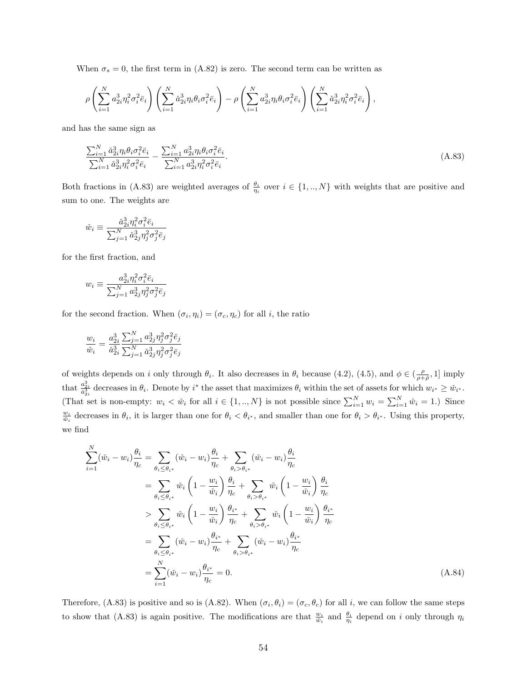When  $\sigma_s = 0$ , the first term in (A.82) is zero. The second term can be written as

$$
\rho\left(\sum_{i=1}^N a_{2i}^3 \eta_i^2 \sigma_i^2 \bar{e}_i\right) \left(\sum_{i=1}^N \check{a}_{2i}^3 \eta_i \theta_i \sigma_i^2 \bar{e}_i\right) - \rho\left(\sum_{i=1}^N a_{2i}^3 \eta_i \theta_i \sigma_i^2 \bar{e}_i\right) \left(\sum_{i=1}^N \check{a}_{2i}^3 \eta_i^2 \sigma_i^2 \bar{e}_i\right),
$$

and has the same sign as

$$
\frac{\sum_{i=1}^{N} \check{a}_{2i}^{3} \eta_{i} \theta_{i} \sigma_{i}^{2} \bar{e}_{i}}{\sum_{i=1}^{N} \check{a}_{2i}^{3} \eta_{i}^{2} \sigma_{i}^{2} \bar{e}_{i}} - \frac{\sum_{i=1}^{N} a_{2i}^{3} \eta_{i} \theta_{i} \sigma_{i}^{2} \bar{e}_{i}}{\sum_{i=1}^{N} a_{2i}^{3} \eta_{i}^{2} \sigma_{i}^{2} \bar{e}_{i}}.
$$
\n(A.83)

Both fractions in (A.83) are weighted averages of  $\frac{\theta_i}{\eta_i}$  over  $i \in \{1, ..., N\}$  with weights that are positive and sum to one. The weights are

$$
\check{w}_i \equiv \frac{\check{a}_{2i}^3 \eta_i^2 \sigma_i^2 \bar{e}_i}{\sum_{j=1}^N \check{a}_{2j}^3 \eta_j^2 \sigma_j^2 \bar{e}_j}
$$

for the first fraction, and

$$
w_i \equiv \frac{a_{2i}^3 \eta_i^2 \sigma_i^2 \bar{e}_i}{\sum_{j=1}^N a_{2j}^3 \eta_j^2 \sigma_j^2 \bar{e}_j}
$$

for the second fraction. When  $(\sigma_i, \eta_i) = (\sigma_c, \eta_c)$  for all *i*, the ratio

$$
\frac{w_i}{\check{w}_i} = \frac{a_{2i}^3}{\check{a}_{2i}^3} \frac{\sum_{j=1}^N a_{2j}^3 \eta_j^2 \sigma_j^2 \bar{e}_j}{\sum_{j=1}^N \check{a}_{2j}^3 \eta_j^2 \sigma_j^2 \bar{e}_j}
$$

of weights depends on i only through  $\theta_i$ . It also decreases in  $\theta_i$  because (4.2), (4.5), and  $\phi \in (\frac{\rho}{\rho+\bar{\rho}},1]$  imply that  $\frac{a_{2i}^3}{\tilde{a}_{2i}^3}$  decreases in  $\theta_i$ . Denote by i<sup>\*</sup> the asset that maximizes  $\theta_i$  within the set of assets for which  $w_{i^*} \geq \tilde{w}_{i^*}$ . (That set is non-empty:  $w_i < \tilde{w}_i$  for all  $i \in \{1,..,N\}$  is not possible since  $\sum_{i=1}^N w_i = \sum_{i=1}^N \tilde{w}_i = 1$ .) Since  $\frac{w_i}{\tilde{w}_i}$  decreases in  $\theta_i$ , it is larger than one for  $\theta_i < \theta_{i^*}$ , and smaller than one for  $\theta_i > \theta_{i^*}$ . Using this property, we find

$$
\sum_{i=1}^{N} (\check{w}_i - w_i) \frac{\theta_i}{\eta_c} = \sum_{\theta_i \leq \theta_{i^*}} (\check{w}_i - w_i) \frac{\theta_i}{\eta_c} + \sum_{\theta_i > \theta_{i^*}} (\check{w}_i - w_i) \frac{\theta_i}{\eta_c}
$$
\n
$$
= \sum_{\theta_i \leq \theta_{i^*}} \check{w}_i \left( 1 - \frac{w_i}{\check{w}_i} \right) \frac{\theta_i}{\eta_c} + \sum_{\theta_i > \theta_{i^*}} \check{w}_i \left( 1 - \frac{w_i}{\check{w}_i} \right) \frac{\theta_i}{\eta_c}
$$
\n
$$
> \sum_{\theta_i \leq \theta_{i^*}} \check{w}_i \left( 1 - \frac{w_i}{\check{w}_i} \right) \frac{\theta_{i^*}}{\eta_c} + \sum_{\theta_i > \theta_{i^*}} \check{w}_i \left( 1 - \frac{w_i}{\check{w}_i} \right) \frac{\theta_{i^*}}{\eta_c}
$$
\n
$$
= \sum_{\theta_i \leq \theta_{i^*}} (\check{w}_i - w_i) \frac{\theta_{i^*}}{\eta_c} + \sum_{\theta_i > \theta_{i^*}} (\check{w}_i - w_i) \frac{\theta_{i^*}}{\eta_c}
$$
\n
$$
= \sum_{i=1}^{N} (\check{w}_i - w_i) \frac{\theta_{i^*}}{\eta_c} = 0.
$$
\n(A.84)

Therefore, (A.83) is positive and so is (A.82). When  $(\sigma_i, \theta_i) = (\sigma_c, \theta_c)$  for all i, we can follow the same steps to show that (A.83) is again positive. The modifications are that  $\frac{w_i}{\tilde{w}_i}$  and  $\frac{\theta_i}{\eta_i}$  depend on i only through  $\eta_i$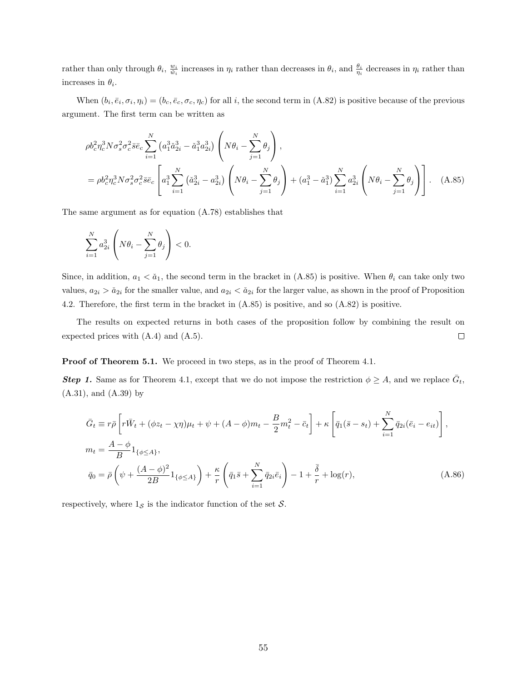rather than only through  $\theta_i$ ,  $\frac{w_i}{\tilde{w}_i}$  increases in  $\eta_i$  rather than decreases in  $\theta_i$ , and  $\frac{\theta_i}{\eta_i}$  decreases in  $\eta_i$  rather than increases in  $\theta_i$ .

When  $(b_i, \bar{e}_i, \sigma_i, \eta_i) = (b_c, \bar{e}_c, \sigma_c, \eta_c)$  for all i, the second term in  $(A.82)$  is positive because of the previous argument. The first term can be written as

$$
\rho b_c^2 \eta_c^3 N \sigma_s^2 \sigma_c^2 \overline{s} \overline{e}_c \sum_{i=1}^N \left( a_1^3 \tilde{a}_{2i}^3 - \tilde{a}_1^3 a_{2i}^3 \right) \left( N \theta_i - \sum_{j=1}^N \theta_j \right),
$$
  
=  $\rho b_c^2 \eta_c^3 N \sigma_s^2 \sigma_c^2 \overline{s} \overline{e}_c \left[ a_1^3 \sum_{i=1}^N \left( \tilde{a}_{2i}^3 - a_{2i}^3 \right) \left( N \theta_i - \sum_{j=1}^N \theta_j \right) + \left( a_1^3 - \tilde{a}_1^3 \right) \sum_{i=1}^N a_{2i}^3 \left( N \theta_i - \sum_{j=1}^N \theta_j \right) \right].$  (A.85)

The same argument as for equation (A.78) establishes that

$$
\sum_{i=1}^N a_{2i}^3 \left( N\theta_i - \sum_{j=1}^N \theta_j \right) < 0.
$$

Since, in addition,  $a_1 < a_1$ , the second term in the bracket in (A.85) is positive. When  $\theta_i$  can take only two values,  $a_{2i} > a_{2i}$  for the smaller value, and  $a_{2i} < a_{2i}$  for the larger value, as shown in the proof of Proposition 4.2. Therefore, the first term in the bracket in (A.85) is positive, and so (A.82) is positive.

The results on expected returns in both cases of the proposition follow by combining the result on expected prices with (A.4) and (A.5).  $\Box$ 

Proof of Theorem 5.1. We proceed in two steps, as in the proof of Theorem 4.1.

**Step 1.** Same as for Theorem 4.1, except that we do not impose the restriction  $\phi \geq A$ , and we replace  $\bar{G}_t$ , (A.31), and (A.39) by

$$
\bar{G}_t \equiv r\bar{\rho} \left[ r\bar{W}_t + (\phi z_t - \chi \eta) \mu_t + \psi + (A - \phi) m_t - \frac{B}{2} m_t^2 - \bar{c}_t \right] + \kappa \left[ \bar{q}_1 (\bar{s} - s_t) + \sum_{i=1}^N \bar{q}_{2i} (\bar{e}_i - e_{it}) \right],
$$
\n
$$
m_t = \frac{A - \phi}{B} \mathbf{1}_{\{\phi \le A\}},
$$
\n
$$
\bar{q}_0 = \bar{\rho} \left( \psi + \frac{(A - \phi)^2}{2B} \mathbf{1}_{\{\phi \le A\}} \right) + \frac{\kappa}{r} \left( \bar{q}_1 \bar{s} + \sum_{i=1}^N \bar{q}_{2i} \bar{e}_i \right) - 1 + \frac{\bar{\delta}}{r} + \log(r),
$$
\n(A.86)

respectively, where  $1_{\mathcal{S}}$  is the indicator function of the set  $\mathcal{S}$ .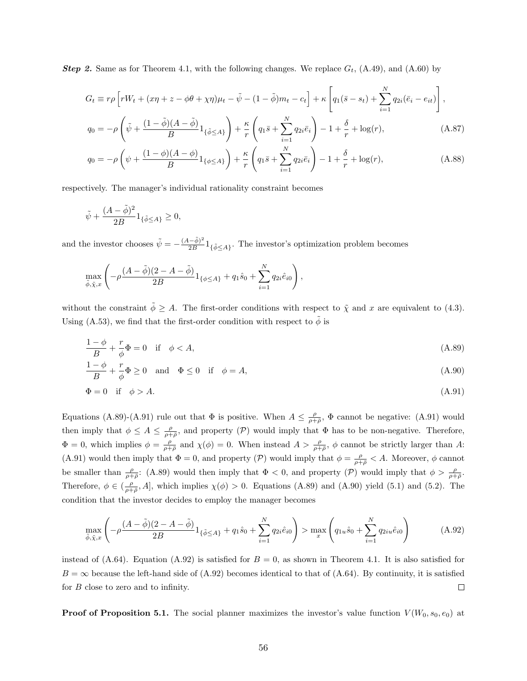**Step 2.** Same as for Theorem 4.1, with the following changes. We replace  $G_t$ , (A.49), and (A.60) by

$$
G_t \equiv r\rho \left[ rW_t + (x\eta + z - \phi\theta + \chi\eta)\mu_t - \tilde{\psi} - (1 - \tilde{\phi})m_t - c_t \right] + \kappa \left[ q_1(\bar{s} - s_t) + \sum_{i=1}^N q_{2i}(\bar{e}_i - e_{it}) \right],
$$

$$
q_0 = -\rho \left(\tilde{\psi} + \frac{(1 - \tilde{\phi})(A - \tilde{\phi})}{B} 1_{\{\tilde{\phi} \le A\}}\right) + \frac{\kappa}{r} \left(q_1 \bar{s} + \sum_{i=1}^N q_{2i} \bar{e}_i\right) - 1 + \frac{\delta}{r} + \log(r),\tag{A.87}
$$

$$
q_0 = -\rho \left( \psi + \frac{(1 - \phi)(A - \phi)}{B} 1_{\{\phi \le A\}} \right) + \frac{\kappa}{r} \left( q_1 \bar{s} + \sum_{i=1}^N q_{2i} \bar{e}_i \right) - 1 + \frac{\delta}{r} + \log(r), \tag{A.88}
$$

respectively. The manager's individual rationality constraint becomes

$$
\tilde{\psi} + \frac{(A - \tilde{\phi})^2}{2B} 1_{\{\tilde{\phi} \le A\}} \ge 0,
$$

and the investor chooses  $\tilde{\psi} = -\frac{(A-\tilde{\phi})^2}{2B}$  $\frac{(-\phi)}{2B}1_{\{\tilde{\phi}\leq A\}}$ . The investor's optimization problem becomes

$$
\max_{\tilde{\phi}, \tilde{\chi}, x} \left( -\rho \frac{(A - \tilde{\phi})(2 - A - \tilde{\phi})}{2B} 1_{\{\phi \le A\}} + q_1 \hat{s}_0 + \sum_{i=1}^N q_{2i} \hat{e}_{i0} \right),
$$

without the constraint  $\tilde{\phi} \geq A$ . The first-order conditions with respect to  $\tilde{\chi}$  and x are equivalent to (4.3). Using (A.53), we find that the first-order condition with respect to  $\phi$  is

$$
\frac{1-\phi}{B} + \frac{r}{\phi}\Phi = 0 \quad \text{if} \quad \phi < A,\tag{A.89}
$$

$$
\frac{1-\phi}{B} + \frac{r}{\phi} \Phi \ge 0 \quad \text{and} \quad \Phi \le 0 \quad \text{if} \quad \phi = A,
$$
\n(A.90)

$$
\Phi = 0 \quad \text{if} \quad \phi > A. \tag{A.91}
$$

Equations (A.89)-(A.91) rule out that  $\Phi$  is positive. When  $A \leq \frac{\rho}{\rho+\bar{\rho}}$ ,  $\Phi$  cannot be negative: (A.91) would then imply that  $\phi \leq A \leq \frac{\rho}{\rho+\overline{\rho}}$ , and property (P) would imply that  $\Phi$  has to be non-negative. Therefore,  $\Phi = 0$ , which implies  $\phi = \frac{\rho}{\rho + \bar{\rho}}$  and  $\chi(\phi) = 0$ . When instead  $A > \frac{\rho}{\rho + \bar{\rho}}$ ,  $\phi$  cannot be strictly larger than A: (A.91) would then imply that  $\Phi = 0$ , and property (P) would imply that  $\phi = \frac{\rho}{\rho + \bar{\rho}} < A$ . Moreover,  $\phi$  cannot be smaller than  $\frac{\rho}{\rho+\bar{\rho}}$ : (A.89) would then imply that  $\Phi < 0$ , and property (P) would imply that  $\phi > \frac{\rho}{\rho+\bar{\rho}}$ . Therefore,  $\phi \in (\frac{\rho}{\rho+\bar{\rho}}, A]$ , which implies  $\chi(\phi) > 0$ . Equations (A.89) and (A.90) yield (5.1) and (5.2). The condition that the investor decides to employ the manager becomes

$$
\max_{\tilde{\phi}, \tilde{\chi}, x} \left( -\rho \frac{(A - \tilde{\phi})(2 - A - \tilde{\phi})}{2B} 1_{\{\tilde{\phi} \le A\}} + q_1 \hat{s}_0 + \sum_{i=1}^N q_{2i} \hat{e}_{i0} \right) > \max_x \left( q_{1u} \hat{s}_0 + \sum_{i=1}^N q_{2iu} \hat{e}_{i0} \right)
$$
(A.92)

instead of (A.64). Equation (A.92) is satisfied for  $B = 0$ , as shown in Theorem 4.1. It is also satisfied for  $B = \infty$  because the left-hand side of (A.92) becomes identical to that of (A.64). By continuity, it is satisfied for B close to zero and to infinity.  $\Box$ 

**Proof of Proposition 5.1.** The social planner maximizes the investor's value function  $V(W_0, s_0, e_0)$  at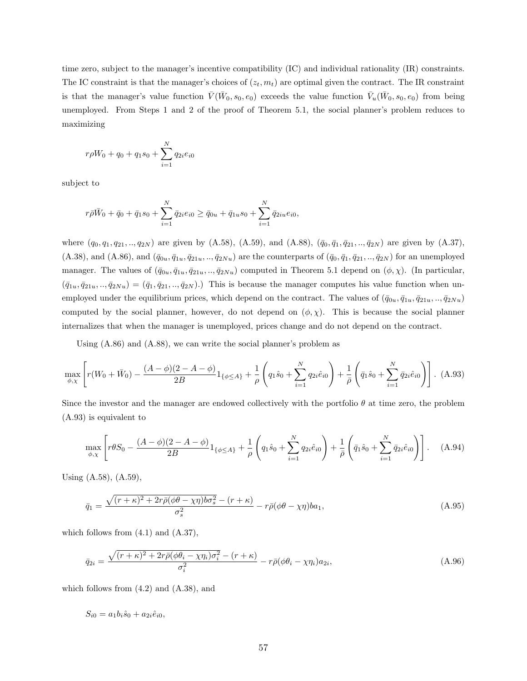time zero, subject to the manager's incentive compatibility (IC) and individual rationality (IR) constraints. The IC constraint is that the manager's choices of  $(z_t, m_t)$  are optimal given the contract. The IR constraint is that the manager's value function  $\bar{V}(\bar{W}_0, s_0, e_0)$  exceeds the value function  $\bar{V}_u(\bar{W}_0, s_0, e_0)$  from being unemployed. From Steps 1 and 2 of the proof of Theorem 5.1, the social planner's problem reduces to maximizing

$$
r\rho W_0 + q_0 + q_1 s_0 + \sum_{i=1}^{N} q_{2i} e_{i0}
$$

subject to

$$
r\bar{\rho}\bar{W}_0 + \bar{q}_0 + \bar{q}_1s_0 + \sum_{i=1}^N \bar{q}_{2i}e_{i0} \ge \bar{q}_{0u} + \bar{q}_{1u}s_0 + \sum_{i=1}^N \bar{q}_{2iu}e_{i0},
$$

where  $(q_0, q_1, q_{21}, ..., q_{2N})$  are given by  $(A.58)$ ,  $(A.59)$ , and  $(A.88)$ ,  $(\bar{q}_0, \bar{q}_1, \bar{q}_{21}, ..., \bar{q}_{2N})$  are given by  $(A.37)$ ,  $(A.38)$ , and  $(A.86)$ , and  $(\bar{q}_{0u}, \bar{q}_{1u}, \bar{q}_{21u}, \ldots, \bar{q}_{2Nu})$  are the counterparts of  $(\bar{q}_0, \bar{q}_1, \bar{q}_{21}, \ldots, \bar{q}_{2N})$  for an unemployed manager. The values of  $(\bar{q}_{0u}, \bar{q}_{1u}, \bar{q}_{21u}, \ldots, \bar{q}_{2Nu})$  computed in Theorem 5.1 depend on  $(\phi, \chi)$ . (In particular,  $(\bar{q}_{1u}, \bar{q}_{21u},.., \bar{q}_{2Nu}) = (\bar{q}_1, \bar{q}_{21},.., \bar{q}_{2N}).$  This is because the manager computes his value function when unemployed under the equilibrium prices, which depend on the contract. The values of  $(\bar{q}_{0u}, \bar{q}_{1u}, \bar{q}_{21u}, ..., \bar{q}_{2Nu})$ computed by the social planner, however, do not depend on  $(\phi, \chi)$ . This is because the social planner internalizes that when the manager is unemployed, prices change and do not depend on the contract.

Using (A.86) and (A.88), we can write the social planner's problem as

$$
\max_{\phi,\chi} \left[ r(W_0 + \bar{W}_0) - \frac{(A - \phi)(2 - A - \phi)}{2B} 1_{\{\phi \le A\}} + \frac{1}{\rho} \left( q_1 \hat{s}_0 + \sum_{i=1}^N q_{2i} \hat{e}_{i0} \right) + \frac{1}{\bar{\rho}} \left( \bar{q}_1 \hat{s}_0 + \sum_{i=1}^N \bar{q}_{2i} \hat{e}_{i0} \right) \right].
$$
 (A.93)

Since the investor and the manager are endowed collectively with the portfolio  $\theta$  at time zero, the problem (A.93) is equivalent to

$$
\max_{\phi,\chi} \left[ r\theta S_0 - \frac{(A-\phi)(2-A-\phi)}{2B} 1_{\{\phi \le A\}} + \frac{1}{\rho} \left( q_1 \hat{s}_0 + \sum_{i=1}^N q_{2i} \hat{e}_{i0} \right) + \frac{1}{\bar{\rho}} \left( \bar{q}_1 \hat{s}_0 + \sum_{i=1}^N \bar{q}_{2i} \hat{e}_{i0} \right) \right].
$$
 (A.94)

Using (A.58), (A.59),

$$
\bar{q}_1 = \frac{\sqrt{(r+\kappa)^2 + 2r\bar{\rho}(\phi\theta - \chi\eta)b\sigma_s^2} - (r+\kappa)}{\sigma_s^2} - r\bar{\rho}(\phi\theta - \chi\eta)ba_1,\tag{A.95}
$$

which follows from  $(4.1)$  and  $(A.37)$ ,

$$
\bar{q}_{2i} = \frac{\sqrt{(r+\kappa)^2 + 2r\bar{\rho}(\phi\theta_i - \chi\eta_i)\sigma_i^2} - (r+\kappa)}{\sigma_i^2} - r\bar{\rho}(\phi\theta_i - \chi\eta_i)a_{2i},\tag{A.96}
$$

which follows from  $(4.2)$  and  $(A.38)$ , and

$$
S_{i0} = a_1 b_i \hat{s}_0 + a_{2i} \hat{e}_{i0},
$$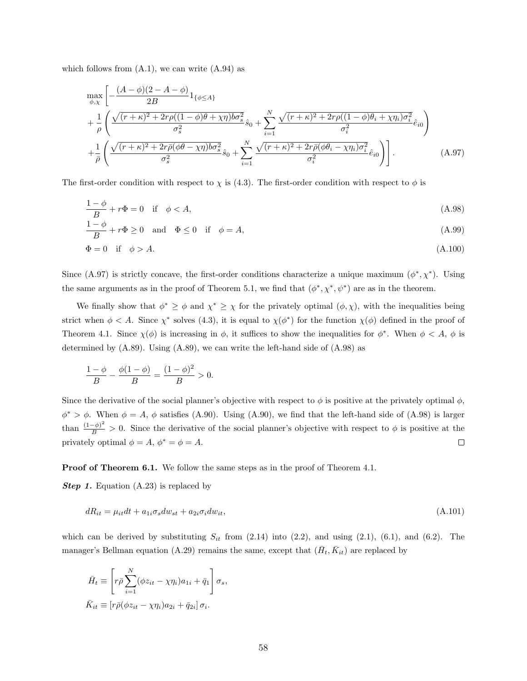which follows from  $(A.1)$ , we can write  $(A.94)$  as

$$
\max_{\phi, \chi} \left[ -\frac{(A - \phi)(2 - A - \phi)}{2B} 1_{\{\phi \le A\}} \right. \n+ \frac{1}{\rho} \left( \frac{\sqrt{(r + \kappa)^2 + 2r\rho((1 - \phi)\theta + \chi\eta)b\sigma_s^2}}{\sigma_s^2} \hat{s}_0 + \sum_{i=1}^N \frac{\sqrt{(r + \kappa)^2 + 2r\rho((1 - \phi)\theta_i + \chi\eta_i)\sigma_i^2}}{\sigma_i^2} \hat{e}_{i0} \right) \n+ \frac{1}{\rho} \left( \frac{\sqrt{(r + \kappa)^2 + 2r\rho(\phi\theta - \chi\eta)b\sigma_s^2}}{\sigma_s^2} \hat{s}_0 + \sum_{i=1}^N \frac{\sqrt{(r + \kappa)^2 + 2r\rho(\phi\theta_i - \chi\eta_i)\sigma_i^2}}{\sigma_i^2} \hat{e}_{i0} \right) \right].
$$
\n(A.97)

The first-order condition with respect to  $\chi$  is (4.3). The first-order condition with respect to  $\phi$  is

$$
\frac{1-\phi}{B} + r\Phi = 0 \quad \text{if} \quad \phi < A,\tag{A.98}
$$

$$
\frac{1-\phi}{B} + r\Phi \ge 0 \quad \text{and} \quad \Phi \le 0 \quad \text{if} \quad \phi = A,\tag{A.99}
$$

$$
\Phi = 0 \quad \text{if} \quad \phi > A. \tag{A.100}
$$

Since (A.97) is strictly concave, the first-order conditions characterize a unique maximum  $(\phi^*, \chi^*)$ . Using the same arguments as in the proof of Theorem 5.1, we find that  $(\phi^*, \chi^*, \psi^*)$  are as in the theorem.

We finally show that  $\phi^* \geq \phi$  and  $\chi^* \geq \chi$  for the privately optimal  $(\phi, \chi)$ , with the inequalities being strict when  $\phi < A$ . Since  $\chi^*$  solves (4.3), it is equal to  $\chi(\phi^*)$  for the function  $\chi(\phi)$  defined in the proof of Theorem 4.1. Since  $\chi(\phi)$  is increasing in  $\phi$ , it suffices to show the inequalities for  $\phi^*$ . When  $\phi < A$ ,  $\phi$  is determined by (A.89). Using (A.89), we can write the left-hand side of (A.98) as

$$
\frac{1-\phi}{B} - \frac{\phi(1-\phi)}{B} = \frac{(1-\phi)^2}{B} > 0.
$$

Since the derivative of the social planner's objective with respect to  $\phi$  is positive at the privately optimal  $\phi$ ,  $\phi^* > \phi$ . When  $\phi = A$ ,  $\phi$  satisfies (A.90). Using (A.90), we find that the left-hand side of (A.98) is larger than  $\frac{(1-\phi)^2}{B} > 0$ . Since the derivative of the social planner's objective with respect to  $\phi$  is positive at the privately optimal  $\phi = A$ ,  $\phi^* = \phi = A$ .  $\Box$ 

Proof of Theorem 6.1. We follow the same steps as in the proof of Theorem 4.1.

**Step 1.** Equation (A.23) is replaced by

$$
dR_{it} = \mu_{it}dt + a_{1i}\sigma_s dw_{st} + a_{2i}\sigma_i dw_{it},\tag{A.101}
$$

which can be derived by substituting  $S_{it}$  from (2.14) into (2.2), and using (2.1), (6.1), and (6.2). The manager's Bellman equation (A.29) remains the same, except that  $(\bar{H}_t, \bar{K}_{it})$  are replaced by

$$
\bar{H}_t \equiv \left[ r \bar{\rho} \sum_{i=1}^N (\phi z_{it} - \chi \eta_i) a_{1i} + \bar{q}_1 \right] \sigma_s,
$$
  

$$
\bar{K}_{it} \equiv \left[ r \bar{\rho} (\phi z_{it} - \chi \eta_i) a_{2i} + \bar{q}_{2i} \right] \sigma_i.
$$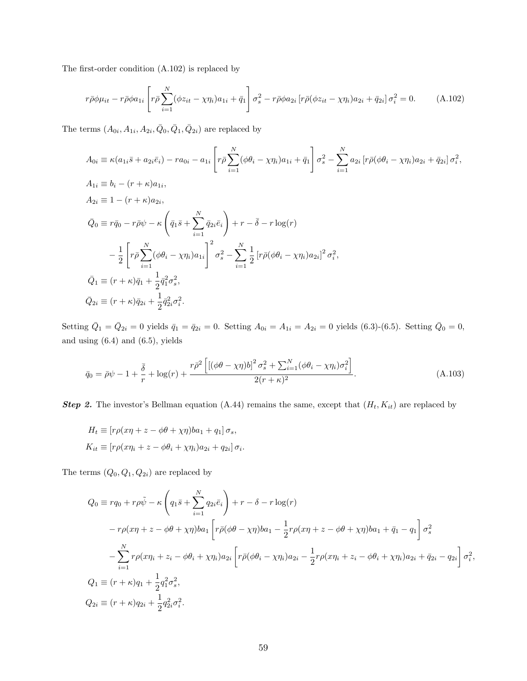The first-order condition (A.102) is replaced by

$$
r\bar{\rho}\phi\mu_{it} - r\bar{\rho}\phi a_{1i} \left[ r\bar{\rho} \sum_{i=1}^{N} (\phi z_{it} - \chi \eta_i) a_{1i} + \bar{q}_1 \right] \sigma_s^2 - r\bar{\rho}\phi a_{2i} \left[ r\bar{\rho}(\phi z_{it} - \chi \eta_i) a_{2i} + \bar{q}_{2i} \right] \sigma_i^2 = 0. \tag{A.102}
$$

The terms  $(A_{0i}, A_{1i}, A_{2i}, \bar{Q}_0, \bar{Q}_1, \bar{Q}_{2i})$  are replaced by

$$
A_{0i} \equiv \kappa (a_{1i}\bar{s} + a_{2i}\bar{e}_i) - ra_{0i} - a_{1i} \left[ r\bar{\rho} \sum_{i=1}^{N} (\phi \theta_i - \chi \eta_i) a_{1i} + \bar{q}_1 \right] \sigma_s^2 - \sum_{i=1}^{N} a_{2i} \left[ r\bar{\rho} (\phi \theta_i - \chi \eta_i) a_{2i} + \bar{q}_{2i} \right] \sigma_i^2,
$$
  
\n
$$
A_{1i} \equiv b_i - (r + \kappa) a_{1i},
$$
  
\n
$$
A_{2i} \equiv 1 - (r + \kappa) a_{2i},
$$
  
\n
$$
\bar{Q}_0 \equiv r\bar{q}_0 - r\bar{\rho}\psi - \kappa \left( \bar{q}_1 \bar{s} + \sum_{i=1}^{N} \bar{q}_{2i} \bar{e}_i \right) + r - \bar{\delta} - r \log(r)
$$
  
\n
$$
- \frac{1}{2} \left[ r\bar{\rho} \sum_{i=1}^{N} (\phi \theta_i - \chi \eta_i) a_{1i} \right]^2 \sigma_s^2 - \sum_{i=1}^{N} \frac{1}{2} \left[ r\bar{\rho} (\phi \theta_i - \chi \eta_i) a_{2i} \right]^2 \sigma_i^2,
$$
  
\n
$$
\bar{Q}_1 \equiv (r + \kappa) \bar{q}_1 + \frac{1}{2} \bar{q}_1^2 \sigma_s^2,
$$
  
\n
$$
\bar{Q}_{2i} \equiv (r + \kappa) \bar{q}_{2i} + \frac{1}{2} \bar{q}_{2i}^2 \sigma_i^2.
$$

Setting  $\bar{Q}_1 = \bar{Q}_{2i} = 0$  yields  $\bar{q}_1 = \bar{q}_{2i} = 0$ . Setting  $A_{0i} = A_{1i} = A_{2i} = 0$  yields (6.3)-(6.5). Setting  $\bar{Q}_0 = 0$ , and using (6.4) and (6.5), yields

$$
\bar{q}_0 = \bar{\rho}\psi - 1 + \frac{\bar{\delta}}{r} + \log(r) + \frac{r\bar{\rho}^2 \left[ \left[ (\phi\theta - \chi\eta) b \right]^2 \sigma_s^2 + \sum_{i=1}^N (\phi\theta_i - \chi\eta_i) \sigma_i^2 \right]}{2(r+\kappa)^2}.
$$
\n(A.103)

**Step 2.** The investor's Bellman equation (A.44) remains the same, except that  $(H_t, K_{it})$  are replaced by

$$
H_t \equiv [r\rho(x\eta + z - \phi\theta + \chi\eta)ba_1 + q_1]\sigma_s,
$$
  
\n
$$
K_{it} \equiv [r\rho(x\eta_i + z - \phi\theta_i + \chi\eta_i)a_{2i} + q_{2i}]\sigma_i.
$$

The terms  $(Q_0, Q_1, Q_{2i})$  are replaced by

$$
Q_0 \equiv r q_0 + r \rho \tilde{\psi} - \kappa \left( q_1 \bar{s} + \sum_{i=1}^N q_{2i} \bar{e}_i \right) + r - \delta - r \log(r)
$$
  

$$
- r \rho (x \eta + z - \phi \theta + \chi \eta) ba_1 \left[ r \bar{\rho} (\phi \theta - \chi \eta) ba_1 - \frac{1}{2} r \rho (x \eta + z - \phi \theta + \chi \eta) ba_1 + \bar{q}_1 - q_1 \right] \sigma_s^2
$$
  

$$
- \sum_{i=1}^N r \rho (x \eta_i + z_i - \phi \theta_i + \chi \eta_i) a_{2i} \left[ r \bar{\rho} (\phi \theta_i - \chi \eta_i) a_{2i} - \frac{1}{2} r \rho (x \eta_i + z_i - \phi \theta_i + \chi \eta_i) a_{2i} + \bar{q}_{2i} - q_{2i} \right] \sigma_i^2,
$$
  

$$
Q_1 \equiv (r + \kappa) q_1 + \frac{1}{2} q_1^2 \sigma_s^2,
$$
  

$$
Q_{2i} \equiv (r + \kappa) q_{2i} + \frac{1}{2} q_{2i}^2 \sigma_i^2.
$$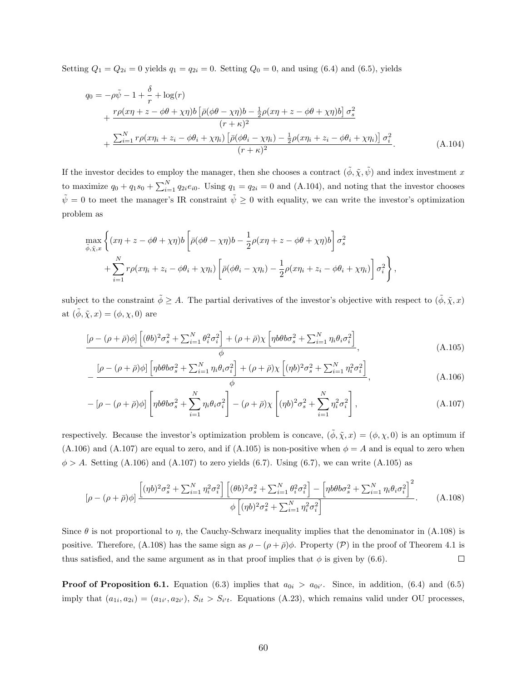Setting  $Q_1 = Q_{2i} = 0$  yields  $q_1 = q_{2i} = 0$ . Setting  $Q_0 = 0$ , and using (6.4) and (6.5), yields

$$
q_0 = -\rho \tilde{\psi} - 1 + \frac{\delta}{r} + \log(r)
$$
  
+ 
$$
\frac{r\rho(x\eta + z - \phi\theta + \chi\eta)b\left[\bar{\rho}(\phi\theta - \chi\eta)b - \frac{1}{2}\rho(x\eta + z - \phi\theta + \chi\eta)b\right]\sigma_s^2}{(r + \kappa)^2}
$$
  
+ 
$$
\frac{\sum_{i=1}^N r\rho(x\eta_i + z_i - \phi\theta_i + \chi\eta_i)\left[\bar{\rho}(\phi\theta_i - \chi\eta_i) - \frac{1}{2}\rho(x\eta_i + z_i - \phi\theta_i + \chi\eta_i)\right]\sigma_i^2}{(r + \kappa)^2}.
$$
 (A.104)

If the investor decides to employ the manager, then she chooses a contract  $(\tilde{\phi}, \tilde{\chi}, \tilde{\psi})$  and index investment x to maximize  $q_0 + q_1 s_0 + \sum_{i=1}^{N} q_{2i} e_{i0}$ . Using  $q_1 = q_{2i} = 0$  and (A.104), and noting that the investor chooses  $\tilde{\psi} = 0$  to meet the manager's IR constraint  $\tilde{\psi} \ge 0$  with equality, we can write the investor's optimization problem as

$$
\max_{\tilde{\phi}, \tilde{\chi}, x} \left\{ (x\eta + z - \phi\theta + \chi\eta) b \left[ \bar{\rho}(\phi\theta - \chi\eta) b - \frac{1}{2}\rho(x\eta + z - \phi\theta + \chi\eta) b \right] \sigma_s^2 + \sum_{i=1}^N r \rho(x\eta_i + z_i - \phi\theta_i + \chi\eta_i) \left[ \bar{\rho}(\phi\theta_i - \chi\eta_i) - \frac{1}{2}\rho(x\eta_i + z_i - \phi\theta_i + \chi\eta_i) \right] \sigma_i^2 \right\},
$$

subject to the constraint  $\tilde{\phi} \geq A$ . The partial derivatives of the investor's objective with respect to  $(\tilde{\phi}, \tilde{\chi}, x)$ at  $(\tilde{\phi}, \tilde{\chi}, x) = (\phi, \chi, 0)$  are

$$
\frac{\left[\rho - (\rho + \bar{\rho})\phi\right] \left[(\theta b)^2 \sigma_s^2 + \sum_{i=1}^N \theta_i^2 \sigma_i^2\right] + (\rho + \bar{\rho})\chi \left[\eta b \theta b \sigma_s^2 + \sum_{i=1}^N \eta_i \theta_i \sigma_i^2\right]}{\phi},\tag{A.105}
$$

$$
-\frac{\left[\rho-(\rho+\bar{\rho})\phi\right]\left[\eta b\theta b\sigma_s^2+\sum_{i=1}^N\eta_i\theta_i\sigma_i^2\right]+(\rho+\bar{\rho})\chi\left[(\eta b)^2\sigma_s^2+\sum_{i=1}^N\eta_i^2\sigma_i^2\right]}{\phi},\tag{A.106}
$$

$$
- \left[\rho - (\rho + \bar{\rho})\phi\right] \left[\eta b \theta b \sigma_s^2 + \sum_{i=1}^N \eta_i \theta_i \sigma_i^2\right] - (\rho + \bar{\rho}) \chi \left[(\eta b)^2 \sigma_s^2 + \sum_{i=1}^N \eta_i^2 \sigma_i^2\right],\tag{A.107}
$$

respectively. Because the investor's optimization problem is concave,  $(\tilde{\phi}, \tilde{\chi}, x) = (\phi, \chi, 0)$  is an optimum if (A.106) and (A.107) are equal to zero, and if (A.105) is non-positive when  $\phi = A$  and is equal to zero when  $\phi > A$ . Setting (A.106) and (A.107) to zero yields (6.7). Using (6.7), we can write (A.105) as

$$
[\rho - (\rho + \bar{\rho})\phi] \frac{\left[ (\eta b)^2 \sigma_s^2 + \sum_{i=1}^N \eta_i^2 \sigma_i^2 \right] \left[ (\theta b)^2 \sigma_s^2 + \sum_{i=1}^N \theta_i^2 \sigma_i^2 \right] - \left[ \eta b \theta b \sigma_s^2 + \sum_{i=1}^N \eta_i \theta_i \sigma_i^2 \right]^2}{\phi \left[ (\eta b)^2 \sigma_s^2 + \sum_{i=1}^N \eta_i^2 \sigma_i^2 \right]}.
$$
 (A.108)

Since  $\theta$  is not proportional to  $\eta$ , the Cauchy-Schwarz inequality implies that the denominator in (A.108) is positive. Therefore, (A.108) has the same sign as  $\rho - (\rho + \bar{\rho})\phi$ . Property (P) in the proof of Theorem 4.1 is  $\Box$ thus satisfied, and the same argument as in that proof implies that  $\phi$  is given by (6.6).

**Proof of Proposition 6.1.** Equation (6.3) implies that  $a_{0i} > a_{0i'}$ . Since, in addition, (6.4) and (6.5) imply that  $(a_{1i}, a_{2i}) = (a_{1i'}, a_{2i'})$ ,  $S_{it} > S_{i't}$ . Equations (A.23), which remains valid under OU processes,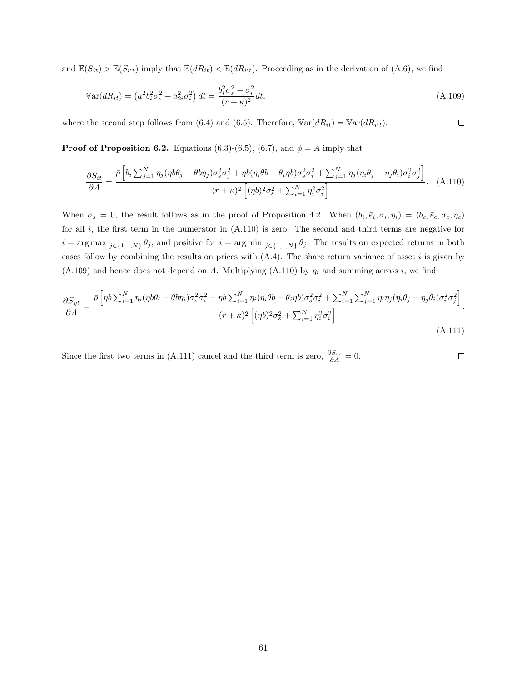and  $\mathbb{E}(S_{it}) > \mathbb{E}(S_{i't})$  imply that  $\mathbb{E}(dR_{it}) < \mathbb{E}(dR_{i't})$ . Proceeding as in the derivation of (A.6), we find

$$
\mathbb{V}\text{ar}(d_{it}) = \left(a_1^2 b_i^2 \sigma_s^2 + a_{2i}^2 \sigma_i^2\right) dt = \frac{b_i^2 \sigma_s^2 + \sigma_i^2}{(r + \kappa)^2} dt,\tag{A.109}
$$

 $\Box$ 

where the second step follows from (6.4) and (6.5). Therefore,  $\mathbb{V}\text{ar}(dR_{it}) = \mathbb{V}\text{ar}(dR_{i't})$ .

**Proof of Proposition 6.2.** Equations (6.3)-(6.5), (6.7), and  $\phi = A$  imply that

$$
\frac{\partial S_{it}}{\partial A} = \frac{\bar{\rho} \left[ b_i \sum_{j=1}^N \eta_j (\eta b \theta_j - \theta b \eta_j) \sigma_s^2 \sigma_j^2 + \eta b (\eta_i \theta b - \theta_i \eta b) \sigma_s^2 \sigma_i^2 + \sum_{j=1}^N \eta_j (\eta_i \theta_j - \eta_j \theta_i) \sigma_i^2 \sigma_j^2 \right]}{(r + \kappa)^2 \left[ (\eta b)^2 \sigma_s^2 + \sum_{i=1}^N \eta_i^2 \sigma_i^2 \right]}.
$$
 (A.110)

When  $\sigma_s = 0$ , the result follows as in the proof of Proposition 4.2. When  $(b_i, \bar{e}_i, \sigma_i, \eta_i) = (b_c, \bar{e}_c, \sigma_c, \eta_c)$ for all  $i$ , the first term in the numerator in  $(A.110)$  is zero. The second and third terms are negative for  $i = \arg \max_{j \in \{1, ..., N\}} \theta_j$ , and positive for  $i = \arg \min_{j \in \{1, ..., N\}} \theta_j$ . The results on expected returns in both cases follow by combining the results on prices with  $(A.4)$ . The share return variance of asset i is given by (A.109) and hence does not depend on A. Multiplying (A.110) by  $\eta_i$  and summing across i, we find

$$
\frac{\partial S_{\eta t}}{\partial A} = \frac{\bar{\rho} \left[ \eta b \sum_{i=1}^{N} \eta_i (\eta b \theta_i - \theta b \eta_i) \sigma_s^2 \sigma_i^2 + \eta b \sum_{i=1}^{N} \eta_i (\eta_i \theta b - \theta_i \eta b) \sigma_s^2 \sigma_i^2 + \sum_{i=1}^{N} \sum_{j=1}^{N} \eta_i \eta_j (\eta_i \theta_j - \eta_j \theta_i) \sigma_i^2 \sigma_j^2 \right]}{(r + \kappa)^2 \left[ (\eta b)^2 \sigma_s^2 + \sum_{i=1}^{N} \eta_i^2 \sigma_i^2 \right]}.
$$
\n(A.111)

Since the first two terms in (A.111) cancel and the third term is zero,  $\frac{\partial S_{\eta t}}{\partial A} = 0$ .  $\Box$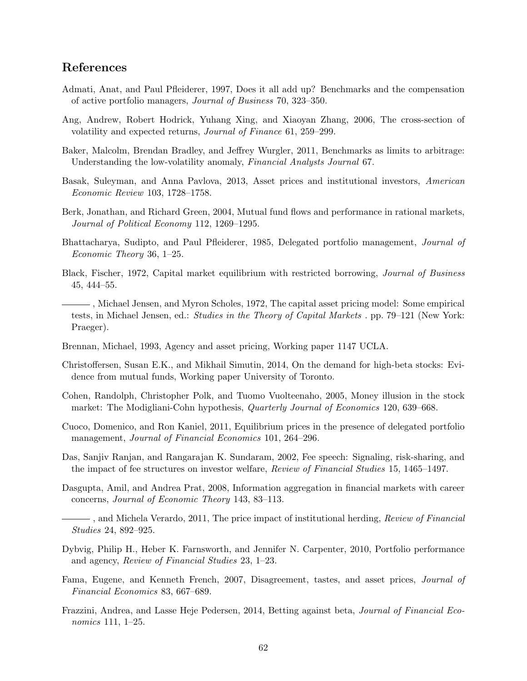## References

- Admati, Anat, and Paul Pfleiderer, 1997, Does it all add up? Benchmarks and the compensation of active portfolio managers, Journal of Business 70, 323–350.
- Ang, Andrew, Robert Hodrick, Yuhang Xing, and Xiaoyan Zhang, 2006, The cross-section of volatility and expected returns, Journal of Finance 61, 259–299.
- Baker, Malcolm, Brendan Bradley, and Jeffrey Wurgler, 2011, Benchmarks as limits to arbitrage: Understanding the low-volatility anomaly, Financial Analysts Journal 67.
- Basak, Suleyman, and Anna Pavlova, 2013, Asset prices and institutional investors, American Economic Review 103, 1728–1758.
- Berk, Jonathan, and Richard Green, 2004, Mutual fund flows and performance in rational markets, Journal of Political Economy 112, 1269–1295.
- Bhattacharya, Sudipto, and Paul Pfleiderer, 1985, Delegated portfolio management, Journal of Economic Theory 36, 1–25.
- Black, Fischer, 1972, Capital market equilibrium with restricted borrowing, Journal of Business 45, 444–55.
- , Michael Jensen, and Myron Scholes, 1972, The capital asset pricing model: Some empirical tests, in Michael Jensen, ed.: Studies in the Theory of Capital Markets . pp. 79–121 (New York: Praeger).
- Brennan, Michael, 1993, Agency and asset pricing, Working paper 1147 UCLA.
- Christoffersen, Susan E.K., and Mikhail Simutin, 2014, On the demand for high-beta stocks: Evidence from mutual funds, Working paper University of Toronto.
- Cohen, Randolph, Christopher Polk, and Tuomo Vuolteenaho, 2005, Money illusion in the stock market: The Modigliani-Cohn hypothesis, Quarterly Journal of Economics 120, 639–668.
- Cuoco, Domenico, and Ron Kaniel, 2011, Equilibrium prices in the presence of delegated portfolio management, *Journal of Financial Economics* 101, 264–296.
- Das, Sanjiv Ranjan, and Rangarajan K. Sundaram, 2002, Fee speech: Signaling, risk-sharing, and the impact of fee structures on investor welfare, Review of Financial Studies 15, 1465–1497.
- Dasgupta, Amil, and Andrea Prat, 2008, Information aggregation in financial markets with career concerns, Journal of Economic Theory 143, 83–113.
- $-$ , and Michela Verardo, 2011, The price impact of institutional herding, *Review of Financial* Studies 24, 892–925.
- Dybvig, Philip H., Heber K. Farnsworth, and Jennifer N. Carpenter, 2010, Portfolio performance and agency, Review of Financial Studies 23, 1–23.
- Fama, Eugene, and Kenneth French, 2007, Disagreement, tastes, and asset prices, Journal of Financial Economics 83, 667–689.
- Frazzini, Andrea, and Lasse Heje Pedersen, 2014, Betting against beta, Journal of Financial Economics 111, 1–25.